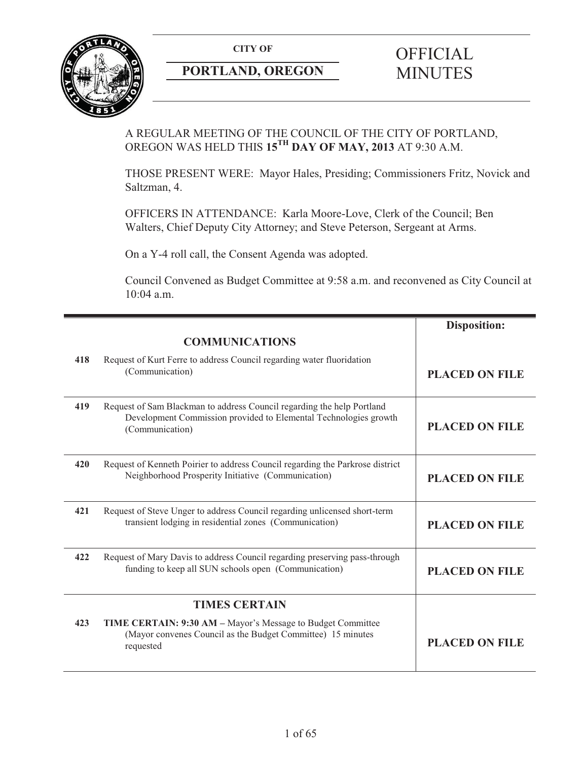

# **PORTLAND, OREGON**

# **CITY OF CITY OF SECON CONSUMINUTES**

A REGULAR MEETING OF THE COUNCIL OF THE CITY OF PORTLAND, OREGON WAS HELD THIS **15TH DAY OF MAY, 2013** AT 9:30 A.M.

THOSE PRESENT WERE: Mayor Hales, Presiding; Commissioners Fritz, Novick and Saltzman, 4.

OFFICERS IN ATTENDANCE: Karla Moore-Love, Clerk of the Council; Ben Walters, Chief Deputy City Attorney; and Steve Peterson, Sergeant at Arms.

On a Y-4 roll call, the Consent Agenda was adopted.

Council Convened as Budget Committee at 9:58 a.m. and reconvened as City Council at 10:04 a.m.

|     |                                                                                                                                                               | <b>Disposition:</b>   |
|-----|---------------------------------------------------------------------------------------------------------------------------------------------------------------|-----------------------|
|     | <b>COMMUNICATIONS</b>                                                                                                                                         |                       |
| 418 | Request of Kurt Ferre to address Council regarding water fluoridation<br>(Communication)                                                                      | <b>PLACED ON FILE</b> |
| 419 | Request of Sam Blackman to address Council regarding the help Portland<br>Development Commission provided to Elemental Technologies growth<br>(Communication) | <b>PLACED ON FILE</b> |
| 420 | Request of Kenneth Poirier to address Council regarding the Parkrose district<br>Neighborhood Prosperity Initiative (Communication)                           | <b>PLACED ON FILE</b> |
| 421 | Request of Steve Unger to address Council regarding unlicensed short-term<br>transient lodging in residential zones (Communication)                           | <b>PLACED ON FILE</b> |
| 422 | Request of Mary Davis to address Council regarding preserving pass-through<br>funding to keep all SUN schools open (Communication)                            | <b>PLACED ON FILE</b> |
|     | <b>TIMES CERTAIN</b>                                                                                                                                          |                       |
| 423 | TIME CERTAIN: 9:30 AM - Mayor's Message to Budget Committee<br>(Mayor convenes Council as the Budget Committee) 15 minutes<br>requested                       | <b>PLACED ON FILE</b> |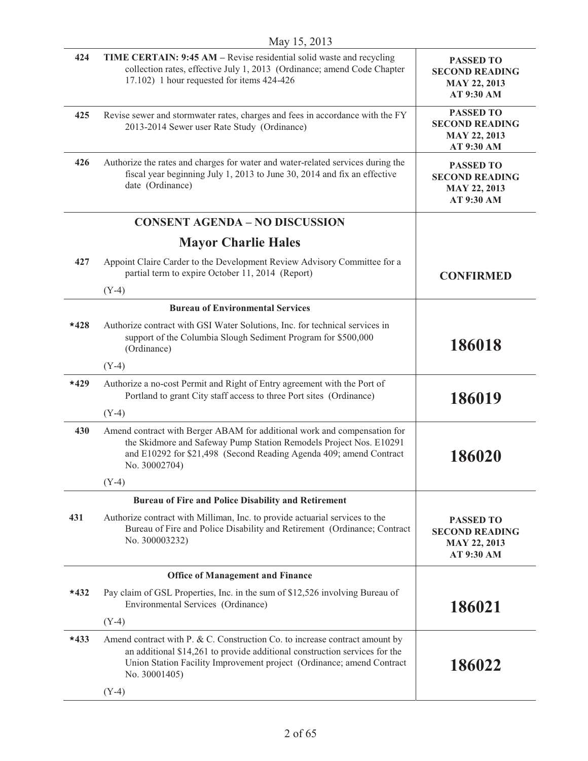| 424    | <b>TIME CERTAIN: 9:45 AM – Revise residential solid waste and recycling</b><br>collection rates, effective July 1, 2013 (Ordinance; amend Code Chapter<br>17.102) 1 hour requested for items 424-426                                                | <b>PASSED TO</b><br><b>SECOND READING</b><br><b>MAY 22, 2013</b><br>AT 9:30 AM |
|--------|-----------------------------------------------------------------------------------------------------------------------------------------------------------------------------------------------------------------------------------------------------|--------------------------------------------------------------------------------|
| 425    | Revise sewer and stormwater rates, charges and fees in accordance with the FY<br>2013-2014 Sewer user Rate Study (Ordinance)                                                                                                                        | <b>PASSED TO</b><br><b>SECOND READING</b><br><b>MAY 22, 2013</b><br>AT 9:30 AM |
| 426    | Authorize the rates and charges for water and water-related services during the<br>fiscal year beginning July 1, 2013 to June 30, 2014 and fix an effective<br>date (Ordinance)                                                                     | <b>PASSED TO</b><br><b>SECOND READING</b><br><b>MAY 22, 2013</b><br>AT 9:30 AM |
|        | <b>CONSENT AGENDA - NO DISCUSSION</b>                                                                                                                                                                                                               |                                                                                |
|        | <b>Mayor Charlie Hales</b>                                                                                                                                                                                                                          |                                                                                |
| 427    | Appoint Claire Carder to the Development Review Advisory Committee for a<br>partial term to expire October 11, 2014 (Report)                                                                                                                        | <b>CONFIRMED</b>                                                               |
|        | $(Y-4)$                                                                                                                                                                                                                                             |                                                                                |
|        | <b>Bureau of Environmental Services</b>                                                                                                                                                                                                             |                                                                                |
| $*428$ | Authorize contract with GSI Water Solutions, Inc. for technical services in<br>support of the Columbia Slough Sediment Program for \$500,000<br>(Ordinance)                                                                                         | 186018                                                                         |
|        | $(Y-4)$                                                                                                                                                                                                                                             |                                                                                |
| $*429$ | Authorize a no-cost Permit and Right of Entry agreement with the Port of<br>Portland to grant City staff access to three Port sites (Ordinance)                                                                                                     | 186019                                                                         |
|        | $(Y-4)$                                                                                                                                                                                                                                             |                                                                                |
| 430    | Amend contract with Berger ABAM for additional work and compensation for<br>the Skidmore and Safeway Pump Station Remodels Project Nos. E10291<br>and E10292 for \$21,498 (Second Reading Agenda 409; amend Contract<br>No. 30002704)               | 186020                                                                         |
|        | $(Y-4)$                                                                                                                                                                                                                                             |                                                                                |
|        | <b>Bureau of Fire and Police Disability and Retirement</b>                                                                                                                                                                                          |                                                                                |
| 431    | Authorize contract with Milliman, Inc. to provide actuarial services to the<br>Bureau of Fire and Police Disability and Retirement (Ordinance; Contract<br>No. 300003232)                                                                           | <b>PASSED TO</b><br><b>SECOND READING</b><br><b>MAY 22, 2013</b><br>AT 9:30 AM |
|        | <b>Office of Management and Finance</b>                                                                                                                                                                                                             |                                                                                |
| $*432$ | Pay claim of GSL Properties, Inc. in the sum of \$12,526 involving Bureau of<br>Environmental Services (Ordinance)                                                                                                                                  | 186021                                                                         |
|        | $(Y-4)$                                                                                                                                                                                                                                             |                                                                                |
| $*433$ | Amend contract with P. & C. Construction Co. to increase contract amount by<br>an additional \$14,261 to provide additional construction services for the<br>Union Station Facility Improvement project (Ordinance; amend Contract<br>No. 30001405) | 186022                                                                         |
|        | $(Y-4)$                                                                                                                                                                                                                                             |                                                                                |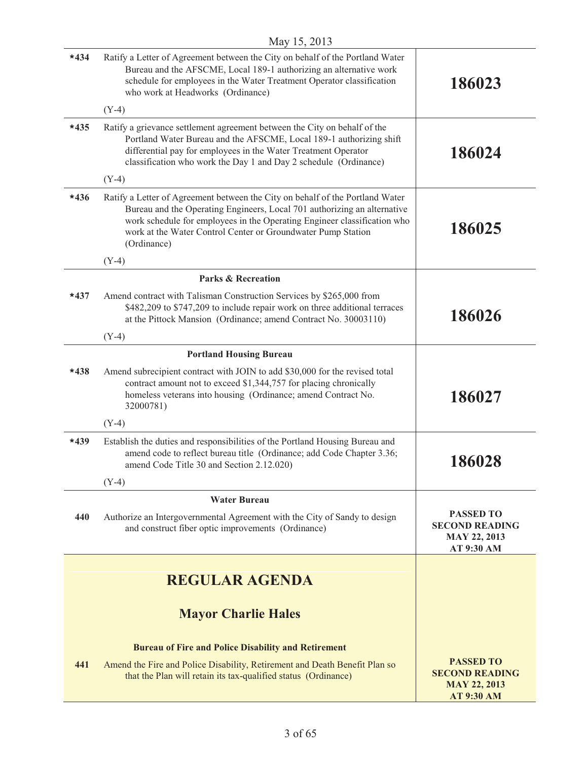| $*434$ | Ratify a Letter of Agreement between the City on behalf of the Portland Water<br>Bureau and the AFSCME, Local 189-1 authorizing an alternative work                                                                                                                                                                  |                                                                                       |
|--------|----------------------------------------------------------------------------------------------------------------------------------------------------------------------------------------------------------------------------------------------------------------------------------------------------------------------|---------------------------------------------------------------------------------------|
|        | schedule for employees in the Water Treatment Operator classification<br>who work at Headworks (Ordinance)                                                                                                                                                                                                           | 186023                                                                                |
|        | $(Y-4)$                                                                                                                                                                                                                                                                                                              |                                                                                       |
| $*435$ | Ratify a grievance settlement agreement between the City on behalf of the<br>Portland Water Bureau and the AFSCME, Local 189-1 authorizing shift<br>differential pay for employees in the Water Treatment Operator<br>classification who work the Day 1 and Day 2 schedule (Ordinance)                               | 186024                                                                                |
|        | $(Y-4)$                                                                                                                                                                                                                                                                                                              |                                                                                       |
| $*436$ | Ratify a Letter of Agreement between the City on behalf of the Portland Water<br>Bureau and the Operating Engineers, Local 701 authorizing an alternative<br>work schedule for employees in the Operating Engineer classification who<br>work at the Water Control Center or Groundwater Pump Station<br>(Ordinance) | 186025                                                                                |
|        | $(Y-4)$                                                                                                                                                                                                                                                                                                              |                                                                                       |
|        | <b>Parks &amp; Recreation</b>                                                                                                                                                                                                                                                                                        |                                                                                       |
| $*437$ | Amend contract with Talisman Construction Services by \$265,000 from<br>\$482,209 to \$747,209 to include repair work on three additional terraces<br>at the Pittock Mansion (Ordinance; amend Contract No. 30003110)                                                                                                | 186026                                                                                |
|        | $(Y-4)$                                                                                                                                                                                                                                                                                                              |                                                                                       |
|        | <b>Portland Housing Bureau</b>                                                                                                                                                                                                                                                                                       |                                                                                       |
| $*438$ | Amend subrecipient contract with JOIN to add \$30,000 for the revised total<br>contract amount not to exceed \$1,344,757 for placing chronically<br>homeless veterans into housing (Ordinance; amend Contract No.<br>32000781)                                                                                       | 186027                                                                                |
|        | $(Y-4)$                                                                                                                                                                                                                                                                                                              |                                                                                       |
| $*439$ | Establish the duties and responsibilities of the Portland Housing Bureau and<br>amend code to reflect bureau title (Ordinance; add Code Chapter 3.36;<br>amend Code Title 30 and Section 2.12.020)                                                                                                                   | 186028                                                                                |
|        | $(Y-4)$                                                                                                                                                                                                                                                                                                              |                                                                                       |
|        | <b>Water Bureau</b>                                                                                                                                                                                                                                                                                                  |                                                                                       |
| 440    | Authorize an Intergovernmental Agreement with the City of Sandy to design<br>and construct fiber optic improvements (Ordinance)                                                                                                                                                                                      | <b>PASSED TO</b><br><b>SECOND READING</b><br><b>MAY 22, 2013</b><br>AT 9:30 AM        |
|        |                                                                                                                                                                                                                                                                                                                      |                                                                                       |
|        | <b>REGULAR AGENDA</b>                                                                                                                                                                                                                                                                                                |                                                                                       |
|        | <b>Mayor Charlie Hales</b>                                                                                                                                                                                                                                                                                           |                                                                                       |
|        | <b>Bureau of Fire and Police Disability and Retirement</b>                                                                                                                                                                                                                                                           |                                                                                       |
| 441    | Amend the Fire and Police Disability, Retirement and Death Benefit Plan so<br>that the Plan will retain its tax-qualified status (Ordinance)                                                                                                                                                                         | <b>PASSED TO</b><br><b>SECOND READING</b><br><b>MAY 22, 2013</b><br><b>AT 9:30 AM</b> |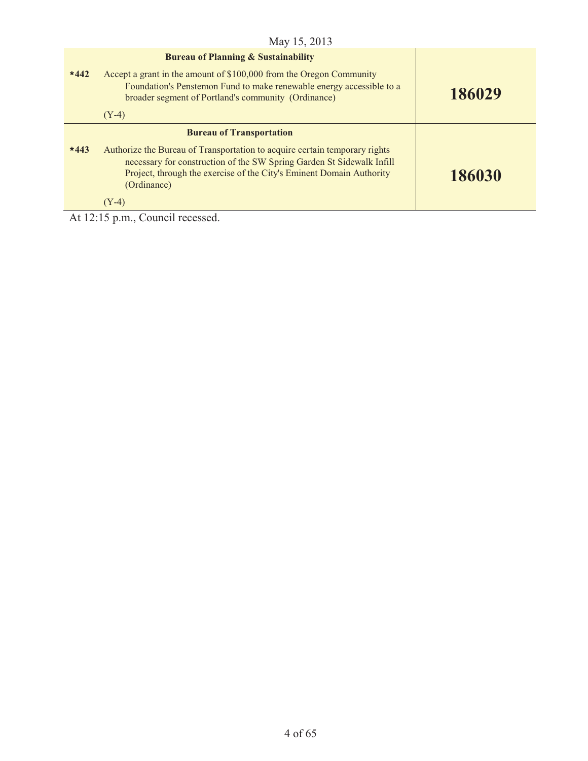|                                                   | May 15, 2013                                                                                                                                                                                                                               |        |
|---------------------------------------------------|--------------------------------------------------------------------------------------------------------------------------------------------------------------------------------------------------------------------------------------------|--------|
|                                                   | <b>Bureau of Planning &amp; Sustainability</b>                                                                                                                                                                                             |        |
| $*442$                                            | Accept a grant in the amount of \$100,000 from the Oregon Community<br>Foundation's Penstemon Fund to make renewable energy accessible to a<br>broader segment of Portland's community (Ordinance)                                         | 186029 |
|                                                   | $(Y-4)$                                                                                                                                                                                                                                    |        |
|                                                   | <b>Bureau of Transportation</b>                                                                                                                                                                                                            |        |
| $*443$                                            | Authorize the Bureau of Transportation to acquire certain temporary rights<br>necessary for construction of the SW Spring Garden St Sidewalk Infill<br>Project, through the exercise of the City's Eminent Domain Authority<br>(Ordinance) | 186030 |
|                                                   | $(Y-4)$                                                                                                                                                                                                                                    |        |
| $\lambda$ + 12.15 m m $\alpha$ come il necessario |                                                                                                                                                                                                                                            |        |

At 12:15 p.m., Council recessed.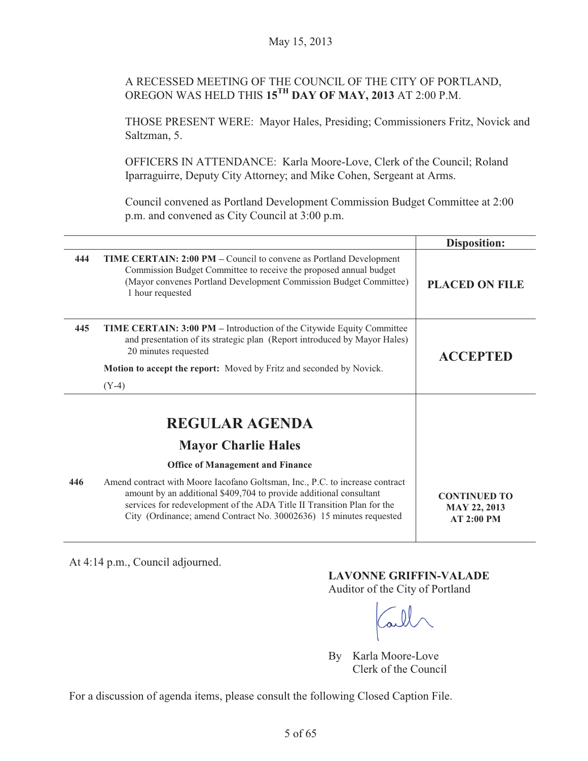# A RECESSED MEETING OF THE COUNCIL OF THE CITY OF PORTLAND, OREGON WAS HELD THIS **15TH DAY OF MAY, 2013** AT 2:00 P.M.

THOSE PRESENT WERE: Mayor Hales, Presiding; Commissioners Fritz, Novick and Saltzman, 5.

OFFICERS IN ATTENDANCE: Karla Moore-Love, Clerk of the Council; Roland Iparraguirre, Deputy City Attorney; and Mike Cohen, Sergeant at Arms.

Council convened as Portland Development Commission Budget Committee at 2:00 p.m. and convened as City Council at 3:00 p.m.

|     |                                                                                                                                                                                                                                                                                                    | <b>Disposition:</b>                                      |
|-----|----------------------------------------------------------------------------------------------------------------------------------------------------------------------------------------------------------------------------------------------------------------------------------------------------|----------------------------------------------------------|
| 444 | <b>TIME CERTAIN: 2:00 PM – Council to convene as Portland Development</b><br>Commission Budget Committee to receive the proposed annual budget<br>(Mayor convenes Portland Development Commission Budget Committee)<br>1 hour requested                                                            | <b>PLACED ON FILE</b>                                    |
| 445 | <b>TIME CERTAIN: 3:00 PM</b> – Introduction of the Citywide Equity Committee<br>and presentation of its strategic plan (Report introduced by Mayor Hales)<br>20 minutes requested                                                                                                                  | <b>ACCEPTED</b>                                          |
|     | <b>Motion to accept the report:</b> Moved by Fritz and seconded by Novick.                                                                                                                                                                                                                         |                                                          |
|     | $(Y-4)$                                                                                                                                                                                                                                                                                            |                                                          |
|     | <b>REGULAR AGENDA</b><br><b>Mayor Charlie Hales</b>                                                                                                                                                                                                                                                |                                                          |
|     | <b>Office of Management and Finance</b>                                                                                                                                                                                                                                                            |                                                          |
| 446 | Amend contract with Moore Iacofano Goltsman, Inc., P.C. to increase contract<br>amount by an additional \$409,704 to provide additional consultant<br>services for redevelopment of the ADA Title II Transition Plan for the<br>City (Ordinance; amend Contract No. 30002636) 15 minutes requested | <b>CONTINUED TO</b><br><b>MAY 22, 2013</b><br>AT 2:00 PM |

At 4:14 p.m., Council adjourned.

# **LAVONNE GRIFFIN-VALADE**

Auditor of the City of Portland

By Karla Moore-Love Clerk of the Council

For a discussion of agenda items, please consult the following Closed Caption File.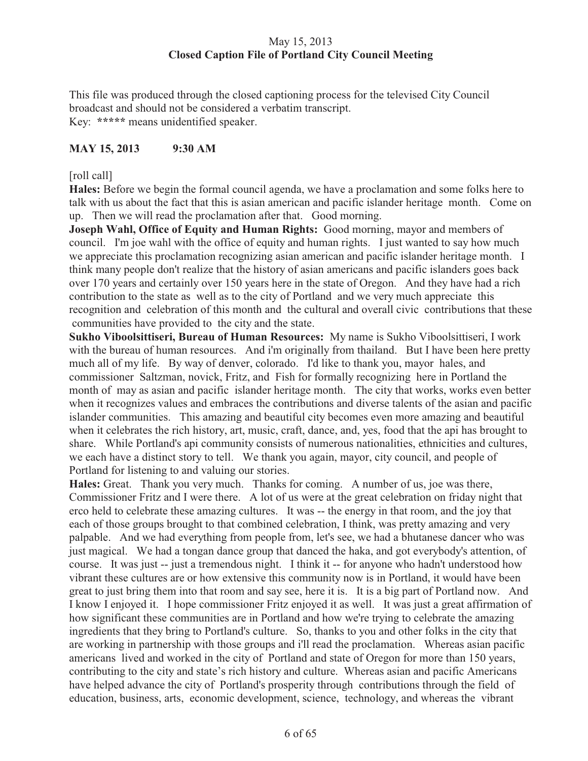# May 15, 2013 **Closed Caption File of Portland City Council Meeting**

This file was produced through the closed captioning process for the televised City Council broadcast and should not be considered a verbatim transcript. Key: **\*\*\*\*\*** means unidentified speaker.

# **MAY 15, 2013 9:30 AM**

## [roll call]

**Hales:** Before we begin the formal council agenda, we have a proclamation and some folks here to talk with us about the fact that this is asian american and pacific islander heritage month. Come on up. Then we will read the proclamation after that. Good morning.

**Joseph Wahl, Office of Equity and Human Rights:** Good morning, mayor and members of council. I'm joe wahl with the office of equity and human rights. I just wanted to say how much we appreciate this proclamation recognizing asian american and pacific islander heritage month. I think many people don't realize that the history of asian americans and pacific islanders goes back over 170 years and certainly over 150 years here in the state of Oregon. And they have had a rich contribution to the state as well as to the city of Portland and we very much appreciate this recognition and celebration of this month and the cultural and overall civic contributions that these communities have provided to the city and the state.

**Sukho Viboolsittiseri, Bureau of Human Resources:** My name is Sukho Viboolsittiseri, I work with the bureau of human resources. And i'm originally from thailand. But I have been here pretty much all of my life. By way of denver, colorado. I'd like to thank you, mayor hales, and commissioner Saltzman, novick, Fritz, and Fish for formally recognizing here in Portland the month of may as asian and pacific islander heritage month. The city that works, works even better when it recognizes values and embraces the contributions and diverse talents of the asian and pacific islander communities. This amazing and beautiful city becomes even more amazing and beautiful when it celebrates the rich history, art, music, craft, dance, and, yes, food that the api has brought to share. While Portland's api community consists of numerous nationalities, ethnicities and cultures, we each have a distinct story to tell. We thank you again, mayor, city council, and people of Portland for listening to and valuing our stories.

**Hales:** Great. Thank you very much. Thanks for coming. A number of us, joe was there, Commissioner Fritz and I were there. A lot of us were at the great celebration on friday night that erco held to celebrate these amazing cultures. It was -- the energy in that room, and the joy that each of those groups brought to that combined celebration, I think, was pretty amazing and very palpable. And we had everything from people from, let's see, we had a bhutanese dancer who was just magical. We had a tongan dance group that danced the haka, and got everybody's attention, of course. It was just -- just a tremendous night. I think it -- for anyone who hadn't understood how vibrant these cultures are or how extensive this community now is in Portland, it would have been great to just bring them into that room and say see, here it is. It is a big part of Portland now. And I know I enjoyed it. I hope commissioner Fritz enjoyed it as well. It was just a great affirmation of how significant these communities are in Portland and how we're trying to celebrate the amazing ingredients that they bring to Portland's culture. So, thanks to you and other folks in the city that are working in partnership with those groups and i'll read the proclamation. Whereas asian pacific americans lived and worked in the city of Portland and state of Oregon for more than 150 years, contributing to the city and state's rich history and culture. Whereas asian and pacific Americans have helped advance the city of Portland's prosperity through contributions through the field of education, business, arts, economic development, science, technology, and whereas the vibrant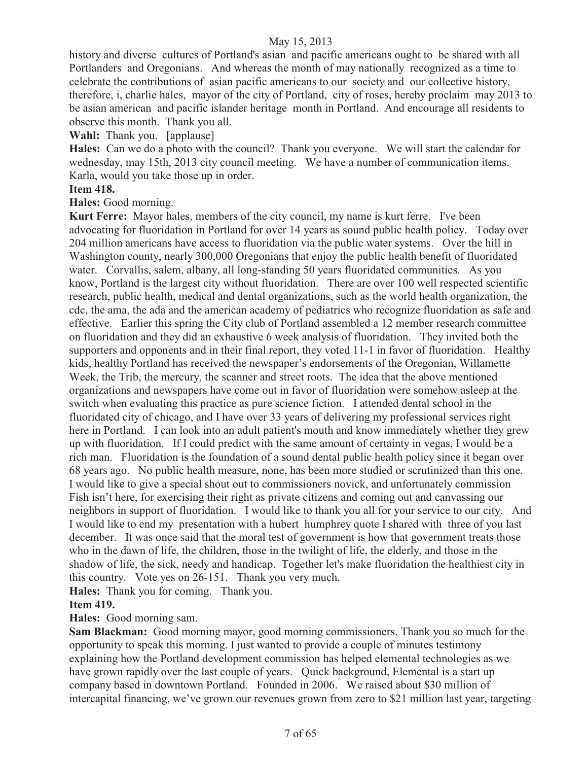history and diverse cultures of Portland's asian and pacific americans ought to be shared with all Portlanders and Oregonians. And whereas the month of may nationally recognized as a time to celebrate the contributions of asian pacific americans to our society and our collective history, therefore, i, charlie hales, mayor of the city of Portland, city of roses, hereby proclaim may 2013 to be asian american and pacific islander heritage month in Portland. And encourage all residents to observe this month. Thank you all.

**Wahl:** Thank you. [applause]

**Hales:** Can we do a photo with the council?Thank you everyone. We will start the calendar for wednesday, may 15th, 2013 city council meeting. We have a number of communication items. Karla, would you take those up in order.

## **Item 418.**

**Hales:** Good morning.

**Kurt Ferre:** Mayor hales, members of the city council, my name is kurt ferre. I've been advocating for fluoridation in Portland for over 14 years as sound public health policy. Today over 204 million americans have access to fluoridation via the public water systems. Over the hill in Washington county, nearly 300,000 Oregonians that enjoy the public health benefit of fluoridated water. Corvallis, salem, albany, all long-standing 50 years fluoridated communities. As you know, Portland is the largest city without fluoridation. There are over 100 well respected scientific research, public health, medical and dental organizations, such as the world health organization, the cdc, the ama, the ada and the american academy of pediatrics who recognize fluoridation as safe and effective. Earlier this spring the City club of Portland assembled a 12 member research committee on fluoridation and they did an exhaustive 6 week analysis of fluoridation. They invited both the supporters and opponents and in their final report, they voted 11-1 in favor of fluoridation. Healthy kids, healthy Portland has received the newspaper's endorsements of the Oregonian, Willamette Week, the Trib, the mercury, the scanner and street roots. The idea that the above mentioned organizations and newspapers have come out in favor of fluoridation were somehow asleep at the switch when evaluating this practice as pure science fiction. I attended dental school in the fluoridated city of chicago, and I have over 33 years of delivering my professional services right here in Portland. I can look into an adult patient's mouth and know immediately whether they grew up with fluoridation. If I could predict with the same amount of certainty in vegas, I would be a rich man. Fluoridation is the foundation of a sound dental public health policy since it began over 68 years ago. No public health measure, none, has been more studied or scrutinized than this one. I would like to give a special shout out to commissioners novick, and unfortunately commission Fish isn't here, for exercising their right as private citizens and coming out and canvassing our neighbors in support of fluoridation. I would like to thank you all for your service to our city. And I would like to end my presentation with a hubert humphrey quote I shared with three of you last december. It was once said that the moral test of government is how that government treats those who in the dawn of life, the children, those in the twilight of life, the elderly, and those in the shadow of life, the sick, needy and handicap. Together let's make fluoridation the healthiest city in this country. Vote yes on 26-151. Thank you very much.

**Hales:** Thank you for coming. Thank you.

#### **Item 419.**

**Hales:** Good morning sam.

**Sam Blackman:** Good morning mayor, good morning commissioners. Thank you so much for the opportunity to speak this morning. I just wanted to provide a couple of minutes testimony explaining how the Portland development commission has helped elemental technologies as we have grown rapidly over the last couple of years. Quick background, Elemental is a start up company based in downtown Portland. Founded in 2006. We raised about \$30 million of intercapital financing, we've grown our revenues grown from zero to \$21 million last year, targeting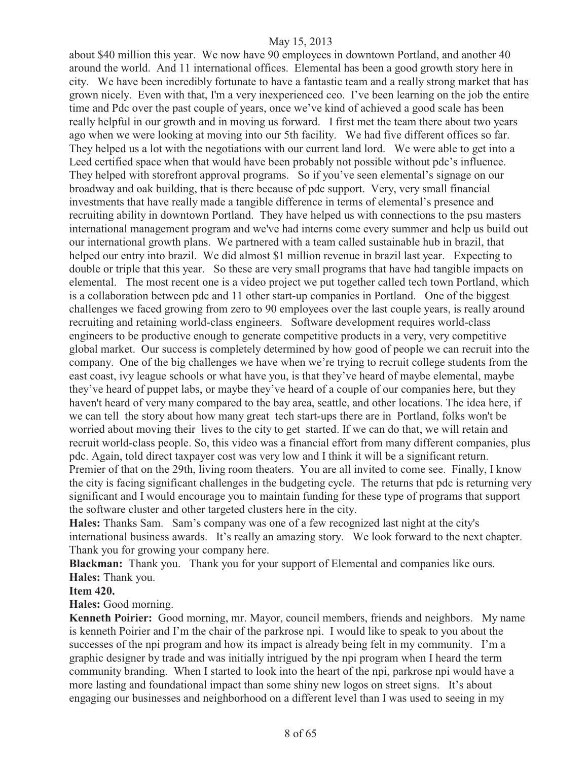about \$40 million this year. We now have 90 employees in downtown Portland, and another 40 around the world. And 11 international offices. Elemental has been a good growth story here in city. We have been incredibly fortunate to have a fantastic team and a really strong market that has grown nicely. Even with that, I'm a very inexperienced ceo. I've been learning on the job the entire time and Pdc over the past couple of years, once we've kind of achieved a good scale has been really helpful in our growth and in moving us forward. I first met the team there about two years ago when we were looking at moving into our 5th facility. We had five different offices so far. They helped us a lot with the negotiations with our current land lord. We were able to get into a Leed certified space when that would have been probably not possible without pdc's influence. They helped with storefront approval programs. So if you've seen elemental's signage on our broadway and oak building, that is there because of pdc support. Very, very small financial investments that have really made a tangible difference in terms of elemental's presence and recruiting ability in downtown Portland. They have helped us with connections to the psu masters international management program and we've had interns come every summer and help us build out our international growth plans. We partnered with a team called sustainable hub in brazil, that helped our entry into brazil. We did almost \$1 million revenue in brazil last year. Expecting to double or triple that this year. So these are very small programs that have had tangible impacts on elemental. The most recent one is a video project we put together called tech town Portland, which is a collaboration between pdc and 11 other start-up companies in Portland. One of the biggest challenges we faced growing from zero to 90 employees over the last couple years, is really around recruiting and retaining world-class engineers. Software development requires world-class engineers to be productive enough to generate competitive products in a very, very competitive global market. Our success is completely determined by how good of people we can recruit into the company. One of the big challenges we have when we're trying to recruit college students from the east coast, ivy league schools or what have you, is that they've heard of maybe elemental, maybe they've heard of puppet labs, or maybe they've heard of a couple of our companies here, but they haven't heard of very many compared to the bay area, seattle, and other locations. The idea here, if we can tell the story about how many great tech start-ups there are in Portland, folks won't be worried about moving their lives to the city to get started. If we can do that, we will retain and recruit world-class people. So, this video was a financial effort from many different companies, plus pdc. Again, told direct taxpayer cost was very low and I think it will be a significant return. Premier of that on the 29th, living room theaters. You are all invited to come see. Finally, I know the city is facing significant challenges in the budgeting cycle. The returns that pdc is returning very significant and I would encourage you to maintain funding for these type of programs that support the software cluster and other targeted clusters here in the city.

**Hales:** Thanks Sam. Sam's company was one of a few recognized last night at the city's international business awards. It's really an amazing story. We look forward to the next chapter. Thank you for growing your company here.

**Blackman:** Thank you. Thank you for your support of Elemental and companies like ours. **Hales:** Thank you.

#### **Item 420.**

**Hales:** Good morning.

**Kenneth Poirier:** Good morning, mr. Mayor, council members, friends and neighbors. My name is kenneth Poirier and I'm the chair of the parkrose npi. I would like to speak to you about the successes of the npi program and how its impact is already being felt in my community. I'm a graphic designer by trade and was initially intrigued by the npi program when I heard the term community branding. When I started to look into the heart of the npi, parkrose npi would have a more lasting and foundational impact than some shiny new logos on street signs. It's about engaging our businesses and neighborhood on a different level than I was used to seeing in my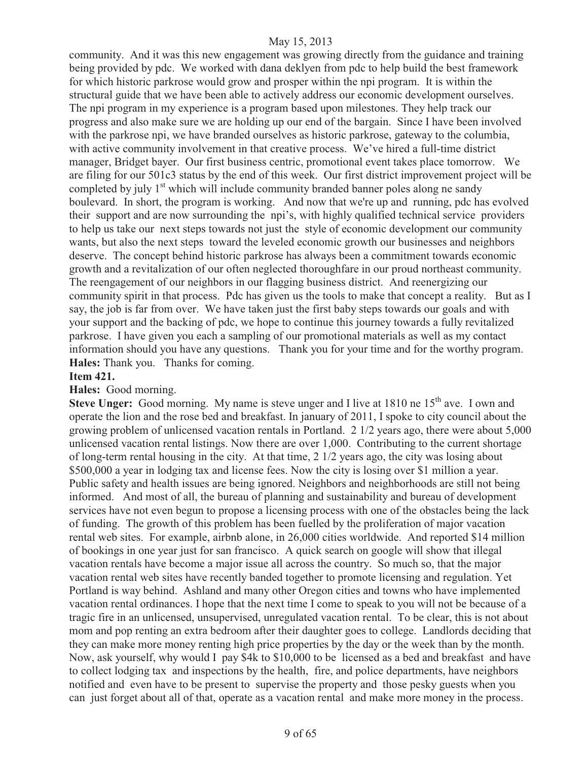community. And it was this new engagement was growing directly from the guidance and training being provided by pdc. We worked with dana deklyen from pdc to help build the best framework for which historic parkrose would grow and prosper within the npi program. It is within the structural guide that we have been able to actively address our economic development ourselves. The npi program in my experience is a program based upon milestones. They help track our progress and also make sure we are holding up our end of the bargain. Since I have been involved with the parkrose npi, we have branded ourselves as historic parkrose, gateway to the columbia, with active community involvement in that creative process. We've hired a full-time district manager, Bridget bayer. Our first business centric, promotional event takes place tomorrow. We are filing for our 501c3 status by the end of this week. Our first district improvement project will be completed by july  $1<sup>st</sup>$  which will include community branded banner poles along ne sandy boulevard. In short, the program is working. And now that we're up and running, pdc has evolved their support and are now surrounding the npi's, with highly qualified technical service providers to help us take our next steps towards not just the style of economic development our community wants, but also the next steps toward the leveled economic growth our businesses and neighbors deserve. The concept behind historic parkrose has always been a commitment towards economic growth and a revitalization of our often neglected thoroughfare in our proud northeast community. The reengagement of our neighbors in our flagging business district. And reenergizing our community spirit in that process. Pdc has given us the tools to make that concept a reality. But as I say, the job is far from over. We have taken just the first baby steps towards our goals and with your support and the backing of pdc, we hope to continue this journey towards a fully revitalized parkrose. I have given you each a sampling of our promotional materials as well as my contact information should you have any questions. Thank you for your time and for the worthy program. **Hales:** Thank you. Thanks for coming.

#### **Item 421.**

**Hales:** Good morning.

**Steve Unger:** Good morning. My name is steve unger and I live at 1810 ne 15<sup>th</sup> ave. I own and operate the lion and the rose bed and breakfast. In january of 2011, I spoke to city council about the growing problem of unlicensed vacation rentals in Portland. 2 1/2 years ago, there were about 5,000 unlicensed vacation rental listings. Now there are over 1,000. Contributing to the current shortage of long-term rental housing in the city. At that time, 2 1/2 years ago, the city was losing about \$500,000 a year in lodging tax and license fees. Now the city is losing over \$1 million a year. Public safety and health issues are being ignored. Neighbors and neighborhoods are still not being informed. And most of all, the bureau of planning and sustainability and bureau of development services have not even begun to propose a licensing process with one of the obstacles being the lack of funding. The growth of this problem has been fuelled by the proliferation of major vacation rental web sites. For example, airbnb alone, in 26,000 cities worldwide. And reported \$14 million of bookings in one year just for san francisco. A quick search on google will show that illegal vacation rentals have become a major issue all across the country. So much so, that the major vacation rental web sites have recently banded together to promote licensing and regulation. Yet Portland is way behind. Ashland and many other Oregon cities and towns who have implemented vacation rental ordinances. I hope that the next time I come to speak to you will not be because of a tragic fire in an unlicensed, unsupervised, unregulated vacation rental. To be clear, this is not about mom and pop renting an extra bedroom after their daughter goes to college. Landlords deciding that they can make more money renting high price properties by the day or the week than by the month. Now, ask yourself, why would I pay \$4k to \$10,000 to be licensed as a bed and breakfast and have to collect lodging tax and inspections by the health, fire, and police departments, have neighbors notified and even have to be present to supervise the property and those pesky guests when you can just forget about all of that, operate as a vacation rental and make more money in the process.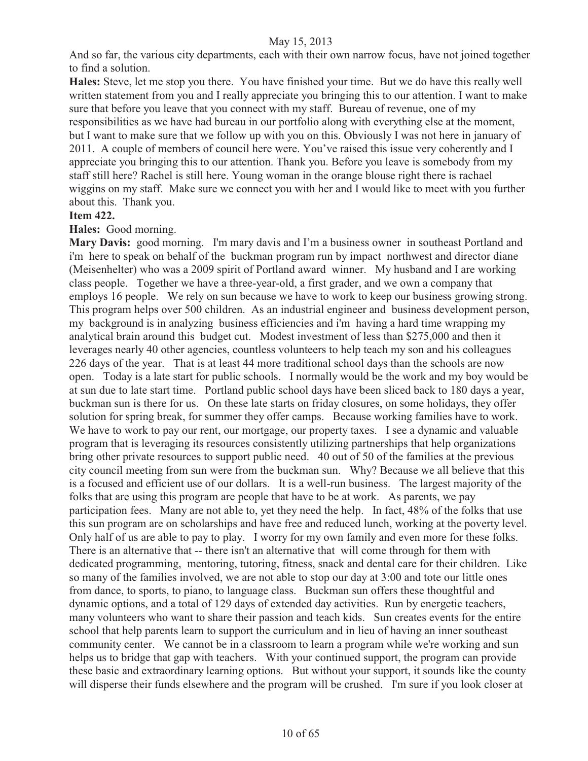And so far, the various city departments, each with their own narrow focus, have not joined together to find a solution.

**Hales:** Steve, let me stop you there. You have finished your time. But we do have this really well written statement from you and I really appreciate you bringing this to our attention. I want to make sure that before you leave that you connect with my staff. Bureau of revenue, one of my responsibilities as we have had bureau in our portfolio along with everything else at the moment, but I want to make sure that we follow up with you on this. Obviously I was not here in january of 2011. A couple of members of council here were. You've raised this issue very coherently and I appreciate you bringing this to our attention. Thank you. Before you leave is somebody from my staff still here? Rachel is still here. Young woman in the orange blouse right there is rachael wiggins on my staff. Make sure we connect you with her and I would like to meet with you further about this. Thank you.

#### **Item 422.**

#### **Hales:** Good morning.

**Mary Davis:** good morning. I'm mary davis and I'm a business owner in southeast Portland and i'm here to speak on behalf of the buckman program run by impact northwest and director diane (Meisenhelter) who was a 2009 spirit of Portland award winner. My husband and I are working class people. Together we have a three-year-old, a first grader, and we own a company that employs 16 people. We rely on sun because we have to work to keep our business growing strong. This program helps over 500 children. As an industrial engineer and business development person, my background is in analyzing business efficiencies and i'm having a hard time wrapping my analytical brain around this budget cut. Modest investment of less than \$275,000 and then it leverages nearly 40 other agencies, countless volunteers to help teach my son and his colleagues 226 days of the year. That is at least 44 more traditional school days than the schools are now open. Today is a late start for public schools. I normally would be the work and my boy would be at sun due to late start time. Portland public school days have been sliced back to 180 days a year, buckman sun is there for us. On these late starts on friday closures, on some holidays, they offer solution for spring break, for summer they offer camps. Because working families have to work. We have to work to pay our rent, our mortgage, our property taxes. I see a dynamic and valuable program that is leveraging its resources consistently utilizing partnerships that help organizations bring other private resources to support public need. 40 out of 50 of the families at the previous city council meeting from sun were from the buckman sun. Why? Because we all believe that this is a focused and efficient use of our dollars. It is a well-run business. The largest majority of the folks that are using this program are people that have to be at work. As parents, we pay participation fees. Many are not able to, yet they need the help. In fact, 48% of the folks that use this sun program are on scholarships and have free and reduced lunch, working at the poverty level. Only half of us are able to pay to play. I worry for my own family and even more for these folks. There is an alternative that -- there isn't an alternative that will come through for them with dedicated programming, mentoring, tutoring, fitness, snack and dental care for their children. Like so many of the families involved, we are not able to stop our day at 3:00 and tote our little ones from dance, to sports, to piano, to language class. Buckman sun offers these thoughtful and dynamic options, and a total of 129 days of extended day activities. Run by energetic teachers, many volunteers who want to share their passion and teach kids. Sun creates events for the entire school that help parents learn to support the curriculum and in lieu of having an inner southeast community center. We cannot be in a classroom to learn a program while we're working and sun helps us to bridge that gap with teachers. With your continued support, the program can provide these basic and extraordinary learning options. But without your support, it sounds like the county will disperse their funds elsewhere and the program will be crushed. I'm sure if you look closer at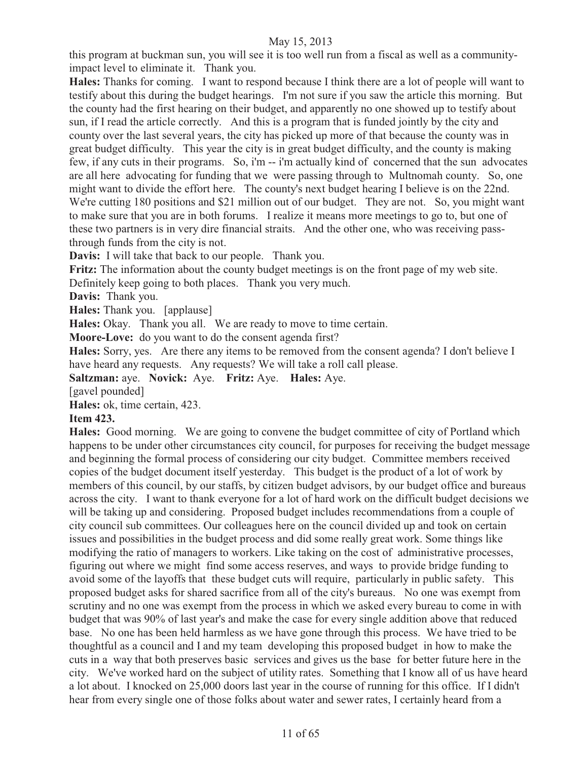this program at buckman sun, you will see it is too well run from a fiscal as well as a communityimpact level to eliminate it. Thank you.

**Hales:** Thanks for coming. I want to respond because I think there are a lot of people will want to testify about this during the budget hearings. I'm not sure if you saw the article this morning. But the county had the first hearing on their budget, and apparently no one showed up to testify about sun, if I read the article correctly. And this is a program that is funded jointly by the city and county over the last several years, the city has picked up more of that because the county was in great budget difficulty. This year the city is in great budget difficulty, and the county is making few, if any cuts in their programs. So, i'm -- i'm actually kind of concerned that the sun advocates are all here advocating for funding that we were passing through to Multnomah county. So, one might want to divide the effort here. The county's next budget hearing I believe is on the 22nd. We're cutting 180 positions and \$21 million out of our budget. They are not. So, you might want to make sure that you are in both forums. I realize it means more meetings to go to, but one of these two partners is in very dire financial straits. And the other one, who was receiving passthrough funds from the city is not.

**Davis:** I will take that back to our people. Thank you.

**Fritz:** The information about the county budget meetings is on the front page of my web site. Definitely keep going to both places. Thank you very much.

**Davis:** Thank you.

**Hales:** Thank you. [applause]

**Hales:** Okay. Thank you all. We are ready to move to time certain.

**Moore-Love:** do you want to do the consent agenda first?

**Hales:** Sorry, yes. Are there any items to be removed from the consent agenda? I don't believe I have heard any requests. Any requests? We will take a roll call please.

**Saltzman:** aye. **Novick:** Aye. **Fritz:** Aye. **Hales:** Aye.

[gavel pounded]

**Hales:** ok, time certain, 423.

# **Item 423.**

**Hales:** Good morning. We are going to convene the budget committee of city of Portland which happens to be under other circumstances city council, for purposes for receiving the budget message and beginning the formal process of considering our city budget. Committee members received copies of the budget document itself yesterday. This budget is the product of a lot of work by members of this council, by our staffs, by citizen budget advisors, by our budget office and bureaus across the city. I want to thank everyone for a lot of hard work on the difficult budget decisions we will be taking up and considering. Proposed budget includes recommendations from a couple of city council sub committees. Our colleagues here on the council divided up and took on certain issues and possibilities in the budget process and did some really great work. Some things like modifying the ratio of managers to workers. Like taking on the cost of administrative processes, figuring out where we might find some access reserves, and ways to provide bridge funding to avoid some of the layoffs that these budget cuts will require, particularly in public safety. This proposed budget asks for shared sacrifice from all of the city's bureaus. No one was exempt from scrutiny and no one was exempt from the process in which we asked every bureau to come in with budget that was 90% of last year's and make the case for every single addition above that reduced base. No one has been held harmless as we have gone through this process. We have tried to be thoughtful as a council and I and my team developing this proposed budget in how to make the cuts in a way that both preserves basic services and gives us the base for better future here in the city. We've worked hard on the subject of utility rates. Something that I know all of us have heard a lot about. I knocked on 25,000 doors last year in the course of running for this office. If I didn't hear from every single one of those folks about water and sewer rates, I certainly heard from a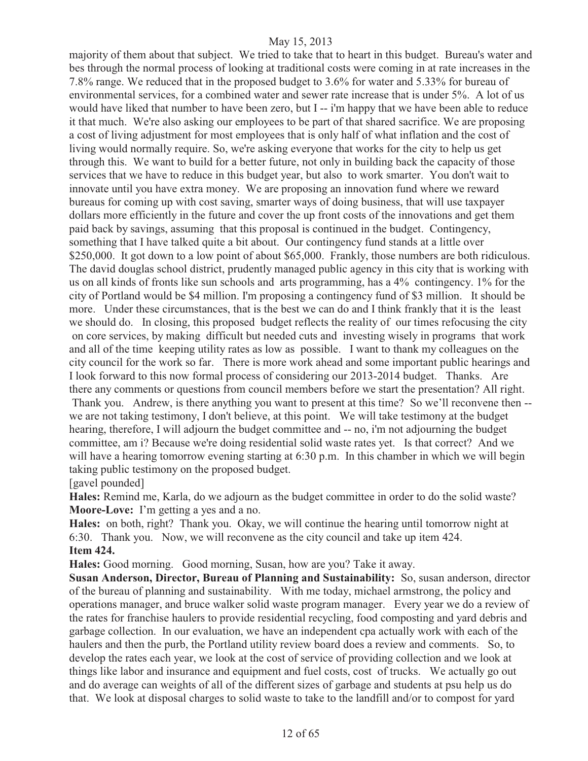majority of them about that subject. We tried to take that to heart in this budget. Bureau's water and bes through the normal process of looking at traditional costs were coming in at rate increases in the 7.8% range. We reduced that in the proposed budget to 3.6% for water and 5.33% for bureau of environmental services, for a combined water and sewer rate increase that is under 5%. A lot of us would have liked that number to have been zero, but I -- i'm happy that we have been able to reduce it that much. We're also asking our employees to be part of that shared sacrifice. We are proposing a cost of living adjustment for most employees that is only half of what inflation and the cost of living would normally require. So, we're asking everyone that works for the city to help us get through this. We want to build for a better future, not only in building back the capacity of those services that we have to reduce in this budget year, but also to work smarter. You don't wait to innovate until you have extra money. We are proposing an innovation fund where we reward bureaus for coming up with cost saving, smarter ways of doing business, that will use taxpayer dollars more efficiently in the future and cover the up front costs of the innovations and get them paid back by savings, assuming that this proposal is continued in the budget. Contingency, something that I have talked quite a bit about. Our contingency fund stands at a little over \$250,000. It got down to a low point of about \$65,000. Frankly, those numbers are both ridiculous. The david douglas school district, prudently managed public agency in this city that is working with us on all kinds of fronts like sun schools and arts programming, has a 4% contingency. 1% for the city of Portland would be \$4 million. I'm proposing a contingency fund of \$3 million. It should be more. Under these circumstances, that is the best we can do and I think frankly that it is the least we should do. In closing, this proposed budget reflects the reality of our times refocusing the city on core services, by making difficult but needed cuts and investing wisely in programs that work and all of the time keeping utility rates as low as possible. I want to thank my colleagues on the city council for the work so far. There is more work ahead and some important public hearings and I look forward to this now formal process of considering our 2013-2014 budget. Thanks. Are there any comments or questions from council members before we start the presentation? All right. Thank you. Andrew, is there anything you want to present at this time? So we'll reconvene then - we are not taking testimony, I don't believe, at this point. We will take testimony at the budget hearing, therefore, I will adjourn the budget committee and -- no, i'm not adjourning the budget committee, am i? Because we're doing residential solid waste rates yet. Is that correct? And we will have a hearing tomorrow evening starting at 6:30 p.m. In this chamber in which we will begin taking public testimony on the proposed budget.

[gavel pounded]

**Hales:** Remind me, Karla, do we adjourn as the budget committee in order to do the solid waste? **Moore-Love:** I'm getting a yes and a no.

**Hales:** on both, right? Thank you. Okay, we will continue the hearing until tomorrow night at 6:30. Thank you. Now, we will reconvene as the city council and take up item 424. **Item 424.** 

**Hales:** Good morning. Good morning, Susan, how are you? Take it away.

**Susan Anderson, Director, Bureau of Planning and Sustainability:** So, susan anderson, director of the bureau of planning and sustainability. With me today, michael armstrong, the policy and operations manager, and bruce walker solid waste program manager. Every year we do a review of the rates for franchise haulers to provide residential recycling, food composting and yard debris and garbage collection. In our evaluation, we have an independent cpa actually work with each of the haulers and then the purb, the Portland utility review board does a review and comments. So, to develop the rates each year, we look at the cost of service of providing collection and we look at things like labor and insurance and equipment and fuel costs, cost of trucks. We actually go out and do average can weights of all of the different sizes of garbage and students at psu help us do that. We look at disposal charges to solid waste to take to the landfill and/or to compost for yard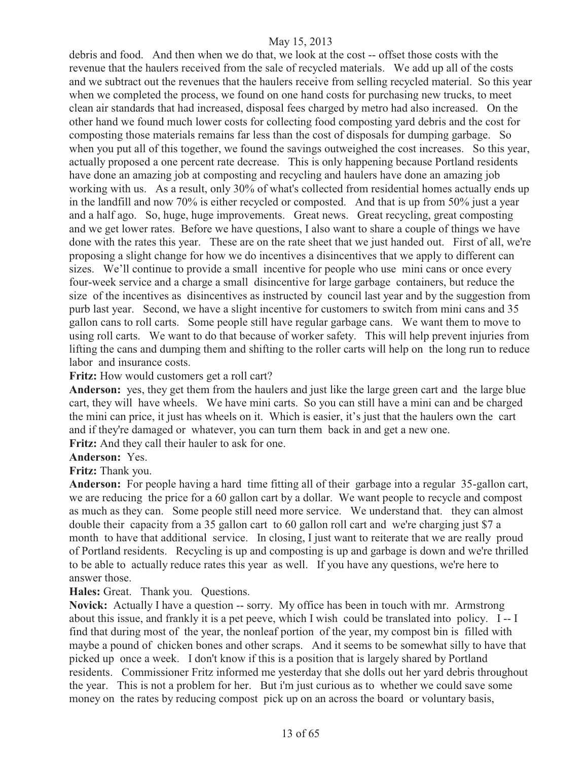debris and food. And then when we do that, we look at the cost -- offset those costs with the revenue that the haulers received from the sale of recycled materials. We add up all of the costs and we subtract out the revenues that the haulers receive from selling recycled material. So this year when we completed the process, we found on one hand costs for purchasing new trucks, to meet clean air standards that had increased, disposal fees charged by metro had also increased. On the other hand we found much lower costs for collecting food composting yard debris and the cost for composting those materials remains far less than the cost of disposals for dumping garbage. So when you put all of this together, we found the savings outweighed the cost increases. So this year, actually proposed a one percent rate decrease. This is only happening because Portland residents have done an amazing job at composting and recycling and haulers have done an amazing job working with us. As a result, only 30% of what's collected from residential homes actually ends up in the landfill and now 70% is either recycled or composted. And that is up from 50% just a year and a half ago. So, huge, huge improvements. Great news. Great recycling, great composting and we get lower rates. Before we have questions, I also want to share a couple of things we have done with the rates this year. These are on the rate sheet that we just handed out. First of all, we're proposing a slight change for how we do incentives a disincentives that we apply to different can sizes. We'll continue to provide a small incentive for people who use mini cans or once every four-week service and a charge a small disincentive for large garbage containers, but reduce the size of the incentives as disincentives as instructed by council last year and by the suggestion from purb last year. Second, we have a slight incentive for customers to switch from mini cans and 35 gallon cans to roll carts. Some people still have regular garbage cans. We want them to move to using roll carts. We want to do that because of worker safety. This will help prevent injuries from lifting the cans and dumping them and shifting to the roller carts will help on the long run to reduce labor and insurance costs.

#### **Fritz:** How would customers get a roll cart?

**Anderson:** yes, they get them from the haulers and just like the large green cart and the large blue cart, they will have wheels. We have mini carts. So you can still have a mini can and be charged the mini can price, it just has wheels on it. Which is easier, it's just that the haulers own the cart and if they're damaged or whatever, you can turn them back in and get a new one.

**Fritz:** And they call their hauler to ask for one.

# **Anderson:** Yes.

**Fritz:** Thank you.

**Anderson:** For people having a hard time fitting all of their garbage into a regular 35-gallon cart, we are reducing the price for a 60 gallon cart by a dollar. We want people to recycle and compost as much as they can. Some people still need more service. We understand that. they can almost double their capacity from a 35 gallon cart to 60 gallon roll cart and we're charging just \$7 a month to have that additional service. In closing, I just want to reiterate that we are really proud of Portland residents. Recycling is up and composting is up and garbage is down and we're thrilled to be able to actually reduce rates this year as well. If you have any questions, we're here to answer those.

**Hales:** Great. Thank you. Questions.

**Novick:** Actually I have a question -- sorry. My office has been in touch with mr. Armstrong about this issue, and frankly it is a pet peeve, which I wish could be translated into policy. I -- I find that during most of the year, the nonleaf portion of the year, my compost bin is filled with maybe a pound of chicken bones and other scraps. And it seems to be somewhat silly to have that picked up once a week. I don't know if this is a position that is largely shared by Portland residents. Commissioner Fritz informed me yesterday that she dolls out her yard debris throughout the year. This is not a problem for her. But i'm just curious as to whether we could save some money on the rates by reducing compost pick up on an across the board or voluntary basis,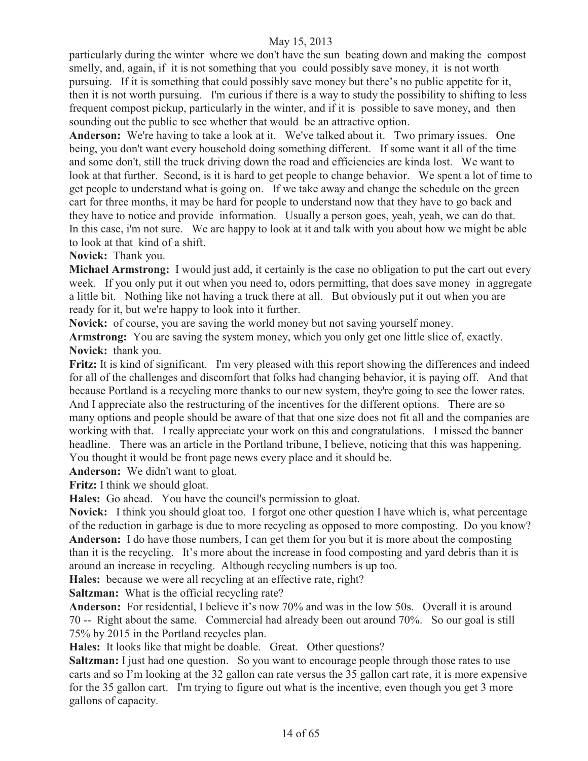particularly during the winter where we don't have the sun beating down and making the compost smelly, and, again, if it is not something that you could possibly save money, it is not worth pursuing. If it is something that could possibly save money but there's no public appetite for it, then it is not worth pursuing. I'm curious if there is a way to study the possibility to shifting to less frequent compost pickup, particularly in the winter, and if it is possible to save money, and then sounding out the public to see whether that would be an attractive option.

**Anderson:** We're having to take a look at it. We've talked about it. Two primary issues. One being, you don't want every household doing something different. If some want it all of the time and some don't, still the truck driving down the road and efficiencies are kinda lost. We want to look at that further. Second, is it is hard to get people to change behavior. We spent a lot of time to get people to understand what is going on. If we take away and change the schedule on the green cart for three months, it may be hard for people to understand now that they have to go back and they have to notice and provide information. Usually a person goes, yeah, yeah, we can do that. In this case, i'm not sure. We are happy to look at it and talk with you about how we might be able to look at that kind of a shift.

**Novick:** Thank you.

**Michael Armstrong:** I would just add, it certainly is the case no obligation to put the cart out every week. If you only put it out when you need to, odors permitting, that does save money in aggregate a little bit. Nothing like not having a truck there at all. But obviously put it out when you are ready for it, but we're happy to look into it further.

**Novick:** of course, you are saving the world money but not saving yourself money.

**Armstrong:** You are saving the system money, which you only get one little slice of, exactly. **Novick:** thank you.

**Fritz:** It is kind of significant. I'm very pleased with this report showing the differences and indeed for all of the challenges and discomfort that folks had changing behavior, it is paying off. And that because Portland is a recycling more thanks to our new system, they're going to see the lower rates. And I appreciate also the restructuring of the incentives for the different options. There are so many options and people should be aware of that that one size does not fit all and the companies are working with that. I really appreciate your work on this and congratulations. I missed the banner headline. There was an article in the Portland tribune, I believe, noticing that this was happening. You thought it would be front page news every place and it should be.

**Anderson:** We didn't want to gloat.

**Fritz:** I think we should gloat.

**Hales:** Go ahead. You have the council's permission to gloat.

**Novick:** I think you should gloat too. I forgot one other question I have which is, what percentage of the reduction in garbage is due to more recycling as opposed to more composting. Do you know? **Anderson:** I do have those numbers, I can get them for you but it is more about the composting than it is the recycling. It's more about the increase in food composting and yard debris than it is around an increase in recycling. Although recycling numbers is up too.

**Hales:** because we were all recycling at an effective rate, right?

**Saltzman:** What is the official recycling rate?

**Anderson:** For residential, I believe it's now 70% and was in the low 50s. Overall it is around 70 -- Right about the same. Commercial had already been out around 70%. So our goal is still 75% by 2015 in the Portland recycles plan.

**Hales:** It looks like that might be doable. Great. Other questions?

**Saltzman:** I just had one question. So you want to encourage people through those rates to use carts and so I'm looking at the 32 gallon can rate versus the 35 gallon cart rate, it is more expensive for the 35 gallon cart. I'm trying to figure out what is the incentive, even though you get 3 more gallons of capacity.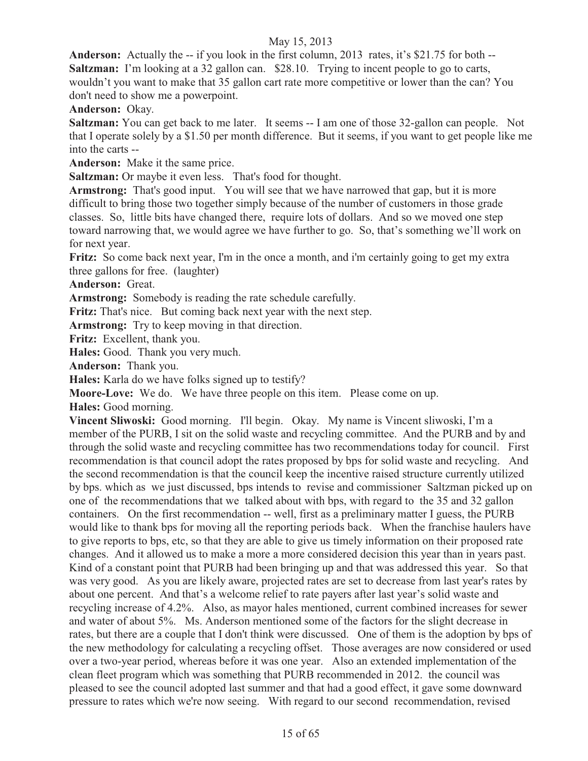**Anderson:** Actually the -- if you look in the first column, 2013 rates, it's \$21.75 for both -- **Saltzman:** I'm looking at a 32 gallon can. \$28.10. Trying to incent people to go to carts, wouldn't you want to make that 35 gallon cart rate more competitive or lower than the can? You don't need to show me a powerpoint.

**Anderson:** Okay.

**Saltzman:** You can get back to me later. It seems -- I am one of those 32-gallon can people. Not that I operate solely by a \$1.50 per month difference. But it seems, if you want to get people like me into the carts --

**Anderson:** Make it the same price.

**Saltzman:** Or maybe it even less. That's food for thought.

**Armstrong:** That's good input. You will see that we have narrowed that gap, but it is more difficult to bring those two together simply because of the number of customers in those grade classes. So, little bits have changed there, require lots of dollars. And so we moved one step toward narrowing that, we would agree we have further to go. So, that's something we'll work on for next year.

Fritz: So come back next year, I'm in the once a month, and i'm certainly going to get my extra three gallons for free. (laughter)

#### **Anderson:** Great.

**Armstrong:** Somebody is reading the rate schedule carefully.

**Fritz:** That's nice. But coming back next year with the next step.

**Armstrong:** Try to keep moving in that direction.

**Fritz:** Excellent, thank you.

**Hales:** Good. Thank you very much.

**Anderson:** Thank you.

**Hales:** Karla do we have folks signed up to testify?

**Moore-Love:** We do. We have three people on this item. Please come on up.

**Hales:** Good morning.

**Vincent Sliwoski:** Good morning. I'll begin. Okay. My name is Vincent sliwoski, I'm a member of the PURB, I sit on the solid waste and recycling committee. And the PURB and by and through the solid waste and recycling committee has two recommendations today for council. First recommendation is that council adopt the rates proposed by bps for solid waste and recycling. And the second recommendation is that the council keep the incentive raised structure currently utilized by bps. which as we just discussed, bps intends to revise and commissioner Saltzman picked up on one of the recommendations that we talked about with bps, with regard to the 35 and 32 gallon containers. On the first recommendation -- well, first as a preliminary matter I guess, the PURB would like to thank bps for moving all the reporting periods back. When the franchise haulers have to give reports to bps, etc, so that they are able to give us timely information on their proposed rate changes. And it allowed us to make a more a more considered decision this year than in years past. Kind of a constant point that PURB had been bringing up and that was addressed this year. So that was very good. As you are likely aware, projected rates are set to decrease from last year's rates by about one percent. And that's a welcome relief to rate payers after last year's solid waste and recycling increase of 4.2%. Also, as mayor hales mentioned, current combined increases for sewer and water of about 5%. Ms. Anderson mentioned some of the factors for the slight decrease in rates, but there are a couple that I don't think were discussed. One of them is the adoption by bps of the new methodology for calculating a recycling offset. Those averages are now considered or used over a two-year period, whereas before it was one year. Also an extended implementation of the clean fleet program which was something that PURB recommended in 2012. the council was pleased to see the council adopted last summer and that had a good effect, it gave some downward pressure to rates which we're now seeing. With regard to our second recommendation, revised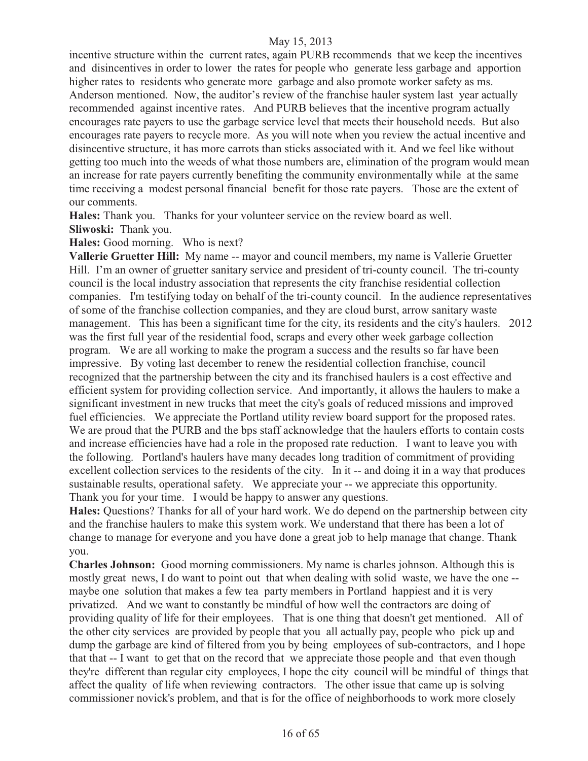incentive structure within the current rates, again PURB recommends that we keep the incentives and disincentives in order to lower the rates for people who generate less garbage and apportion higher rates to residents who generate more garbage and also promote worker safety as ms. Anderson mentioned. Now, the auditor's review of the franchise hauler system last year actually recommended against incentive rates. And PURB believes that the incentive program actually encourages rate payers to use the garbage service level that meets their household needs. But also encourages rate payers to recycle more. As you will note when you review the actual incentive and disincentive structure, it has more carrots than sticks associated with it. And we feel like without getting too much into the weeds of what those numbers are, elimination of the program would mean an increase for rate payers currently benefiting the community environmentally while at the same time receiving a modest personal financial benefit for those rate payers. Those are the extent of our comments.

**Hales:** Thank you. Thanks for your volunteer service on the review board as well. **Sliwoski:** Thank you.

**Hales:** Good morning. Who is next?

**Vallerie Gruetter Hill:** My name -- mayor and council members, my name is Vallerie Gruetter Hill. I'm an owner of gruetter sanitary service and president of tri-county council. The tri-county council is the local industry association that represents the city franchise residential collection companies. I'm testifying today on behalf of the tri-county council. In the audience representatives of some of the franchise collection companies, and they are cloud burst, arrow sanitary waste management. This has been a significant time for the city, its residents and the city's haulers. 2012 was the first full year of the residential food, scraps and every other week garbage collection program. We are all working to make the program a success and the results so far have been impressive. By voting last december to renew the residential collection franchise, council recognized that the partnership between the city and its franchised haulers is a cost effective and efficient system for providing collection service. And importantly, it allows the haulers to make a significant investment in new trucks that meet the city's goals of reduced missions and improved fuel efficiencies. We appreciate the Portland utility review board support for the proposed rates. We are proud that the PURB and the bps staff acknowledge that the haulers efforts to contain costs and increase efficiencies have had a role in the proposed rate reduction. I want to leave you with the following. Portland's haulers have many decades long tradition of commitment of providing excellent collection services to the residents of the city. In it -- and doing it in a way that produces sustainable results, operational safety. We appreciate your -- we appreciate this opportunity. Thank you for your time. I would be happy to answer any questions.

**Hales:** Questions? Thanks for all of your hard work. We do depend on the partnership between city and the franchise haulers to make this system work. We understand that there has been a lot of change to manage for everyone and you have done a great job to help manage that change. Thank you.

**Charles Johnson:** Good morning commissioners. My name is charles johnson. Although this is mostly great news, I do want to point out that when dealing with solid waste, we have the one - maybe one solution that makes a few tea party members in Portland happiest and it is very privatized. And we want to constantly be mindful of how well the contractors are doing of providing quality of life for their employees. That is one thing that doesn't get mentioned. All of the other city services are provided by people that you all actually pay, people who pick up and dump the garbage are kind of filtered from you by being employees of sub-contractors, and I hope that that -- I want to get that on the record that we appreciate those people and that even though they're different than regular city employees, I hope the city council will be mindful of things that affect the quality of life when reviewing contractors. The other issue that came up is solving commissioner novick's problem, and that is for the office of neighborhoods to work more closely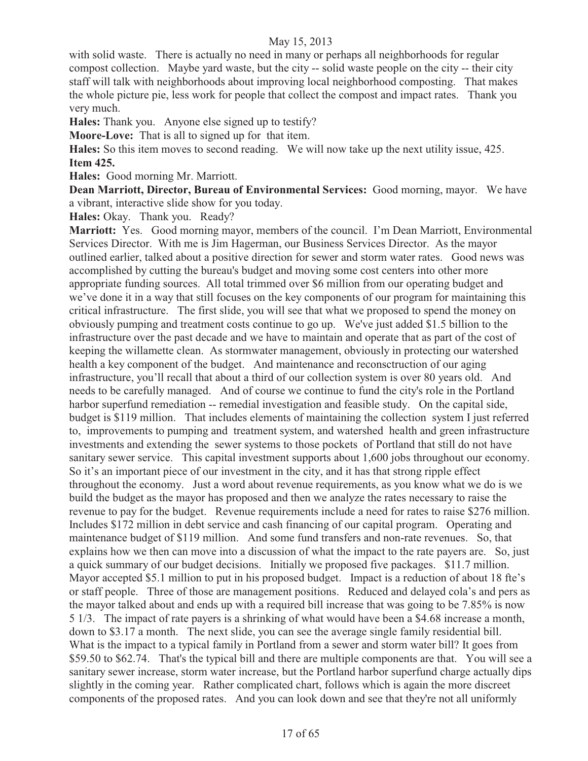with solid waste. There is actually no need in many or perhaps all neighborhoods for regular compost collection. Maybe yard waste, but the city -- solid waste people on the city -- their city staff will talk with neighborhoods about improving local neighborhood composting. That makes the whole picture pie, less work for people that collect the compost and impact rates. Thank you very much.

**Hales:** Thank you. Anyone else signed up to testify?

**Moore-Love:** That is all to signed up for that item.

**Hales:** So this item moves to second reading. We will now take up the next utility issue, 425. **Item 425.** 

**Hales:** Good morning Mr. Marriott.

**Dean Marriott, Director, Bureau of Environmental Services:** Good morning, mayor. We have a vibrant, interactive slide show for you today.

**Hales:** Okay. Thank you. Ready?

**Marriott:** Yes. Good morning mayor, members of the council. I'm Dean Marriott, Environmental Services Director. With me is Jim Hagerman, our Business Services Director. As the mayor outlined earlier, talked about a positive direction for sewer and storm water rates. Good news was accomplished by cutting the bureau's budget and moving some cost centers into other more appropriate funding sources. All total trimmed over \$6 million from our operating budget and we've done it in a way that still focuses on the key components of our program for maintaining this critical infrastructure. The first slide, you will see that what we proposed to spend the money on obviously pumping and treatment costs continue to go up. We've just added \$1.5 billion to the infrastructure over the past decade and we have to maintain and operate that as part of the cost of keeping the willamette clean. As stormwater management, obviously in protecting our watershed health a key component of the budget. And maintenance and reconsctruction of our aging infrastructure, you'll recall that about a third of our collection system is over 80 years old. And needs to be carefully managed. And of course we continue to fund the city's role in the Portland harbor superfund remediation -- remedial investigation and feasible study. On the capital side, budget is \$119 million. That includes elements of maintaining the collection system I just referred to, improvements to pumping and treatment system, and watershed health and green infrastructure investments and extending the sewer systems to those pockets of Portland that still do not have sanitary sewer service. This capital investment supports about 1,600 jobs throughout our economy. So it's an important piece of our investment in the city, and it has that strong ripple effect throughout the economy. Just a word about revenue requirements, as you know what we do is we build the budget as the mayor has proposed and then we analyze the rates necessary to raise the revenue to pay for the budget. Revenue requirements include a need for rates to raise \$276 million. Includes \$172 million in debt service and cash financing of our capital program. Operating and maintenance budget of \$119 million. And some fund transfers and non-rate revenues. So, that explains how we then can move into a discussion of what the impact to the rate payers are. So, just a quick summary of our budget decisions. Initially we proposed five packages. \$11.7 million. Mayor accepted \$5.1 million to put in his proposed budget. Impact is a reduction of about 18 fte's or staff people. Three of those are management positions. Reduced and delayed cola's and pers as the mayor talked about and ends up with a required bill increase that was going to be 7.85% is now 5 1/3. The impact of rate payers is a shrinking of what would have been a \$4.68 increase a month, down to \$3.17 a month. The next slide, you can see the average single family residential bill. What is the impact to a typical family in Portland from a sewer and storm water bill? It goes from \$59.50 to \$62.74. That's the typical bill and there are multiple components are that. You will see a sanitary sewer increase, storm water increase, but the Portland harbor superfund charge actually dips slightly in the coming year. Rather complicated chart, follows which is again the more discreet components of the proposed rates. And you can look down and see that they're not all uniformly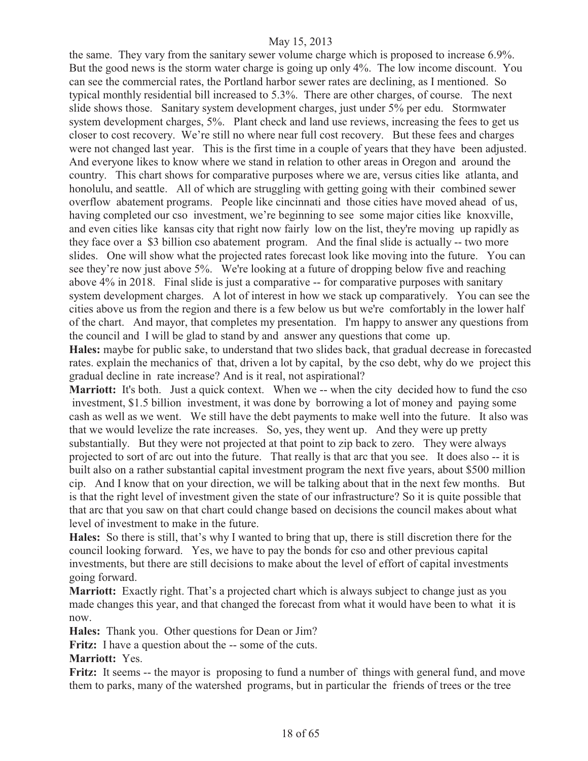the same. They vary from the sanitary sewer volume charge which is proposed to increase 6.9%. But the good news is the storm water charge is going up only 4%. The low income discount. You can see the commercial rates, the Portland harbor sewer rates are declining, as I mentioned. So typical monthly residential bill increased to 5.3%. There are other charges, of course. The next slide shows those. Sanitary system development charges, just under 5% per edu. Stormwater system development charges, 5%. Plant check and land use reviews, increasing the fees to get us closer to cost recovery. We're still no where near full cost recovery. But these fees and charges were not changed last year. This is the first time in a couple of years that they have been adjusted. And everyone likes to know where we stand in relation to other areas in Oregon and around the country. This chart shows for comparative purposes where we are, versus cities like atlanta, and honolulu, and seattle. All of which are struggling with getting going with their combined sewer overflow abatement programs. People like cincinnati and those cities have moved ahead of us, having completed our cso investment, we're beginning to see some major cities like knoxville, and even cities like kansas city that right now fairly low on the list, they're moving up rapidly as they face over a \$3 billion cso abatement program. And the final slide is actually -- two more slides. One will show what the projected rates forecast look like moving into the future. You can see they're now just above 5%. We're looking at a future of dropping below five and reaching above 4% in 2018. Final slide is just a comparative -- for comparative purposes with sanitary system development charges. A lot of interest in how we stack up comparatively. You can see the cities above us from the region and there is a few below us but we're comfortably in the lower half of the chart. And mayor, that completes my presentation. I'm happy to answer any questions from the council and I will be glad to stand by and answer any questions that come up.

**Hales:** maybe for public sake, to understand that two slides back, that gradual decrease in forecasted rates. explain the mechanics of that, driven a lot by capital, by the cso debt, why do we project this gradual decline in rate increase? And is it real, not aspirational?

Marriott: It's both. Just a quick context. When we -- when the city decided how to fund the cso investment, \$1.5 billion investment, it was done by borrowing a lot of money and paying some cash as well as we went. We still have the debt payments to make well into the future. It also was that we would levelize the rate increases. So, yes, they went up. And they were up pretty substantially. But they were not projected at that point to zip back to zero. They were always projected to sort of arc out into the future. That really is that arc that you see. It does also -- it is built also on a rather substantial capital investment program the next five years, about \$500 million cip. And I know that on your direction, we will be talking about that in the next few months. But is that the right level of investment given the state of our infrastructure? So it is quite possible that that arc that you saw on that chart could change based on decisions the council makes about what level of investment to make in the future.

**Hales:** So there is still, that's why I wanted to bring that up, there is still discretion there for the council looking forward. Yes, we have to pay the bonds for cso and other previous capital investments, but there are still decisions to make about the level of effort of capital investments going forward.

**Marriott:** Exactly right. That's a projected chart which is always subject to change just as you made changes this year, and that changed the forecast from what it would have been to what it is now.

**Hales:** Thank you. Other questions for Dean or Jim?

**Fritz:** I have a question about the -- some of the cuts.

**Marriott:** Yes.

**Fritz:** It seems -- the mayor is proposing to fund a number of things with general fund, and move them to parks, many of the watershed programs, but in particular the friends of trees or the tree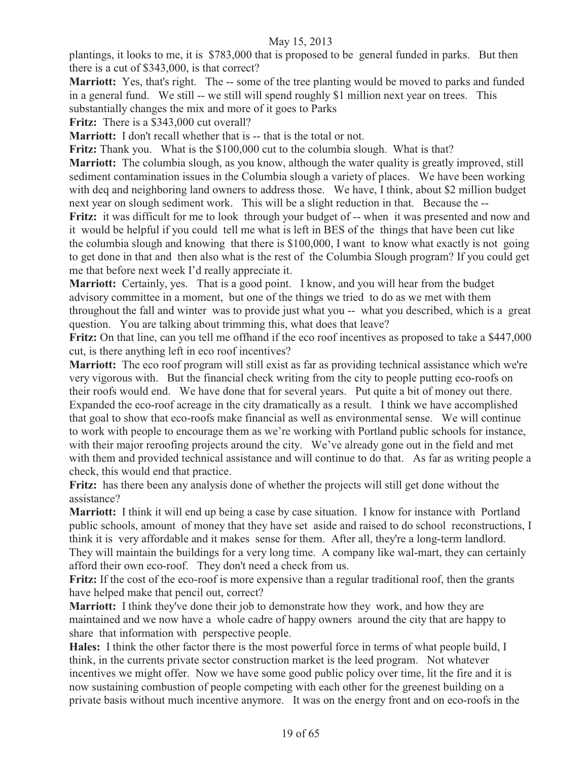plantings, it looks to me, it is \$783,000 that is proposed to be general funded in parks. But then there is a cut of \$343,000, is that correct?

**Marriott:** Yes, that's right. The -- some of the tree planting would be moved to parks and funded in a general fund. We still -- we still will spend roughly \$1 million next year on trees. This substantially changes the mix and more of it goes to Parks

Fritz: There is a \$343,000 cut overall?

**Marriott:** I don't recall whether that is -- that is the total or not.

**Fritz:** Thank you. What is the \$100,000 cut to the columbia slough. What is that?

**Marriott:** The columbia slough, as you know, although the water quality is greatly improved, still sediment contamination issues in the Columbia slough a variety of places. We have been working with deq and neighboring land owners to address those. We have, I think, about \$2 million budget next year on slough sediment work. This will be a slight reduction in that. Because the -- Fritz: it was difficult for me to look through your budget of -- when it was presented and now and it would be helpful if you could tell me what is left in BES of the things that have been cut like the columbia slough and knowing that there is \$100,000, I want to know what exactly is not going to get done in that and then also what is the rest of the Columbia Slough program? If you could get

me that before next week I'd really appreciate it.

**Marriott:** Certainly, yes. That is a good point. I know, and you will hear from the budget advisory committee in a moment, but one of the things we tried to do as we met with them throughout the fall and winter was to provide just what you -- what you described, which is a great question. You are talking about trimming this, what does that leave?

**Fritz:** On that line, can you tell me offhand if the eco roof incentives as proposed to take a \$447,000 cut, is there anything left in eco roof incentives?

**Marriott:** The eco roof program will still exist as far as providing technical assistance which we're very vigorous with. But the financial check writing from the city to people putting eco-roofs on their roofs would end. We have done that for several years. Put quite a bit of money out there. Expanded the eco-roof acreage in the city dramatically as a result. I think we have accomplished that goal to show that eco-roofs make financial as well as environmental sense. We will continue to work with people to encourage them as we're working with Portland public schools for instance, with their major reroofing projects around the city. We've already gone out in the field and met with them and provided technical assistance and will continue to do that. As far as writing people a check, this would end that practice.

**Fritz:** has there been any analysis done of whether the projects will still get done without the assistance?

**Marriott:** I think it will end up being a case by case situation. I know for instance with Portland public schools, amount of money that they have set aside and raised to do school reconstructions, I think it is very affordable and it makes sense for them. After all, they're a long-term landlord. They will maintain the buildings for a very long time. A company like wal-mart, they can certainly afford their own eco-roof. They don't need a check from us.

**Fritz:** If the cost of the eco-roof is more expensive than a regular traditional roof, then the grants have helped make that pencil out, correct?

**Marriott:** I think they've done their job to demonstrate how they work, and how they are maintained and we now have a whole cadre of happy owners around the city that are happy to share that information with perspective people.

**Hales:** I think the other factor there is the most powerful force in terms of what people build, I think, in the currents private sector construction market is the leed program. Not whatever incentives we might offer. Now we have some good public policy over time, lit the fire and it is now sustaining combustion of people competing with each other for the greenest building on a private basis without much incentive anymore. It was on the energy front and on eco-roofs in the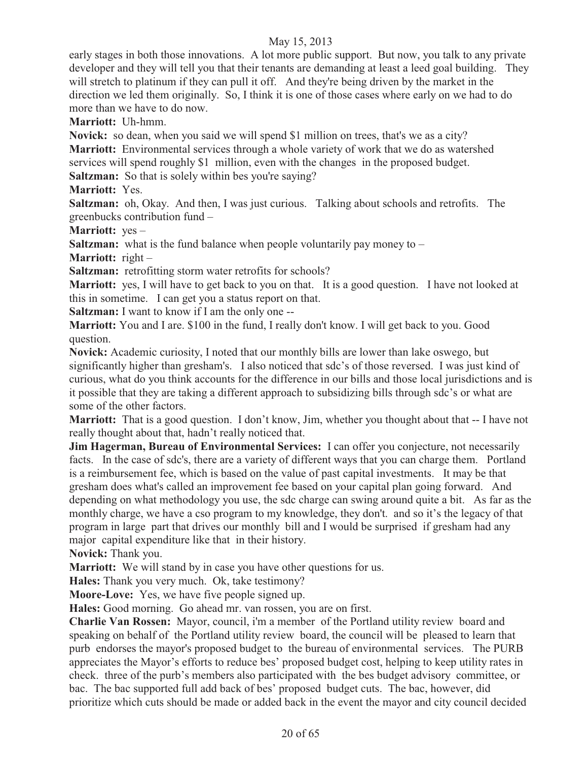early stages in both those innovations. A lot more public support. But now, you talk to any private developer and they will tell you that their tenants are demanding at least a leed goal building. They will stretch to platinum if they can pull it off. And they're being driven by the market in the direction we led them originally. So, I think it is one of those cases where early on we had to do more than we have to do now.

**Marriott:** Uh-hmm.

**Novick:** so dean, when you said we will spend \$1 million on trees, that's we as a city?

**Marriott:** Environmental services through a whole variety of work that we do as watershed

services will spend roughly \$1 million, even with the changes in the proposed budget.

**Saltzman:** So that is solely within bes you're saying?

**Marriott:** Yes.

**Saltzman:** oh, Okay. And then, I was just curious. Talking about schools and retrofits. The greenbucks contribution fund –

**Marriott:** yes –

**Saltzman:** what is the fund balance when people voluntarily pay money to –

**Marriott:** right –

**Saltzman:** retrofitting storm water retrofits for schools?

**Marriott:** yes, I will have to get back to you on that. It is a good question. I have not looked at this in sometime. I can get you a status report on that.

**Saltzman:** I want to know if I am the only one --

**Marriott:** You and I are. \$100 in the fund, I really don't know. I will get back to you. Good question.

**Novick:** Academic curiosity, I noted that our monthly bills are lower than lake oswego, but significantly higher than gresham's. I also noticed that sdc's of those reversed. I was just kind of curious, what do you think accounts for the difference in our bills and those local jurisdictions and is it possible that they are taking a different approach to subsidizing bills through sdc's or what are some of the other factors.

**Marriott:** That is a good question. I don't know, Jim, whether you thought about that -- I have not really thought about that, hadn't really noticed that.

**Jim Hagerman, Bureau of Environmental Services:** I can offer you conjecture, not necessarily facts. In the case of sdc's, there are a variety of different ways that you can charge them. Portland is a reimbursement fee, which is based on the value of past capital investments. It may be that gresham does what's called an improvement fee based on your capital plan going forward. And depending on what methodology you use, the sdc charge can swing around quite a bit. As far as the monthly charge, we have a cso program to my knowledge, they don't. and so it's the legacy of that program in large part that drives our monthly bill and I would be surprised if gresham had any major capital expenditure like that in their history.

**Novick:** Thank you.

**Marriott:** We will stand by in case you have other questions for us.

**Hales:** Thank you very much. Ok, take testimony?

**Moore-Love:** Yes, we have five people signed up.

**Hales:** Good morning. Go ahead mr. van rossen, you are on first.

**Charlie Van Rossen:** Mayor, council, i'm a member of the Portland utility review board and speaking on behalf of the Portland utility review board, the council will be pleased to learn that purb endorses the mayor's proposed budget to the bureau of environmental services. The PURB appreciates the Mayor's efforts to reduce bes' proposed budget cost, helping to keep utility rates in check. three of the purb's members also participated with the bes budget advisory committee, or bac. The bac supported full add back of bes' proposed budget cuts. The bac, however, did prioritize which cuts should be made or added back in the event the mayor and city council decided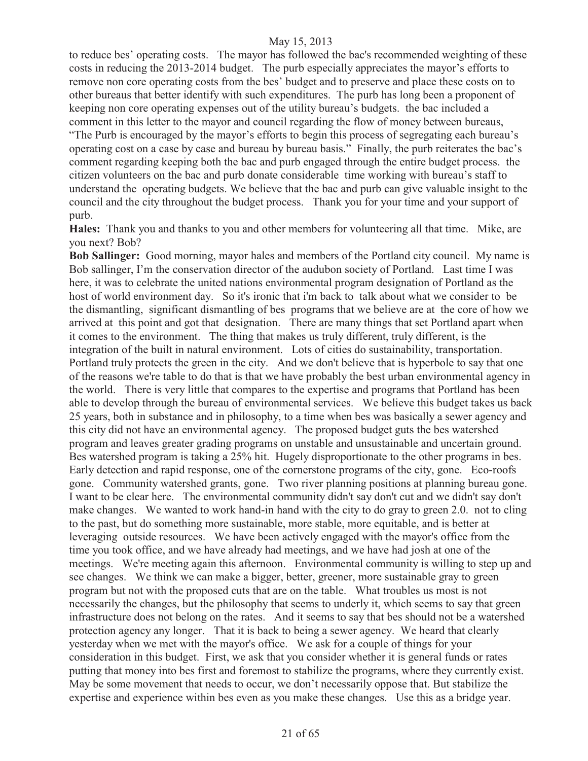to reduce bes' operating costs. The mayor has followed the bac's recommended weighting of these costs in reducing the 2013-2014 budget. The purb especially appreciates the mayor's efforts to remove non core operating costs from the bes' budget and to preserve and place these costs on to other bureaus that better identify with such expenditures. The purb has long been a proponent of keeping non core operating expenses out of the utility bureau's budgets. the bac included a comment in this letter to the mayor and council regarding the flow of money between bureaus, "The Purb is encouraged by the mayor's efforts to begin this process of segregating each bureau's operating cost on a case by case and bureau by bureau basis." Finally, the purb reiterates the bac's comment regarding keeping both the bac and purb engaged through the entire budget process. the citizen volunteers on the bac and purb donate considerable time working with bureau's staff to understand the operating budgets. We believe that the bac and purb can give valuable insight to the council and the city throughout the budget process. Thank you for your time and your support of purb.

**Hales:** Thank you and thanks to you and other members for volunteering all that time. Mike, are you next? Bob?

**Bob Sallinger:** Good morning, mayor hales and members of the Portland city council. My name is Bob sallinger, I'm the conservation director of the audubon society of Portland. Last time I was here, it was to celebrate the united nations environmental program designation of Portland as the host of world environment day. So it's ironic that i'm back to talk about what we consider to be the dismantling, significant dismantling of bes programs that we believe are at the core of how we arrived at this point and got that designation. There are many things that set Portland apart when it comes to the environment. The thing that makes us truly different, truly different, is the integration of the built in natural environment. Lots of cities do sustainability, transportation. Portland truly protects the green in the city. And we don't believe that is hyperbole to say that one of the reasons we're table to do that is that we have probably the best urban environmental agency in the world. There is very little that compares to the expertise and programs that Portland has been able to develop through the bureau of environmental services. We believe this budget takes us back 25 years, both in substance and in philosophy, to a time when bes was basically a sewer agency and this city did not have an environmental agency. The proposed budget guts the bes watershed program and leaves greater grading programs on unstable and unsustainable and uncertain ground. Bes watershed program is taking a 25% hit. Hugely disproportionate to the other programs in bes. Early detection and rapid response, one of the cornerstone programs of the city, gone. Eco-roofs gone. Community watershed grants, gone. Two river planning positions at planning bureau gone. I want to be clear here. The environmental community didn't say don't cut and we didn't say don't make changes. We wanted to work hand-in hand with the city to do gray to green 2.0. not to cling to the past, but do something more sustainable, more stable, more equitable, and is better at leveraging outside resources. We have been actively engaged with the mayor's office from the time you took office, and we have already had meetings, and we have had josh at one of the meetings. We're meeting again this afternoon. Environmental community is willing to step up and see changes. We think we can make a bigger, better, greener, more sustainable gray to green program but not with the proposed cuts that are on the table. What troubles us most is not necessarily the changes, but the philosophy that seems to underly it, which seems to say that green infrastructure does not belong on the rates. And it seems to say that bes should not be a watershed protection agency any longer. That it is back to being a sewer agency. We heard that clearly yesterday when we met with the mayor's office. We ask for a couple of things for your consideration in this budget. First, we ask that you consider whether it is general funds or rates putting that money into bes first and foremost to stabilize the programs, where they currently exist. May be some movement that needs to occur, we don't necessarily oppose that. But stabilize the expertise and experience within bes even as you make these changes. Use this as a bridge year.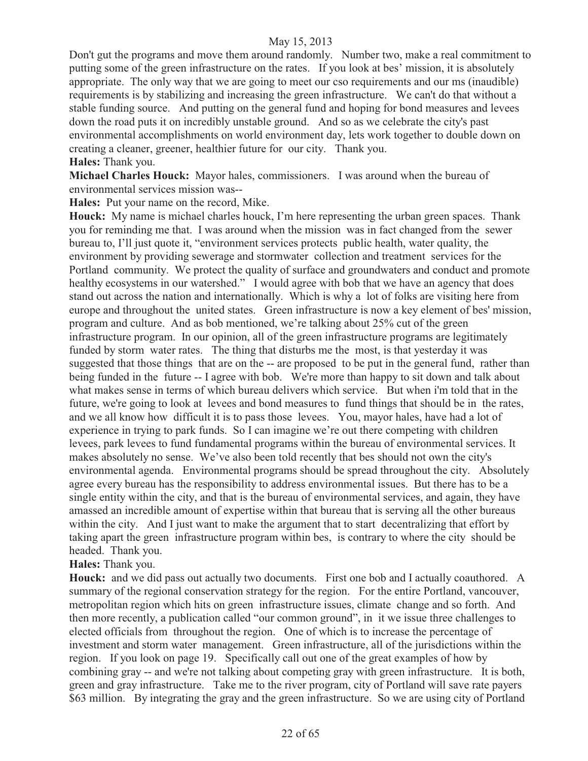Don't gut the programs and move them around randomly. Number two, make a real commitment to putting some of the green infrastructure on the rates. If you look at bes' mission, it is absolutely appropriate. The only way that we are going to meet our cso requirements and our ms (inaudible) requirements is by stabilizing and increasing the green infrastructure. We can't do that without a stable funding source. And putting on the general fund and hoping for bond measures and levees down the road puts it on incredibly unstable ground. And so as we celebrate the city's past environmental accomplishments on world environment day, lets work together to double down on creating a cleaner, greener, healthier future for our city. Thank you. **Hales:** Thank you.

**Michael Charles Houck:** Mayor hales, commissioners. I was around when the bureau of environmental services mission was--

**Hales:** Put your name on the record, Mike.

**Houck:** My name is michael charles houck, I'm here representing the urban green spaces. Thank you for reminding me that. I was around when the mission was in fact changed from the sewer bureau to, I'll just quote it, "environment services protects public health, water quality, the environment by providing sewerage and stormwater collection and treatment services for the Portland community. We protect the quality of surface and groundwaters and conduct and promote healthy ecosystems in our watershed." I would agree with bob that we have an agency that does stand out across the nation and internationally. Which is why a lot of folks are visiting here from europe and throughout the united states. Green infrastructure is now a key element of bes' mission, program and culture. And as bob mentioned, we're talking about 25% cut of the green infrastructure program. In our opinion, all of the green infrastructure programs are legitimately funded by storm water rates. The thing that disturbs me the most, is that yesterday it was suggested that those things that are on the -- are proposed to be put in the general fund, rather than being funded in the future -- I agree with bob. We're more than happy to sit down and talk about what makes sense in terms of which bureau delivers which service. But when i'm told that in the future, we're going to look at levees and bond measures to fund things that should be in the rates, and we all know how difficult it is to pass those levees. You, mayor hales, have had a lot of experience in trying to park funds. So I can imagine we're out there competing with children levees, park levees to fund fundamental programs within the bureau of environmental services. It makes absolutely no sense. We've also been told recently that bes should not own the city's environmental agenda. Environmental programs should be spread throughout the city. Absolutely agree every bureau has the responsibility to address environmental issues. But there has to be a single entity within the city, and that is the bureau of environmental services, and again, they have amassed an incredible amount of expertise within that bureau that is serving all the other bureaus within the city. And I just want to make the argument that to start decentralizing that effort by taking apart the green infrastructure program within bes, is contrary to where the city should be headed. Thank you.

#### **Hales:** Thank you.

**Houck:** and we did pass out actually two documents. First one bob and I actually coauthored. A summary of the regional conservation strategy for the region. For the entire Portland, vancouver, metropolitan region which hits on green infrastructure issues, climate change and so forth. And then more recently, a publication called "our common ground", in it we issue three challenges to elected officials from throughout the region. One of which is to increase the percentage of investment and storm water management. Green infrastructure, all of the jurisdictions within the region. If you look on page 19. Specifically call out one of the great examples of how by combining gray -- and we're not talking about competing gray with green infrastructure. It is both, green and gray infrastructure. Take me to the river program, city of Portland will save rate payers \$63 million. By integrating the gray and the green infrastructure. So we are using city of Portland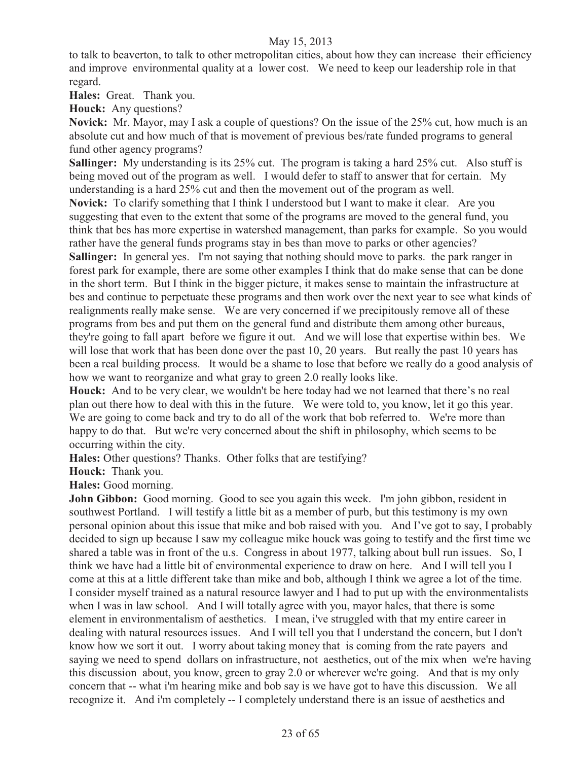to talk to beaverton, to talk to other metropolitan cities, about how they can increase their efficiency and improve environmental quality at a lower cost. We need to keep our leadership role in that regard.

**Hales:** Great. Thank you.

**Houck:** Any questions?

**Novick:** Mr. Mayor, may I ask a couple of questions? On the issue of the 25% cut, how much is an absolute cut and how much of that is movement of previous bes/rate funded programs to general fund other agency programs?

**Sallinger:** My understanding is its 25% cut. The program is taking a hard 25% cut. Also stuff is being moved out of the program as well. I would defer to staff to answer that for certain. My understanding is a hard 25% cut and then the movement out of the program as well.

**Novick:** To clarify something that I think I understood but I want to make it clear. Are you suggesting that even to the extent that some of the programs are moved to the general fund, you think that bes has more expertise in watershed management, than parks for example. So you would rather have the general funds programs stay in bes than move to parks or other agencies?

**Sallinger:** In general yes. I'm not saying that nothing should move to parks. the park ranger in forest park for example, there are some other examples I think that do make sense that can be done in the short term. But I think in the bigger picture, it makes sense to maintain the infrastructure at bes and continue to perpetuate these programs and then work over the next year to see what kinds of realignments really make sense. We are very concerned if we precipitously remove all of these programs from bes and put them on the general fund and distribute them among other bureaus, they're going to fall apart before we figure it out. And we will lose that expertise within bes. We will lose that work that has been done over the past 10, 20 years. But really the past 10 years has been a real building process. It would be a shame to lose that before we really do a good analysis of how we want to reorganize and what gray to green 2.0 really looks like.

**Houck:** And to be very clear, we wouldn't be here today had we not learned that there's no real plan out there how to deal with this in the future. We were told to, you know, let it go this year. We are going to come back and try to do all of the work that bob referred to. We're more than happy to do that. But we're very concerned about the shift in philosophy, which seems to be occurring within the city.

**Hales:** Other questions? Thanks. Other folks that are testifying?

**Houck:** Thank you.

**Hales:** Good morning.

**John Gibbon:** Good morning. Good to see you again this week. I'm john gibbon, resident in southwest Portland. I will testify a little bit as a member of purb, but this testimony is my own personal opinion about this issue that mike and bob raised with you. And I've got to say, I probably decided to sign up because I saw my colleague mike houck was going to testify and the first time we shared a table was in front of the u.s. Congress in about 1977, talking about bull run issues. So, I think we have had a little bit of environmental experience to draw on here. And I will tell you I come at this at a little different take than mike and bob, although I think we agree a lot of the time. I consider myself trained as a natural resource lawyer and I had to put up with the environmentalists when I was in law school. And I will totally agree with you, mayor hales, that there is some element in environmentalism of aesthetics. I mean, i've struggled with that my entire career in dealing with natural resources issues. And I will tell you that I understand the concern, but I don't know how we sort it out. I worry about taking money that is coming from the rate payers and saying we need to spend dollars on infrastructure, not aesthetics, out of the mix when we're having this discussion about, you know, green to gray 2.0 or wherever we're going. And that is my only concern that -- what i'm hearing mike and bob say is we have got to have this discussion. We all recognize it. And i'm completely -- I completely understand there is an issue of aesthetics and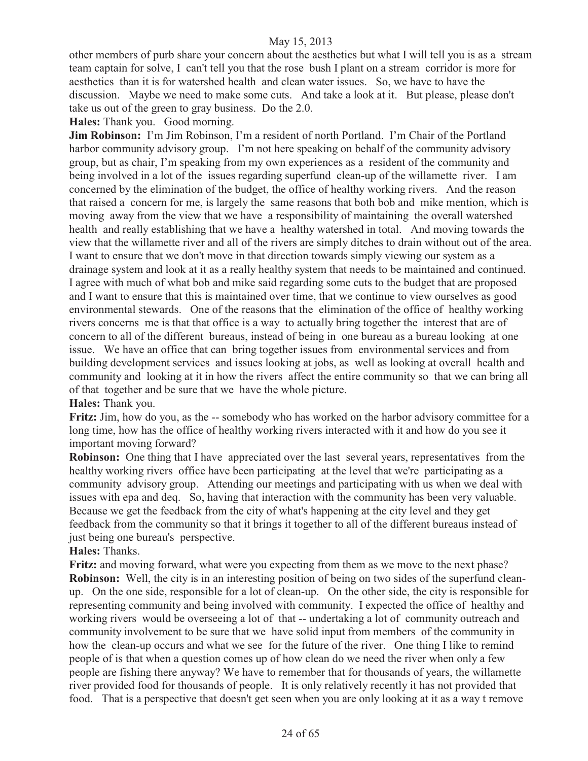other members of purb share your concern about the aesthetics but what I will tell you is as a stream team captain for solve, I can't tell you that the rose bush I plant on a stream corridor is more for aesthetics than it is for watershed health and clean water issues. So, we have to have the discussion. Maybe we need to make some cuts. And take a look at it. But please, please don't take us out of the green to gray business. Do the 2.0.

**Hales:** Thank you. Good morning.

**Jim Robinson:** I'm Jim Robinson, I'm a resident of north Portland. I'm Chair of the Portland harbor community advisory group. I'm not here speaking on behalf of the community advisory group, but as chair, I'm speaking from my own experiences as a resident of the community and being involved in a lot of the issues regarding superfund clean-up of the willamette river. I am concerned by the elimination of the budget, the office of healthy working rivers. And the reason that raised a concern for me, is largely the same reasons that both bob and mike mention, which is moving away from the view that we have a responsibility of maintaining the overall watershed health and really establishing that we have a healthy watershed in total. And moving towards the view that the willamette river and all of the rivers are simply ditches to drain without out of the area. I want to ensure that we don't move in that direction towards simply viewing our system as a drainage system and look at it as a really healthy system that needs to be maintained and continued. I agree with much of what bob and mike said regarding some cuts to the budget that are proposed and I want to ensure that this is maintained over time, that we continue to view ourselves as good environmental stewards. One of the reasons that the elimination of the office of healthy working rivers concerns me is that that office is a way to actually bring together the interest that are of concern to all of the different bureaus, instead of being in one bureau as a bureau looking at one issue. We have an office that can bring together issues from environmental services and from building development services and issues looking at jobs, as well as looking at overall health and community and looking at it in how the rivers affect the entire community so that we can bring all of that together and be sure that we have the whole picture.

**Hales:** Thank you.

**Fritz:** Jim, how do you, as the -- somebody who has worked on the harbor advisory committee for a long time, how has the office of healthy working rivers interacted with it and how do you see it important moving forward?

**Robinson:** One thing that I have appreciated over the last several years, representatives from the healthy working rivers office have been participating at the level that we're participating as a community advisory group. Attending our meetings and participating with us when we deal with issues with epa and deq. So, having that interaction with the community has been very valuable. Because we get the feedback from the city of what's happening at the city level and they get feedback from the community so that it brings it together to all of the different bureaus instead of just being one bureau's perspective.

**Hales:** Thanks.

**Fritz:** and moving forward, what were you expecting from them as we move to the next phase? **Robinson:** Well, the city is in an interesting position of being on two sides of the superfund cleanup. On the one side, responsible for a lot of clean-up. On the other side, the city is responsible for representing community and being involved with community. I expected the office of healthy and working rivers would be overseeing a lot of that -- undertaking a lot of community outreach and community involvement to be sure that we have solid input from members of the community in how the clean-up occurs and what we see for the future of the river. One thing I like to remind people of is that when a question comes up of how clean do we need the river when only a few people are fishing there anyway? We have to remember that for thousands of years, the willamette river provided food for thousands of people. It is only relatively recently it has not provided that food. That is a perspective that doesn't get seen when you are only looking at it as a way t remove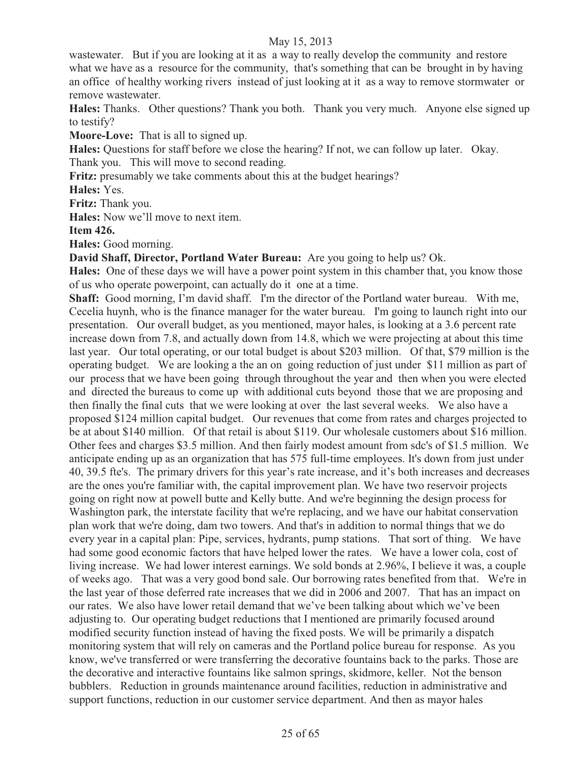wastewater. But if you are looking at it as a way to really develop the community and restore what we have as a resource for the community, that's something that can be brought in by having an office of healthy working rivers instead of just looking at it as a way to remove stormwater or remove wastewater.

**Hales:** Thanks. Other questions? Thank you both. Thank you very much. Anyone else signed up to testify?

**Moore-Love:** That is all to signed up.

**Hales:** Questions for staff before we close the hearing? If not, we can follow up later. Okay. Thank you. This will move to second reading.

**Fritz:** presumably we take comments about this at the budget hearings?

**Hales:** Yes.

**Fritz:** Thank you.

**Hales:** Now we'll move to next item.

**Item 426.** 

**Hales:** Good morning.

**David Shaff, Director, Portland Water Bureau:** Are you going to help us? Ok.

**Hales:** One of these days we will have a power point system in this chamber that, you know those of us who operate powerpoint, can actually do it one at a time.

**Shaff:** Good morning, I'm david shaff. I'm the director of the Portland water bureau. With me, Cecelia huynh, who is the finance manager for the water bureau. I'm going to launch right into our presentation. Our overall budget, as you mentioned, mayor hales, is looking at a 3.6 percent rate increase down from 7.8, and actually down from 14.8, which we were projecting at about this time last year. Our total operating, or our total budget is about \$203 million. Of that, \$79 million is the operating budget. We are looking a the an on going reduction of just under \$11 million as part of our process that we have been going through throughout the year and then when you were elected and directed the bureaus to come up with additional cuts beyond those that we are proposing and then finally the final cuts that we were looking at over the last several weeks. We also have a proposed \$124 million capital budget. Our revenues that come from rates and charges projected to be at about \$140 million. Of that retail is about \$119. Our wholesale customers about \$16 million. Other fees and charges \$3.5 million. And then fairly modest amount from sdc's of \$1.5 million. We anticipate ending up as an organization that has 575 full-time employees. It's down from just under 40, 39.5 fte's. The primary drivers for this year's rate increase, and it's both increases and decreases are the ones you're familiar with, the capital improvement plan. We have two reservoir projects going on right now at powell butte and Kelly butte. And we're beginning the design process for Washington park, the interstate facility that we're replacing, and we have our habitat conservation plan work that we're doing, dam two towers. And that's in addition to normal things that we do every year in a capital plan: Pipe, services, hydrants, pump stations. That sort of thing. We have had some good economic factors that have helped lower the rates. We have a lower cola, cost of living increase. We had lower interest earnings. We sold bonds at 2.96%, I believe it was, a couple of weeks ago. That was a very good bond sale. Our borrowing rates benefited from that. We're in the last year of those deferred rate increases that we did in 2006 and 2007. That has an impact on our rates. We also have lower retail demand that we've been talking about which we've been adjusting to. Our operating budget reductions that I mentioned are primarily focused around modified security function instead of having the fixed posts. We will be primarily a dispatch monitoring system that will rely on cameras and the Portland police bureau for response. As you know, we've transferred or were transferring the decorative fountains back to the parks. Those are the decorative and interactive fountains like salmon springs, skidmore, keller. Not the benson bubblers. Reduction in grounds maintenance around facilities, reduction in administrative and support functions, reduction in our customer service department. And then as mayor hales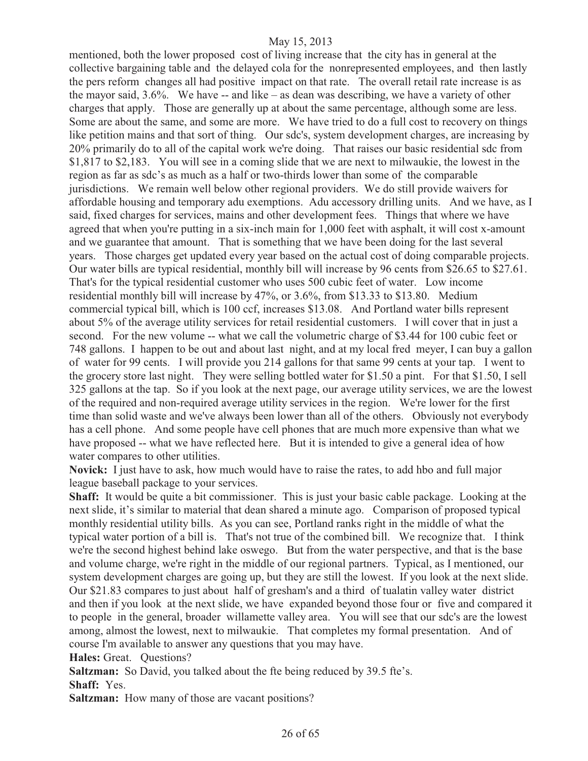mentioned, both the lower proposed cost of living increase that the city has in general at the collective bargaining table and the delayed cola for the nonrepresented employees, and then lastly the pers reform changes all had positive impact on that rate. The overall retail rate increase is as the mayor said, 3.6%. We have -- and like – as dean was describing, we have a variety of other charges that apply. Those are generally up at about the same percentage, although some are less. Some are about the same, and some are more. We have tried to do a full cost to recovery on things like petition mains and that sort of thing. Our sdc's, system development charges, are increasing by 20% primarily do to all of the capital work we're doing. That raises our basic residential sdc from \$1,817 to \$2,183. You will see in a coming slide that we are next to milwaukie, the lowest in the region as far as sdc's as much as a half or two-thirds lower than some of the comparable jurisdictions. We remain well below other regional providers. We do still provide waivers for affordable housing and temporary adu exemptions. Adu accessory drilling units. And we have, as I said, fixed charges for services, mains and other development fees. Things that where we have agreed that when you're putting in a six-inch main for 1,000 feet with asphalt, it will cost x-amount and we guarantee that amount. That is something that we have been doing for the last several years. Those charges get updated every year based on the actual cost of doing comparable projects. Our water bills are typical residential, monthly bill will increase by 96 cents from \$26.65 to \$27.61. That's for the typical residential customer who uses 500 cubic feet of water. Low income residential monthly bill will increase by 47%, or 3.6%, from \$13.33 to \$13.80. Medium commercial typical bill, which is 100 ccf, increases \$13.08. And Portland water bills represent about 5% of the average utility services for retail residential customers. I will cover that in just a second. For the new volume -- what we call the volumetric charge of \$3.44 for 100 cubic feet or 748 gallons. I happen to be out and about last night, and at my local fred meyer, I can buy a gallon of water for 99 cents. I will provide you 214 gallons for that same 99 cents at your tap. I went to the grocery store last night. They were selling bottled water for \$1.50 a pint. For that \$1.50, I sell 325 gallons at the tap. So if you look at the next page, our average utility services, we are the lowest of the required and non-required average utility services in the region. We're lower for the first time than solid waste and we've always been lower than all of the others. Obviously not everybody has a cell phone. And some people have cell phones that are much more expensive than what we have proposed -- what we have reflected here. But it is intended to give a general idea of how water compares to other utilities.

**Novick:** I just have to ask, how much would have to raise the rates, to add hbo and full major league baseball package to your services.

**Shaff:** It would be quite a bit commissioner. This is just your basic cable package. Looking at the next slide, it's similar to material that dean shared a minute ago. Comparison of proposed typical monthly residential utility bills. As you can see, Portland ranks right in the middle of what the typical water portion of a bill is. That's not true of the combined bill. We recognize that. I think we're the second highest behind lake oswego. But from the water perspective, and that is the base and volume charge, we're right in the middle of our regional partners. Typical, as I mentioned, our system development charges are going up, but they are still the lowest. If you look at the next slide. Our \$21.83 compares to just about half of gresham's and a third of tualatin valley water district and then if you look at the next slide, we have expanded beyond those four or five and compared it to people in the general, broader willamette valley area. You will see that our sdc's are the lowest among, almost the lowest, next to milwaukie. That completes my formal presentation. And of course I'm available to answer any questions that you may have.

**Hales:** Great. Questions?

**Saltzman:** So David, you talked about the fte being reduced by 39.5 fte's. **Shaff:** Yes.

**Saltzman:** How many of those are vacant positions?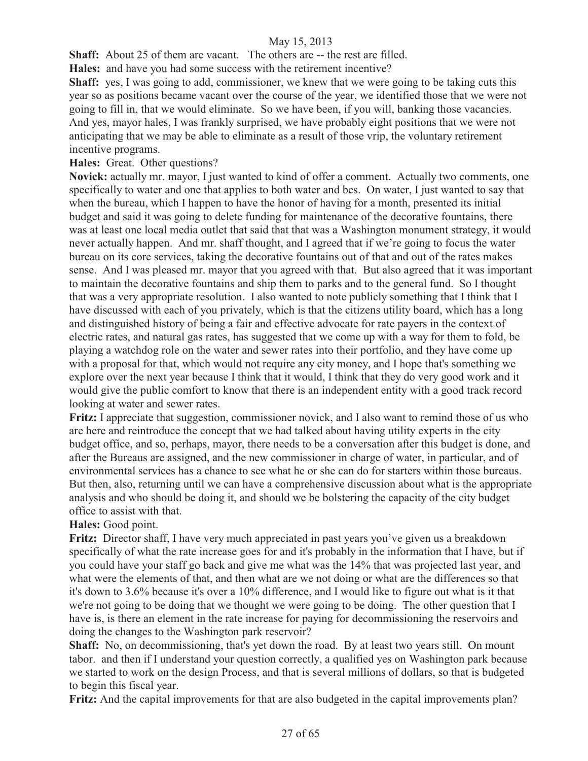**Shaff:** About 25 of them are vacant. The others are -- the rest are filled.

**Hales:** and have you had some success with the retirement incentive?

**Shaff:** yes, I was going to add, commissioner, we knew that we were going to be taking cuts this year so as positions became vacant over the course of the year, we identified those that we were not going to fill in, that we would eliminate. So we have been, if you will, banking those vacancies. And yes, mayor hales, I was frankly surprised, we have probably eight positions that we were not anticipating that we may be able to eliminate as a result of those vrip, the voluntary retirement incentive programs.

# **Hales:** Great. Other questions?

**Novick:** actually mr. mayor, I just wanted to kind of offer a comment. Actually two comments, one specifically to water and one that applies to both water and bes. On water, I just wanted to say that when the bureau, which I happen to have the honor of having for a month, presented its initial budget and said it was going to delete funding for maintenance of the decorative fountains, there was at least one local media outlet that said that that was a Washington monument strategy, it would never actually happen. And mr. shaff thought, and I agreed that if we're going to focus the water bureau on its core services, taking the decorative fountains out of that and out of the rates makes sense. And I was pleased mr. mayor that you agreed with that. But also agreed that it was important to maintain the decorative fountains and ship them to parks and to the general fund. So I thought that was a very appropriate resolution. I also wanted to note publicly something that I think that I have discussed with each of you privately, which is that the citizens utility board, which has a long and distinguished history of being a fair and effective advocate for rate payers in the context of electric rates, and natural gas rates, has suggested that we come up with a way for them to fold, be playing a watchdog role on the water and sewer rates into their portfolio, and they have come up with a proposal for that, which would not require any city money, and I hope that's something we explore over the next year because I think that it would, I think that they do very good work and it would give the public comfort to know that there is an independent entity with a good track record looking at water and sewer rates.

**Fritz:** I appreciate that suggestion, commissioner novick, and I also want to remind those of us who are here and reintroduce the concept that we had talked about having utility experts in the city budget office, and so, perhaps, mayor, there needs to be a conversation after this budget is done, and after the Bureaus are assigned, and the new commissioner in charge of water, in particular, and of environmental services has a chance to see what he or she can do for starters within those bureaus. But then, also, returning until we can have a comprehensive discussion about what is the appropriate analysis and who should be doing it, and should we be bolstering the capacity of the city budget office to assist with that.

#### **Hales:** Good point.

**Fritz:** Director shaff, I have very much appreciated in past years you've given us a breakdown specifically of what the rate increase goes for and it's probably in the information that I have, but if you could have your staff go back and give me what was the 14% that was projected last year, and what were the elements of that, and then what are we not doing or what are the differences so that it's down to 3.6% because it's over a 10% difference, and I would like to figure out what is it that we're not going to be doing that we thought we were going to be doing. The other question that I have is, is there an element in the rate increase for paying for decommissioning the reservoirs and doing the changes to the Washington park reservoir?

**Shaff:** No, on decommissioning, that's yet down the road. By at least two years still. On mount tabor. and then if I understand your question correctly, a qualified yes on Washington park because we started to work on the design Process, and that is several millions of dollars, so that is budgeted to begin this fiscal year.

**Fritz:** And the capital improvements for that are also budgeted in the capital improvements plan?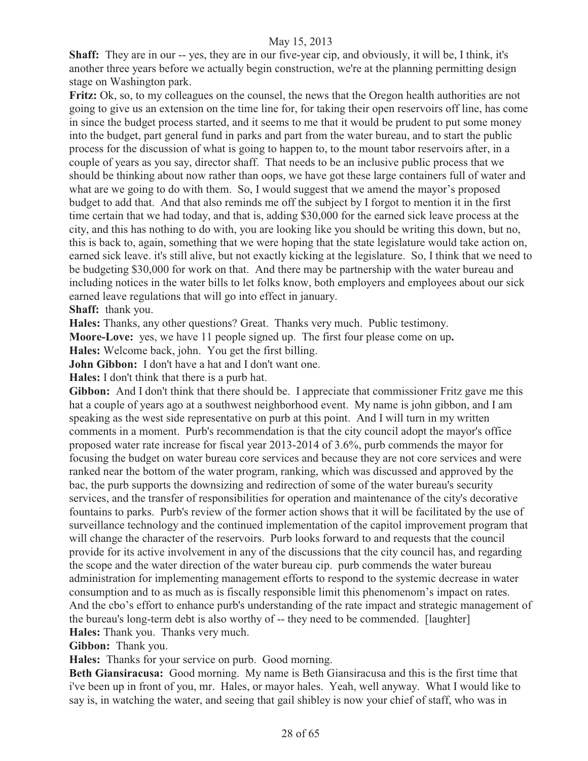**Shaff:** They are in our -- yes, they are in our five-year cip, and obviously, it will be, I think, it's another three years before we actually begin construction, we're at the planning permitting design stage on Washington park.

**Fritz:** Ok, so, to my colleagues on the counsel, the news that the Oregon health authorities are not going to give us an extension on the time line for, for taking their open reservoirs off line, has come in since the budget process started, and it seems to me that it would be prudent to put some money into the budget, part general fund in parks and part from the water bureau, and to start the public process for the discussion of what is going to happen to, to the mount tabor reservoirs after, in a couple of years as you say, director shaff. That needs to be an inclusive public process that we should be thinking about now rather than oops, we have got these large containers full of water and what are we going to do with them. So, I would suggest that we amend the mayor's proposed budget to add that. And that also reminds me off the subject by I forgot to mention it in the first time certain that we had today, and that is, adding \$30,000 for the earned sick leave process at the city, and this has nothing to do with, you are looking like you should be writing this down, but no, this is back to, again, something that we were hoping that the state legislature would take action on, earned sick leave. it's still alive, but not exactly kicking at the legislature. So, I think that we need to be budgeting \$30,000 for work on that. And there may be partnership with the water bureau and including notices in the water bills to let folks know, both employers and employees about our sick earned leave regulations that will go into effect in january.

**Shaff:** thank you.

**Hales:** Thanks, any other questions? Great. Thanks very much. Public testimony.

**Moore-Love:** yes, we have 11 people signed up. The first four please come on up**.** 

**Hales:** Welcome back, john. You get the first billing.

**John Gibbon:** I don't have a hat and I don't want one.

**Hales:** I don't think that there is a purb hat.

**Gibbon:** And I don't think that there should be. I appreciate that commissioner Fritz gave me this hat a couple of years ago at a southwest neighborhood event. My name is john gibbon, and I am speaking as the west side representative on purb at this point. And I will turn in my written comments in a moment. Purb's recommendation is that the city council adopt the mayor's office proposed water rate increase for fiscal year 2013-2014 of 3.6%, purb commends the mayor for focusing the budget on water bureau core services and because they are not core services and were ranked near the bottom of the water program, ranking, which was discussed and approved by the bac, the purb supports the downsizing and redirection of some of the water bureau's security services, and the transfer of responsibilities for operation and maintenance of the city's decorative fountains to parks. Purb's review of the former action shows that it will be facilitated by the use of surveillance technology and the continued implementation of the capitol improvement program that will change the character of the reservoirs. Purb looks forward to and requests that the council provide for its active involvement in any of the discussions that the city council has, and regarding the scope and the water direction of the water bureau cip. purb commends the water bureau administration for implementing management efforts to respond to the systemic decrease in water consumption and to as much as is fiscally responsible limit this phenomenom's impact on rates. And the cbo's effort to enhance purb's understanding of the rate impact and strategic management of the bureau's long-term debt is also worthy of -- they need to be commended. [laughter] **Hales:** Thank you. Thanks very much.

**Gibbon:** Thank you.

**Hales:** Thanks for your service on purb. Good morning.

**Beth Giansiracusa:** Good morning. My name is Beth Giansiracusa and this is the first time that i've been up in front of you, mr. Hales, or mayor hales. Yeah, well anyway. What I would like to say is, in watching the water, and seeing that gail shibley is now your chief of staff, who was in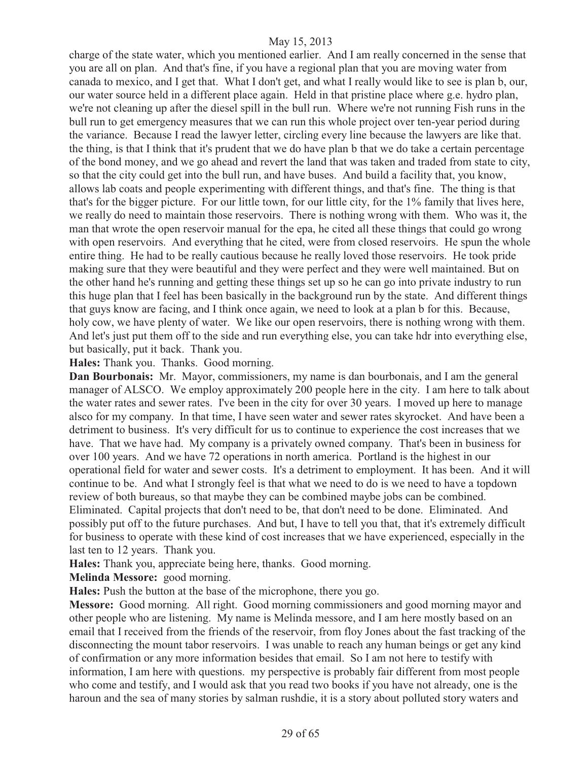charge of the state water, which you mentioned earlier. And I am really concerned in the sense that you are all on plan. And that's fine, if you have a regional plan that you are moving water from canada to mexico, and I get that. What I don't get, and what I really would like to see is plan b, our, our water source held in a different place again. Held in that pristine place where g.e. hydro plan, we're not cleaning up after the diesel spill in the bull run. Where we're not running Fish runs in the bull run to get emergency measures that we can run this whole project over ten-year period during the variance. Because I read the lawyer letter, circling every line because the lawyers are like that. the thing, is that I think that it's prudent that we do have plan b that we do take a certain percentage of the bond money, and we go ahead and revert the land that was taken and traded from state to city, so that the city could get into the bull run, and have buses. And build a facility that, you know, allows lab coats and people experimenting with different things, and that's fine. The thing is that that's for the bigger picture. For our little town, for our little city, for the 1% family that lives here, we really do need to maintain those reservoirs. There is nothing wrong with them. Who was it, the man that wrote the open reservoir manual for the epa, he cited all these things that could go wrong with open reservoirs. And everything that he cited, were from closed reservoirs. He spun the whole entire thing. He had to be really cautious because he really loved those reservoirs. He took pride making sure that they were beautiful and they were perfect and they were well maintained. But on the other hand he's running and getting these things set up so he can go into private industry to run this huge plan that I feel has been basically in the background run by the state. And different things that guys know are facing, and I think once again, we need to look at a plan b for this. Because, holy cow, we have plenty of water. We like our open reservoirs, there is nothing wrong with them. And let's just put them off to the side and run everything else, you can take hdr into everything else, but basically, put it back. Thank you.

**Hales:** Thank you. Thanks. Good morning.

**Dan Bourbonais:** Mr. Mayor, commissioners, my name is dan bourbonais, and I am the general manager of ALSCO. We employ approximately 200 people here in the city. I am here to talk about the water rates and sewer rates. I've been in the city for over 30 years. I moved up here to manage alsco for my company. In that time, I have seen water and sewer rates skyrocket. And have been a detriment to business. It's very difficult for us to continue to experience the cost increases that we have. That we have had. My company is a privately owned company. That's been in business for over 100 years. And we have 72 operations in north america. Portland is the highest in our operational field for water and sewer costs. It's a detriment to employment. It has been. And it will continue to be. And what I strongly feel is that what we need to do is we need to have a topdown review of both bureaus, so that maybe they can be combined maybe jobs can be combined. Eliminated. Capital projects that don't need to be, that don't need to be done. Eliminated. And possibly put off to the future purchases. And but, I have to tell you that, that it's extremely difficult for business to operate with these kind of cost increases that we have experienced, especially in the last ten to 12 years. Thank you.

**Hales:** Thank you, appreciate being here, thanks. Good morning.

**Melinda Messore:** good morning.

**Hales:** Push the button at the base of the microphone, there you go.

**Messore:** Good morning. All right. Good morning commissioners and good morning mayor and other people who are listening. My name is Melinda messore, and I am here mostly based on an email that I received from the friends of the reservoir, from floy Jones about the fast tracking of the disconnecting the mount tabor reservoirs. I was unable to reach any human beings or get any kind of confirmation or any more information besides that email. So I am not here to testify with information, I am here with questions. my perspective is probably fair different from most people who come and testify, and I would ask that you read two books if you have not already, one is the haroun and the sea of many stories by salman rushdie, it is a story about polluted story waters and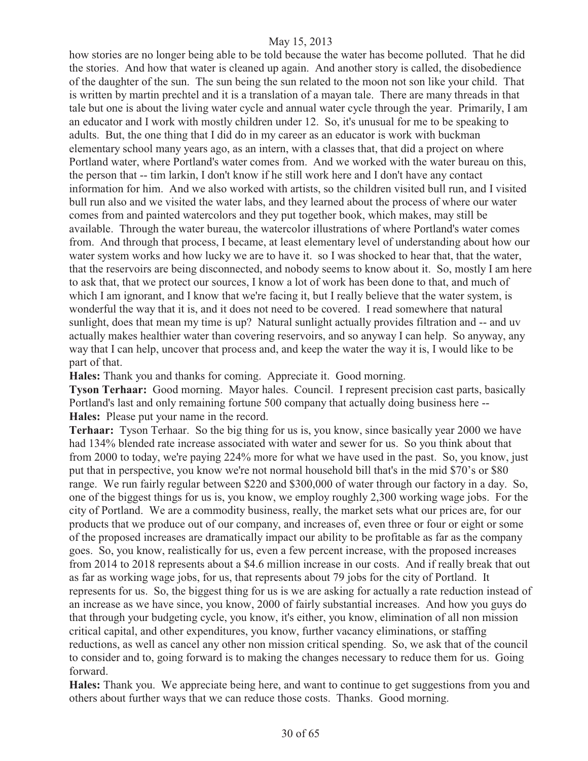how stories are no longer being able to be told because the water has become polluted. That he did the stories. And how that water is cleaned up again. And another story is called, the disobedience of the daughter of the sun. The sun being the sun related to the moon not son like your child. That is written by martin prechtel and it is a translation of a mayan tale. There are many threads in that tale but one is about the living water cycle and annual water cycle through the year. Primarily, I am an educator and I work with mostly children under 12. So, it's unusual for me to be speaking to adults. But, the one thing that I did do in my career as an educator is work with buckman elementary school many years ago, as an intern, with a classes that, that did a project on where Portland water, where Portland's water comes from. And we worked with the water bureau on this, the person that -- tim larkin, I don't know if he still work here and I don't have any contact information for him. And we also worked with artists, so the children visited bull run, and I visited bull run also and we visited the water labs, and they learned about the process of where our water comes from and painted watercolors and they put together book, which makes, may still be available. Through the water bureau, the watercolor illustrations of where Portland's water comes from. And through that process, I became, at least elementary level of understanding about how our water system works and how lucky we are to have it. so I was shocked to hear that, that the water, that the reservoirs are being disconnected, and nobody seems to know about it. So, mostly I am here to ask that, that we protect our sources, I know a lot of work has been done to that, and much of which I am ignorant, and I know that we're facing it, but I really believe that the water system, is wonderful the way that it is, and it does not need to be covered. I read somewhere that natural sunlight, does that mean my time is up? Natural sunlight actually provides filtration and -- and uv actually makes healthier water than covering reservoirs, and so anyway I can help. So anyway, any way that I can help, uncover that process and, and keep the water the way it is, I would like to be part of that.

**Hales:** Thank you and thanks for coming. Appreciate it. Good morning.

**Tyson Terhaar:** Good morning. Mayor hales. Council. I represent precision cast parts, basically Portland's last and only remaining fortune 500 company that actually doing business here -- **Hales:** Please put your name in the record.

**Terhaar:** Tyson Terhaar. So the big thing for us is, you know, since basically year 2000 we have had 134% blended rate increase associated with water and sewer for us. So you think about that from 2000 to today, we're paying 224% more for what we have used in the past. So, you know, just put that in perspective, you know we're not normal household bill that's in the mid \$70's or \$80 range. We run fairly regular between \$220 and \$300,000 of water through our factory in a day. So, one of the biggest things for us is, you know, we employ roughly 2,300 working wage jobs. For the city of Portland. We are a commodity business, really, the market sets what our prices are, for our products that we produce out of our company, and increases of, even three or four or eight or some of the proposed increases are dramatically impact our ability to be profitable as far as the company goes. So, you know, realistically for us, even a few percent increase, with the proposed increases from 2014 to 2018 represents about a \$4.6 million increase in our costs. And if really break that out as far as working wage jobs, for us, that represents about 79 jobs for the city of Portland. It represents for us. So, the biggest thing for us is we are asking for actually a rate reduction instead of an increase as we have since, you know, 2000 of fairly substantial increases. And how you guys do that through your budgeting cycle, you know, it's either, you know, elimination of all non mission critical capital, and other expenditures, you know, further vacancy eliminations, or staffing reductions, as well as cancel any other non mission critical spending. So, we ask that of the council to consider and to, going forward is to making the changes necessary to reduce them for us. Going forward.

**Hales:** Thank you. We appreciate being here, and want to continue to get suggestions from you and others about further ways that we can reduce those costs. Thanks. Good morning.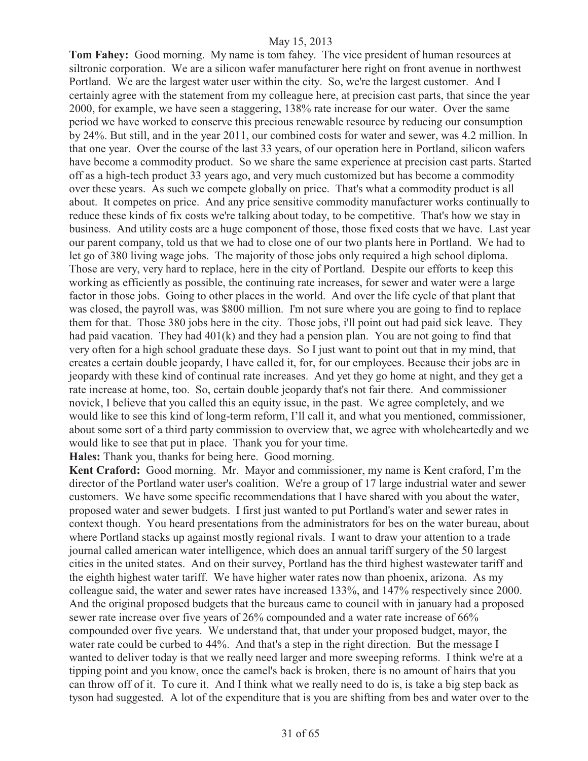**Tom Fahey:** Good morning. My name is tom fahey. The vice president of human resources at siltronic corporation. We are a silicon wafer manufacturer here right on front avenue in northwest Portland. We are the largest water user within the city. So, we're the largest customer. And I certainly agree with the statement from my colleague here, at precision cast parts, that since the year 2000, for example, we have seen a staggering, 138% rate increase for our water. Over the same period we have worked to conserve this precious renewable resource by reducing our consumption by 24%. But still, and in the year 2011, our combined costs for water and sewer, was 4.2 million. In that one year. Over the course of the last 33 years, of our operation here in Portland, silicon wafers have become a commodity product. So we share the same experience at precision cast parts. Started off as a high-tech product 33 years ago, and very much customized but has become a commodity over these years. As such we compete globally on price. That's what a commodity product is all about. It competes on price. And any price sensitive commodity manufacturer works continually to reduce these kinds of fix costs we're talking about today, to be competitive. That's how we stay in business. And utility costs are a huge component of those, those fixed costs that we have. Last year our parent company, told us that we had to close one of our two plants here in Portland. We had to let go of 380 living wage jobs. The majority of those jobs only required a high school diploma. Those are very, very hard to replace, here in the city of Portland. Despite our efforts to keep this working as efficiently as possible, the continuing rate increases, for sewer and water were a large factor in those jobs. Going to other places in the world. And over the life cycle of that plant that was closed, the payroll was, was \$800 million. I'm not sure where you are going to find to replace them for that. Those 380 jobs here in the city. Those jobs, i'll point out had paid sick leave. They had paid vacation. They had  $401(k)$  and they had a pension plan. You are not going to find that very often for a high school graduate these days. So I just want to point out that in my mind, that creates a certain double jeopardy, I have called it, for, for our employees. Because their jobs are in jeopardy with these kind of continual rate increases. And yet they go home at night, and they get a rate increase at home, too. So, certain double jeopardy that's not fair there. And commissioner novick, I believe that you called this an equity issue, in the past. We agree completely, and we would like to see this kind of long-term reform, I'll call it, and what you mentioned, commissioner, about some sort of a third party commission to overview that, we agree with wholeheartedly and we would like to see that put in place. Thank you for your time.

**Hales:** Thank you, thanks for being here. Good morning.

**Kent Craford:** Good morning. Mr. Mayor and commissioner, my name is Kent craford, I'm the director of the Portland water user's coalition. We're a group of 17 large industrial water and sewer customers. We have some specific recommendations that I have shared with you about the water, proposed water and sewer budgets. I first just wanted to put Portland's water and sewer rates in context though. You heard presentations from the administrators for bes on the water bureau, about where Portland stacks up against mostly regional rivals. I want to draw your attention to a trade journal called american water intelligence, which does an annual tariff surgery of the 50 largest cities in the united states. And on their survey, Portland has the third highest wastewater tariff and the eighth highest water tariff. We have higher water rates now than phoenix, arizona. As my colleague said, the water and sewer rates have increased 133%, and 147% respectively since 2000. And the original proposed budgets that the bureaus came to council with in january had a proposed sewer rate increase over five years of 26% compounded and a water rate increase of 66% compounded over five years. We understand that, that under your proposed budget, mayor, the water rate could be curbed to 44%. And that's a step in the right direction. But the message I wanted to deliver today is that we really need larger and more sweeping reforms. I think we're at a tipping point and you know, once the camel's back is broken, there is no amount of hairs that you can throw off of it. To cure it. And I think what we really need to do is, is take a big step back as tyson had suggested. A lot of the expenditure that is you are shifting from bes and water over to the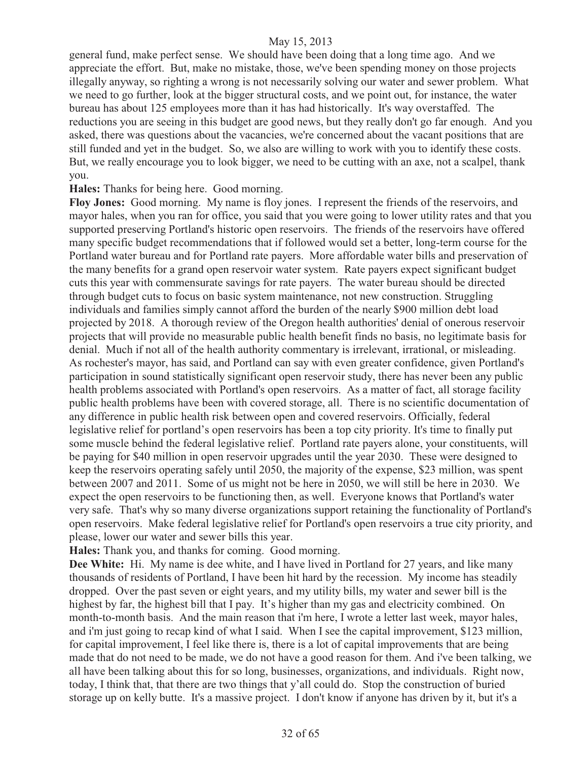general fund, make perfect sense. We should have been doing that a long time ago. And we appreciate the effort. But, make no mistake, those, we've been spending money on those projects illegally anyway, so righting a wrong is not necessarily solving our water and sewer problem. What we need to go further, look at the bigger structural costs, and we point out, for instance, the water bureau has about 125 employees more than it has had historically. It's way overstaffed. The reductions you are seeing in this budget are good news, but they really don't go far enough. And you asked, there was questions about the vacancies, we're concerned about the vacant positions that are still funded and yet in the budget. So, we also are willing to work with you to identify these costs. But, we really encourage you to look bigger, we need to be cutting with an axe, not a scalpel, thank you.

#### **Hales:** Thanks for being here. Good morning.

**Floy Jones:** Good morning. My name is floy jones. I represent the friends of the reservoirs, and mayor hales, when you ran for office, you said that you were going to lower utility rates and that you supported preserving Portland's historic open reservoirs. The friends of the reservoirs have offered many specific budget recommendations that if followed would set a better, long-term course for the Portland water bureau and for Portland rate payers. More affordable water bills and preservation of the many benefits for a grand open reservoir water system. Rate payers expect significant budget cuts this year with commensurate savings for rate payers. The water bureau should be directed through budget cuts to focus on basic system maintenance, not new construction. Struggling individuals and families simply cannot afford the burden of the nearly \$900 million debt load projected by 2018. A thorough review of the Oregon health authorities' denial of onerous reservoir projects that will provide no measurable public health benefit finds no basis, no legitimate basis for denial. Much if not all of the health authority commentary is irrelevant, irrational, or misleading. As rochester's mayor, has said, and Portland can say with even greater confidence, given Portland's participation in sound statistically significant open reservoir study, there has never been any public health problems associated with Portland's open reservoirs. As a matter of fact, all storage facility public health problems have been with covered storage, all. There is no scientific documentation of any difference in public health risk between open and covered reservoirs. Officially, federal legislative relief for portland's open reservoirs has been a top city priority. It's time to finally put some muscle behind the federal legislative relief. Portland rate payers alone, your constituents, will be paying for \$40 million in open reservoir upgrades until the year 2030. These were designed to keep the reservoirs operating safely until 2050, the majority of the expense, \$23 million, was spent between 2007 and 2011. Some of us might not be here in 2050, we will still be here in 2030. We expect the open reservoirs to be functioning then, as well. Everyone knows that Portland's water very safe. That's why so many diverse organizations support retaining the functionality of Portland's open reservoirs. Make federal legislative relief for Portland's open reservoirs a true city priority, and please, lower our water and sewer bills this year.

**Hales:** Thank you, and thanks for coming. Good morning.

**Dee White:** Hi. My name is dee white, and I have lived in Portland for 27 years, and like many thousands of residents of Portland, I have been hit hard by the recession. My income has steadily dropped. Over the past seven or eight years, and my utility bills, my water and sewer bill is the highest by far, the highest bill that I pay. It's higher than my gas and electricity combined. On month-to-month basis. And the main reason that i'm here, I wrote a letter last week, mayor hales, and i'm just going to recap kind of what I said. When I see the capital improvement, \$123 million, for capital improvement, I feel like there is, there is a lot of capital improvements that are being made that do not need to be made, we do not have a good reason for them. And i've been talking, we all have been talking about this for so long, businesses, organizations, and individuals. Right now, today, I think that, that there are two things that y'all could do. Stop the construction of buried storage up on kelly butte. It's a massive project. I don't know if anyone has driven by it, but it's a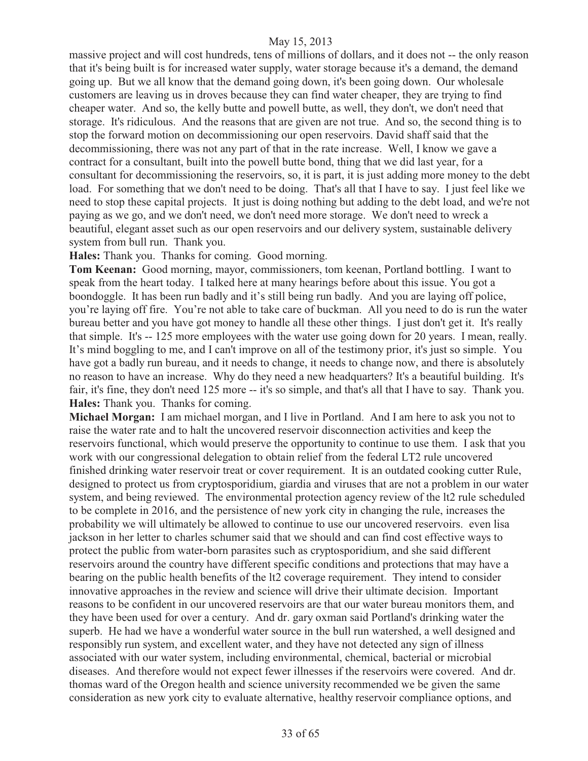massive project and will cost hundreds, tens of millions of dollars, and it does not -- the only reason that it's being built is for increased water supply, water storage because it's a demand, the demand going up. But we all know that the demand going down, it's been going down. Our wholesale customers are leaving us in droves because they can find water cheaper, they are trying to find cheaper water. And so, the kelly butte and powell butte, as well, they don't, we don't need that storage. It's ridiculous. And the reasons that are given are not true. And so, the second thing is to stop the forward motion on decommissioning our open reservoirs. David shaff said that the decommissioning, there was not any part of that in the rate increase. Well, I know we gave a contract for a consultant, built into the powell butte bond, thing that we did last year, for a consultant for decommissioning the reservoirs, so, it is part, it is just adding more money to the debt load. For something that we don't need to be doing. That's all that I have to say. I just feel like we need to stop these capital projects. It just is doing nothing but adding to the debt load, and we're not paying as we go, and we don't need, we don't need more storage. We don't need to wreck a beautiful, elegant asset such as our open reservoirs and our delivery system, sustainable delivery system from bull run. Thank you.

**Hales:** Thank you. Thanks for coming. Good morning.

**Tom Keenan:** Good morning, mayor, commissioners, tom keenan, Portland bottling. I want to speak from the heart today. I talked here at many hearings before about this issue. You got a boondoggle. It has been run badly and it's still being run badly. And you are laying off police, you're laying off fire. You're not able to take care of buckman. All you need to do is run the water bureau better and you have got money to handle all these other things. I just don't get it. It's really that simple. It's -- 125 more employees with the water use going down for 20 years. I mean, really. It's mind boggling to me, and I can't improve on all of the testimony prior, it's just so simple. You have got a badly run bureau, and it needs to change, it needs to change now, and there is absolutely no reason to have an increase. Why do they need a new headquarters? It's a beautiful building. It's fair, it's fine, they don't need 125 more -- it's so simple, and that's all that I have to say. Thank you. **Hales:** Thank you. Thanks for coming.

**Michael Morgan:** I am michael morgan, and I live in Portland. And I am here to ask you not to raise the water rate and to halt the uncovered reservoir disconnection activities and keep the reservoirs functional, which would preserve the opportunity to continue to use them. I ask that you work with our congressional delegation to obtain relief from the federal LT2 rule uncovered finished drinking water reservoir treat or cover requirement. It is an outdated cooking cutter Rule, designed to protect us from cryptosporidium, giardia and viruses that are not a problem in our water system, and being reviewed. The environmental protection agency review of the lt2 rule scheduled to be complete in 2016, and the persistence of new york city in changing the rule, increases the probability we will ultimately be allowed to continue to use our uncovered reservoirs. even lisa jackson in her letter to charles schumer said that we should and can find cost effective ways to protect the public from water-born parasites such as cryptosporidium, and she said different reservoirs around the country have different specific conditions and protections that may have a bearing on the public health benefits of the lt2 coverage requirement. They intend to consider innovative approaches in the review and science will drive their ultimate decision. Important reasons to be confident in our uncovered reservoirs are that our water bureau monitors them, and they have been used for over a century. And dr. gary oxman said Portland's drinking water the superb. He had we have a wonderful water source in the bull run watershed, a well designed and responsibly run system, and excellent water, and they have not detected any sign of illness associated with our water system, including environmental, chemical, bacterial or microbial diseases. And therefore would not expect fewer illnesses if the reservoirs were covered. And dr. thomas ward of the Oregon health and science university recommended we be given the same consideration as new york city to evaluate alternative, healthy reservoir compliance options, and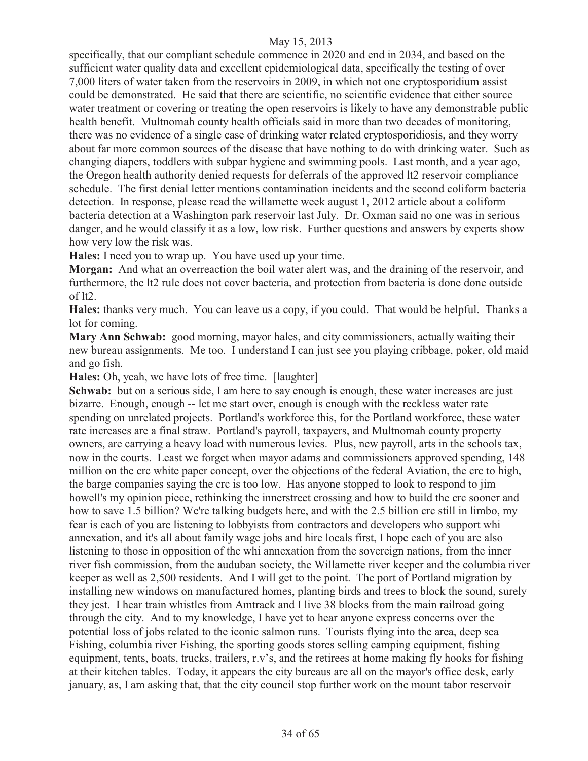specifically, that our compliant schedule commence in 2020 and end in 2034, and based on the sufficient water quality data and excellent epidemiological data, specifically the testing of over 7,000 liters of water taken from the reservoirs in 2009, in which not one cryptosporidium assist could be demonstrated. He said that there are scientific, no scientific evidence that either source water treatment or covering or treating the open reservoirs is likely to have any demonstrable public health benefit. Multnomah county health officials said in more than two decades of monitoring, there was no evidence of a single case of drinking water related cryptosporidiosis, and they worry about far more common sources of the disease that have nothing to do with drinking water. Such as changing diapers, toddlers with subpar hygiene and swimming pools. Last month, and a year ago, the Oregon health authority denied requests for deferrals of the approved lt2 reservoir compliance schedule. The first denial letter mentions contamination incidents and the second coliform bacteria detection. In response, please read the willamette week august 1, 2012 article about a coliform bacteria detection at a Washington park reservoir last July. Dr. Oxman said no one was in serious danger, and he would classify it as a low, low risk. Further questions and answers by experts show how very low the risk was.

**Hales:** I need you to wrap up. You have used up your time.

**Morgan:** And what an overreaction the boil water alert was, and the draining of the reservoir, and furthermore, the lt2 rule does not cover bacteria, and protection from bacteria is done done outside of lt2.

**Hales:** thanks very much. You can leave us a copy, if you could. That would be helpful. Thanks a lot for coming.

**Mary Ann Schwab:** good morning, mayor hales, and city commissioners, actually waiting their new bureau assignments. Me too. I understand I can just see you playing cribbage, poker, old maid and go fish.

**Hales:** Oh, yeah, we have lots of free time. [laughter]

**Schwab:** but on a serious side, I am here to say enough is enough, these water increases are just bizarre. Enough, enough -- let me start over, enough is enough with the reckless water rate spending on unrelated projects. Portland's workforce this, for the Portland workforce, these water rate increases are a final straw. Portland's payroll, taxpayers, and Multnomah county property owners, are carrying a heavy load with numerous levies. Plus, new payroll, arts in the schools tax, now in the courts. Least we forget when mayor adams and commissioners approved spending, 148 million on the crc white paper concept, over the objections of the federal Aviation, the crc to high, the barge companies saying the crc is too low. Has anyone stopped to look to respond to jim howell's my opinion piece, rethinking the innerstreet crossing and how to build the crc sooner and how to save 1.5 billion? We're talking budgets here, and with the 2.5 billion crc still in limbo, my fear is each of you are listening to lobbyists from contractors and developers who support whi annexation, and it's all about family wage jobs and hire locals first, I hope each of you are also listening to those in opposition of the whi annexation from the sovereign nations, from the inner river fish commission, from the auduban society, the Willamette river keeper and the columbia river keeper as well as 2,500 residents. And I will get to the point. The port of Portland migration by installing new windows on manufactured homes, planting birds and trees to block the sound, surely they jest. I hear train whistles from Amtrack and I live 38 blocks from the main railroad going through the city. And to my knowledge, I have yet to hear anyone express concerns over the potential loss of jobs related to the iconic salmon runs. Tourists flying into the area, deep sea Fishing, columbia river Fishing, the sporting goods stores selling camping equipment, fishing equipment, tents, boats, trucks, trailers, r.v's, and the retirees at home making fly hooks for fishing at their kitchen tables. Today, it appears the city bureaus are all on the mayor's office desk, early january, as, I am asking that, that the city council stop further work on the mount tabor reservoir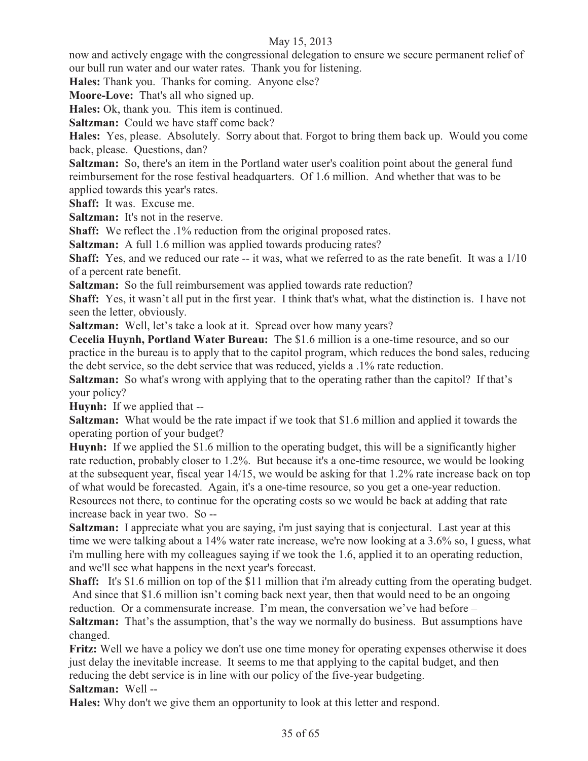now and actively engage with the congressional delegation to ensure we secure permanent relief of our bull run water and our water rates. Thank you for listening.

**Hales:** Thank you. Thanks for coming. Anyone else?

**Moore-Love:** That's all who signed up.

**Hales:** Ok, thank you. This item is continued.

**Saltzman:** Could we have staff come back?

**Hales:** Yes, please. Absolutely. Sorry about that. Forgot to bring them back up. Would you come back, please. Questions, dan?

**Saltzman:** So, there's an item in the Portland water user's coalition point about the general fund reimbursement for the rose festival headquarters. Of 1.6 million. And whether that was to be applied towards this year's rates.

**Shaff:** It was. Excuse me.

**Saltzman:** It's not in the reserve.

**Shaff:** We reflect the .1% reduction from the original proposed rates.

**Saltzman:** A full 1.6 million was applied towards producing rates?

**Shaff:** Yes, and we reduced our rate -- it was, what we referred to as the rate benefit. It was a 1/10 of a percent rate benefit.

**Saltzman:** So the full reimbursement was applied towards rate reduction?

**Shaff:** Yes, it wasn't all put in the first year. I think that's what, what the distinction is. I have not seen the letter, obviously.

**Saltzman:** Well, let's take a look at it. Spread over how many years?

**Cecelia Huynh, Portland Water Bureau:** The \$1.6 million is a one-time resource, and so our practice in the bureau is to apply that to the capitol program, which reduces the bond sales, reducing the debt service, so the debt service that was reduced, yields a .1% rate reduction.

**Saltzman:** So what's wrong with applying that to the operating rather than the capitol? If that's your policy?

**Huynh:** If we applied that --

**Saltzman:** What would be the rate impact if we took that \$1.6 million and applied it towards the operating portion of your budget?

**Huynh:** If we applied the \$1.6 million to the operating budget, this will be a significantly higher rate reduction, probably closer to 1.2%. But because it's a one-time resource, we would be looking at the subsequent year, fiscal year 14/15, we would be asking for that 1.2% rate increase back on top of what would be forecasted. Again, it's a one-time resource, so you get a one-year reduction. Resources not there, to continue for the operating costs so we would be back at adding that rate increase back in year two. So --

**Saltzman:** I appreciate what you are saying, i'm just saying that is conjectural. Last year at this time we were talking about a 14% water rate increase, we're now looking at a 3.6% so, I guess, what i'm mulling here with my colleagues saying if we took the 1.6, applied it to an operating reduction, and we'll see what happens in the next year's forecast.

**Shaff:** It's \$1.6 million on top of the \$11 million that i'm already cutting from the operating budget. And since that \$1.6 million isn't coming back next year, then that would need to be an ongoing reduction. Or a commensurate increase. I'm mean, the conversation we've had before –

**Saltzman:** That's the assumption, that's the way we normally do business. But assumptions have changed.

**Fritz:** Well we have a policy we don't use one time money for operating expenses otherwise it does just delay the inevitable increase. It seems to me that applying to the capital budget, and then reducing the debt service is in line with our policy of the five-year budgeting.

**Saltzman:** Well --

**Hales:** Why don't we give them an opportunity to look at this letter and respond.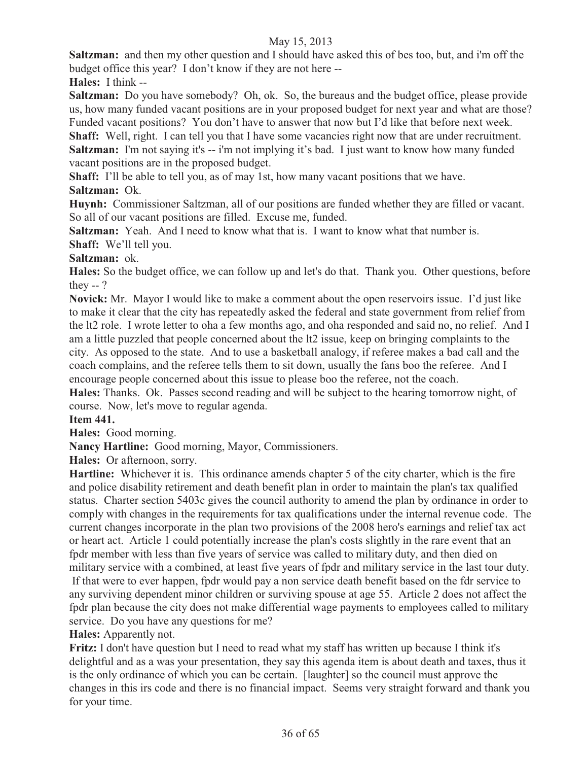**Saltzman:** and then my other question and I should have asked this of bes too, but, and i'm off the budget office this year? I don't know if they are not here --

**Hales:** I think --

**Saltzman:** Do you have somebody?Oh, ok. So, the bureaus and the budget office, please provide us, how many funded vacant positions are in your proposed budget for next year and what are those? Funded vacant positions? You don't have to answer that now but I'd like that before next week.

**Shaff:** Well, right. I can tell you that I have some vacancies right now that are under recruitment. **Saltzman:** I'm not saying it's -- i'm not implying it's bad. I just want to know how many funded vacant positions are in the proposed budget.

**Shaff:** I'll be able to tell you, as of may 1st, how many vacant positions that we have. **Saltzman:** Ok.

**Huynh:** Commissioner Saltzman, all of our positions are funded whether they are filled or vacant. So all of our vacant positions are filled. Excuse me, funded.

**Saltzman:** Yeah. And I need to know what that is. I want to know what that number is. **Shaff:** We'll tell you.

## **Saltzman:** ok.

**Hales:** So the budget office, we can follow up and let's do that. Thank you. Other questions, before they -- ?

**Novick:** Mr. Mayor I would like to make a comment about the open reservoirs issue. I'd just like to make it clear that the city has repeatedly asked the federal and state government from relief from the lt2 role. I wrote letter to oha a few months ago, and oha responded and said no, no relief. And I am a little puzzled that people concerned about the lt2 issue, keep on bringing complaints to the city. As opposed to the state. And to use a basketball analogy, if referee makes a bad call and the coach complains, and the referee tells them to sit down, usually the fans boo the referee. And I encourage people concerned about this issue to please boo the referee, not the coach.

**Hales:** Thanks. Ok. Passes second reading and will be subject to the hearing tomorrow night, of course. Now, let's move to regular agenda.

# **Item 441.**

**Hales:** Good morning.

**Nancy Hartline:** Good morning, Mayor, Commissioners.

**Hales:** Or afternoon, sorry.

**Hartline:** Whichever it is. This ordinance amends chapter 5 of the city charter, which is the fire and police disability retirement and death benefit plan in order to maintain the plan's tax qualified status. Charter section 5403c gives the council authority to amend the plan by ordinance in order to comply with changes in the requirements for tax qualifications under the internal revenue code. The current changes incorporate in the plan two provisions of the 2008 hero's earnings and relief tax act or heart act. Article 1 could potentially increase the plan's costs slightly in the rare event that an fpdr member with less than five years of service was called to military duty, and then died on military service with a combined, at least five years of fpdr and military service in the last tour duty. If that were to ever happen, fpdr would pay a non service death benefit based on the fdr service to any surviving dependent minor children or surviving spouse at age 55. Article 2 does not affect the fpdr plan because the city does not make differential wage payments to employees called to military service. Do you have any questions for me?

# **Hales:** Apparently not.

**Fritz:** I don't have question but I need to read what my staff has written up because I think it's delightful and as a was your presentation, they say this agenda item is about death and taxes, thus it is the only ordinance of which you can be certain. [laughter] so the council must approve the changes in this irs code and there is no financial impact. Seems very straight forward and thank you for your time.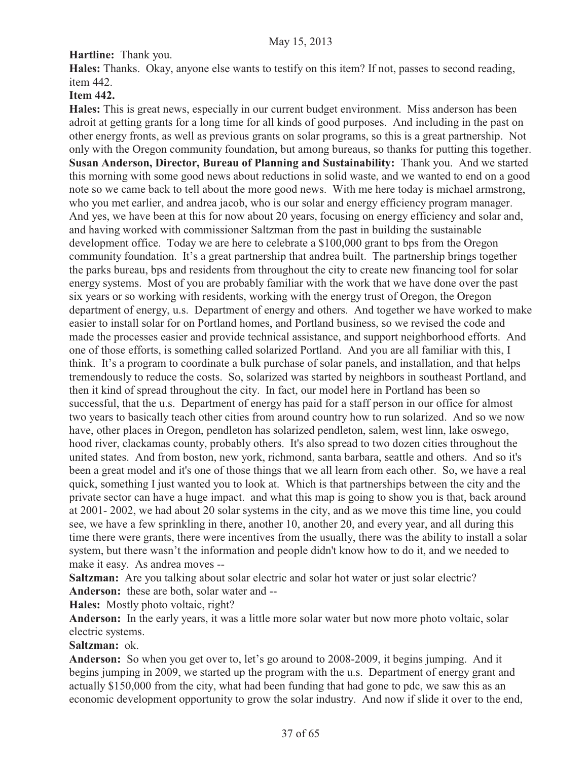# **Hartline:** Thank you.

**Hales:** Thanks. Okay, anyone else wants to testify on this item? If not, passes to second reading, item 442.

## **Item 442.**

**Hales:** This is great news, especially in our current budget environment. Miss anderson has been adroit at getting grants for a long time for all kinds of good purposes. And including in the past on other energy fronts, as well as previous grants on solar programs, so this is a great partnership. Not only with the Oregon community foundation, but among bureaus, so thanks for putting this together. **Susan Anderson, Director, Bureau of Planning and Sustainability:** Thank you. And we started this morning with some good news about reductions in solid waste, and we wanted to end on a good note so we came back to tell about the more good news. With me here today is michael armstrong, who you met earlier, and andrea jacob, who is our solar and energy efficiency program manager. And yes, we have been at this for now about 20 years, focusing on energy efficiency and solar and, and having worked with commissioner Saltzman from the past in building the sustainable development office. Today we are here to celebrate a \$100,000 grant to bps from the Oregon community foundation. It's a great partnership that andrea built. The partnership brings together the parks bureau, bps and residents from throughout the city to create new financing tool for solar energy systems. Most of you are probably familiar with the work that we have done over the past six years or so working with residents, working with the energy trust of Oregon, the Oregon department of energy, u.s. Department of energy and others. And together we have worked to make easier to install solar for on Portland homes, and Portland business, so we revised the code and made the processes easier and provide technical assistance, and support neighborhood efforts. And one of those efforts, is something called solarized Portland. And you are all familiar with this, I think. It's a program to coordinate a bulk purchase of solar panels, and installation, and that helps tremendously to reduce the costs. So, solarized was started by neighbors in southeast Portland, and then it kind of spread throughout the city. In fact, our model here in Portland has been so successful, that the u.s. Department of energy has paid for a staff person in our office for almost two years to basically teach other cities from around country how to run solarized. And so we now have, other places in Oregon, pendleton has solarized pendleton, salem, west linn, lake oswego, hood river, clackamas county, probably others. It's also spread to two dozen cities throughout the united states. And from boston, new york, richmond, santa barbara, seattle and others. And so it's been a great model and it's one of those things that we all learn from each other. So, we have a real quick, something I just wanted you to look at. Which is that partnerships between the city and the private sector can have a huge impact. and what this map is going to show you is that, back around at 2001- 2002, we had about 20 solar systems in the city, and as we move this time line, you could see, we have a few sprinkling in there, another 10, another 20, and every year, and all during this time there were grants, there were incentives from the usually, there was the ability to install a solar system, but there wasn't the information and people didn't know how to do it, and we needed to make it easy. As andrea moves --

**Saltzman:** Are you talking about solar electric and solar hot water or just solar electric? **Anderson:** these are both, solar water and --

**Hales:** Mostly photo voltaic, right?

**Anderson:** In the early years, it was a little more solar water but now more photo voltaic, solar electric systems.

#### **Saltzman:** ok.

**Anderson:** So when you get over to, let's go around to 2008-2009, it begins jumping. And it begins jumping in 2009, we started up the program with the u.s. Department of energy grant and actually \$150,000 from the city, what had been funding that had gone to pdc, we saw this as an economic development opportunity to grow the solar industry. And now if slide it over to the end,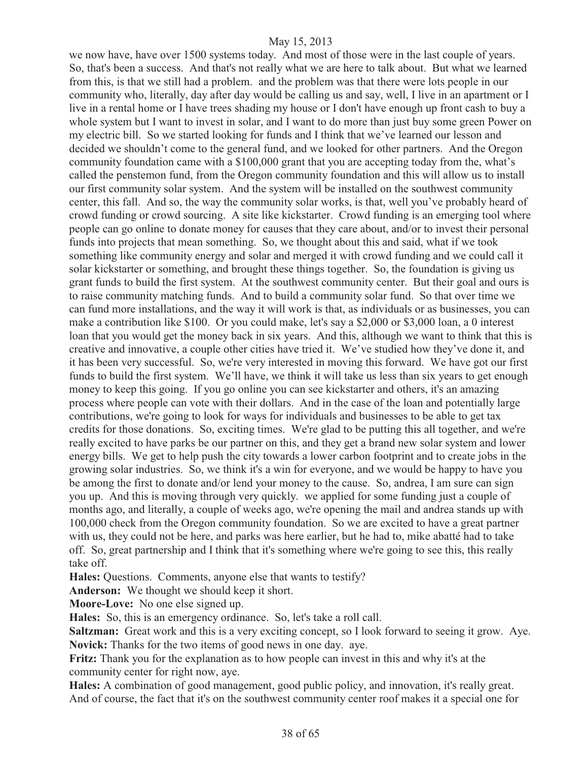we now have, have over 1500 systems today. And most of those were in the last couple of years. So, that's been a success. And that's not really what we are here to talk about. But what we learned from this, is that we still had a problem. and the problem was that there were lots people in our community who, literally, day after day would be calling us and say, well, I live in an apartment or I live in a rental home or I have trees shading my house or I don't have enough up front cash to buy a whole system but I want to invest in solar, and I want to do more than just buy some green Power on my electric bill. So we started looking for funds and I think that we've learned our lesson and decided we shouldn't come to the general fund, and we looked for other partners. And the Oregon community foundation came with a \$100,000 grant that you are accepting today from the, what's called the penstemon fund, from the Oregon community foundation and this will allow us to install our first community solar system. And the system will be installed on the southwest community center, this fall. And so, the way the community solar works, is that, well you've probably heard of crowd funding or crowd sourcing. A site like kickstarter. Crowd funding is an emerging tool where people can go online to donate money for causes that they care about, and/or to invest their personal funds into projects that mean something. So, we thought about this and said, what if we took something like community energy and solar and merged it with crowd funding and we could call it solar kickstarter or something, and brought these things together. So, the foundation is giving us grant funds to build the first system. At the southwest community center. But their goal and ours is to raise community matching funds. And to build a community solar fund. So that over time we can fund more installations, and the way it will work is that, as individuals or as businesses, you can make a contribution like \$100. Or you could make, let's say a \$2,000 or \$3,000 loan, a 0 interest loan that you would get the money back in six years. And this, although we want to think that this is creative and innovative, a couple other cities have tried it. We've studied how they've done it, and it has been very successful. So, we're very interested in moving this forward. We have got our first funds to build the first system. We'll have, we think it will take us less than six years to get enough money to keep this going. If you go online you can see kickstarter and others, it's an amazing process where people can vote with their dollars. And in the case of the loan and potentially large contributions, we're going to look for ways for individuals and businesses to be able to get tax credits for those donations. So, exciting times. We're glad to be putting this all together, and we're really excited to have parks be our partner on this, and they get a brand new solar system and lower energy bills. We get to help push the city towards a lower carbon footprint and to create jobs in the growing solar industries. So, we think it's a win for everyone, and we would be happy to have you be among the first to donate and/or lend your money to the cause. So, andrea, I am sure can sign you up. And this is moving through very quickly. we applied for some funding just a couple of months ago, and literally, a couple of weeks ago, we're opening the mail and andrea stands up with 100,000 check from the Oregon community foundation. So we are excited to have a great partner with us, they could not be here, and parks was here earlier, but he had to, mike abatté had to take off. So, great partnership and I think that it's something where we're going to see this, this really take off.

**Hales:** Questions. Comments, anyone else that wants to testify?

**Anderson:** We thought we should keep it short.

**Moore-Love:** No one else signed up.

**Hales:** So, this is an emergency ordinance. So, let's take a roll call.

**Saltzman:** Great work and this is a very exciting concept, so I look forward to seeing it grow. Aye. **Novick:** Thanks for the two items of good news in one day. aye.

**Fritz:** Thank you for the explanation as to how people can invest in this and why it's at the community center for right now, aye.

**Hales:** A combination of good management, good public policy, and innovation, it's really great. And of course, the fact that it's on the southwest community center roof makes it a special one for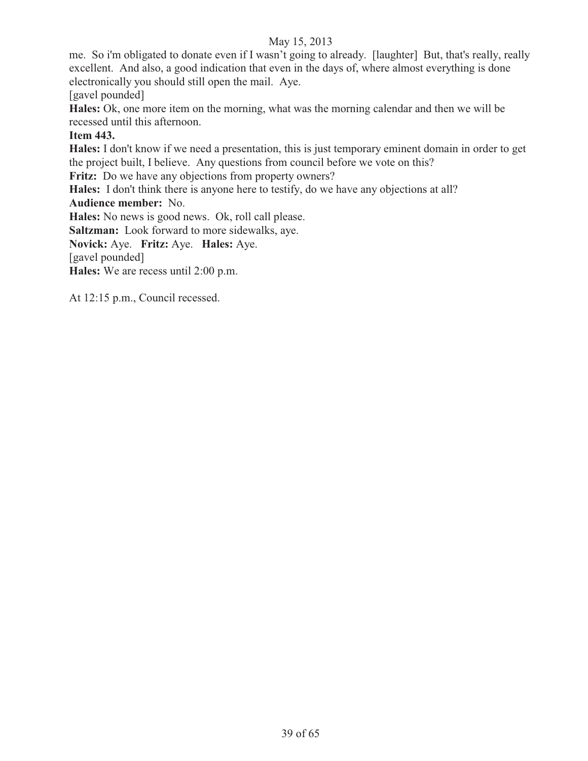me. So i'm obligated to donate even if I wasn't going to already. [laughter]But, that's really, really excellent. And also, a good indication that even in the days of, where almost everything is done electronically you should still open the mail. Aye.

[gavel pounded]

**Hales:** Ok, one more item on the morning, what was the morning calendar and then we will be recessed until this afternoon.

#### **Item 443.**

**Hales:** I don't know if we need a presentation, this is just temporary eminent domain in order to get the project built, I believe. Any questions from council before we vote on this?

Fritz: Do we have any objections from property owners?

**Hales:** I don't think there is anyone here to testify, do we have any objections at all?

#### **Audience member:** No.

**Hales:** No news is good news. Ok, roll call please.

**Saltzman:** Look forward to more sidewalks, aye.

**Novick:** Aye. **Fritz:** Aye. **Hales:** Aye.

[gavel pounded]

**Hales:** We are recess until 2:00 p.m.

At 12:15 p.m., Council recessed.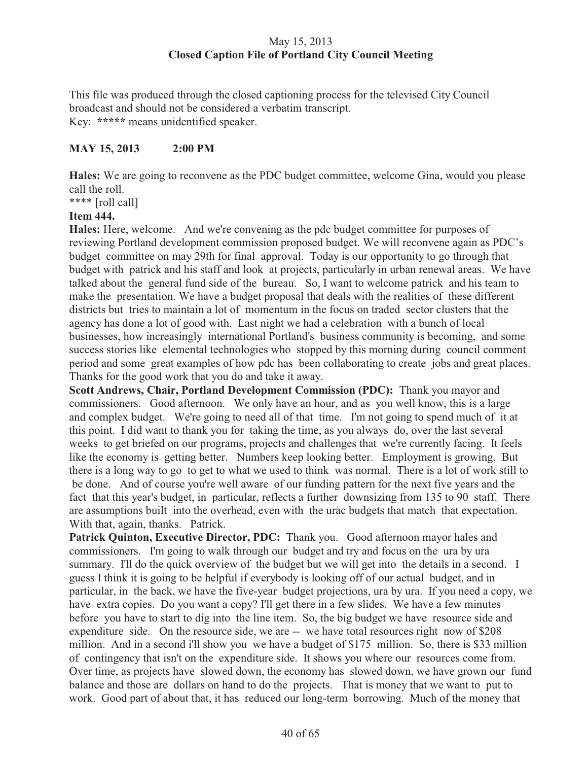# May 15, 2013 **Closed Caption File of Portland City Council Meeting**

This file was produced through the closed captioning process for the televised City Council broadcast and should not be considered a verbatim transcript. Key: **\*\*\*\*\*** means unidentified speaker.

## **MAY 15, 2013 2:00 PM**

**Hales:** We are going to reconvene as the PDC budget committee, welcome Gina, would you please call the roll.

\*\*\*\* [roll call]

#### **Item 444.**

**Hales:** Here, welcome. And we're convening as the pdc budget committee for purposes of reviewing Portland development commission proposed budget. We will reconvene again as PDC's budget committee on may 29th for final approval. Today is our opportunity to go through that budget with patrick and his staff and look at projects, particularly in urban renewal areas. We have talked about the general fund side of the bureau. So, I want to welcome patrick and his team to make the presentation. We have a budget proposal that deals with the realities of these different districts but tries to maintain a lot of momentum in the focus on traded sector clusters that the agency has done a lot of good with. Last night we had a celebration with a bunch of local businesses, how increasingly international Portland's business community is becoming, and some success stories like elemental technologies who stopped by this morning during council comment period and some great examples of how pdc has been collaborating to create jobs and great places. Thanks for the good work that you do and take it away.

**Scott Andrews, Chair, Portland Development Commission (PDC):** Thank you mayor and commissioners. Good afternoon. We only have an hour, and as you well know, this is a large and complex budget. We're going to need all of that time. I'm not going to spend much of it at this point. I did want to thank you for taking the time, as you always do, over the last several weeks to get briefed on our programs, projects and challenges that we're currently facing. It feels like the economy is getting better. Numbers keep looking better. Employment is growing. But there is a long way to go to get to what we used to think was normal. There is a lot of work still to be done. And of course you're well aware of our funding pattern for the next five years and the fact that this year's budget, in particular, reflects a further downsizing from 135 to 90 staff. There are assumptions built into the overhead, even with the urac budgets that match that expectation. With that, again, thanks. Patrick.

Patrick Quinton, Executive Director, PDC: Thank you. Good afternoon mayor hales and commissioners. I'm going to walk through our budget and try and focus on the ura by ura summary. I'll do the quick overview of the budget but we will get into the details in a second. I guess I think it is going to be helpful if everybody is looking off of our actual budget, and in particular, in the back, we have the five-year budget projections, ura by ura. If you need a copy, we have extra copies. Do you want a copy? I'll get there in a few slides. We have a few minutes before you have to start to dig into the line item. So, the big budget we have resource side and expenditure side. On the resource side, we are -- we have total resources right now of \$208 million. And in a second i'll show you we have a budget of \$175 million. So, there is \$33 million of contingency that isn't on the expenditure side. It shows you where our resources come from. Over time, as projects have slowed down, the economy has slowed down, we have grown our fund balance and those are dollars on hand to do the projects. That is money that we want to put to work. Good part of about that, it has reduced our long-term borrowing. Much of the money that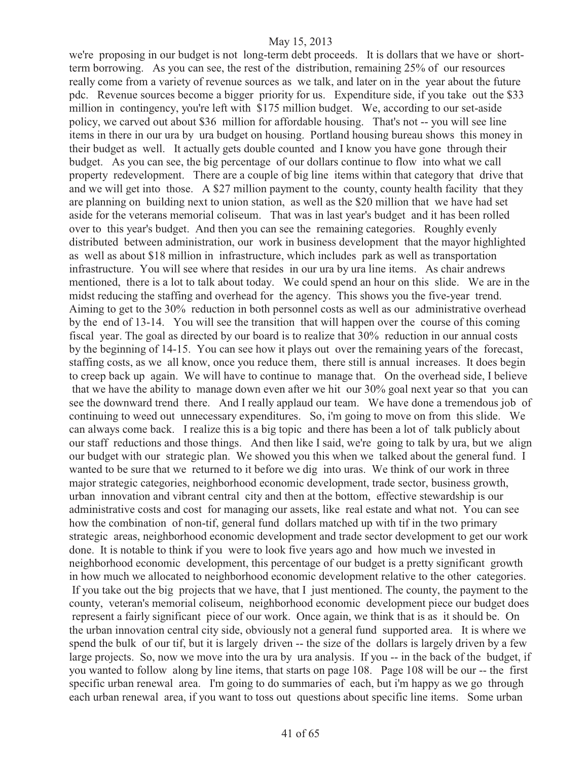we're proposing in our budget is not long-term debt proceeds. It is dollars that we have or shortterm borrowing. As you can see, the rest of the distribution, remaining 25% of our resources really come from a variety of revenue sources as we talk, and later on in the year about the future pdc. Revenue sources become a bigger priority for us. Expenditure side, if you take out the \$33 million in contingency, you're left with \$175 million budget. We, according to our set-aside policy, we carved out about \$36 million for affordable housing. That's not -- you will see line items in there in our ura by ura budget on housing. Portland housing bureau shows this money in their budget as well. It actually gets double counted and I know you have gone through their budget. As you can see, the big percentage of our dollars continue to flow into what we call property redevelopment. There are a couple of big line items within that category that drive that and we will get into those. A \$27 million payment to the county, county health facility that they are planning on building next to union station, as well as the \$20 million that we have had set aside for the veterans memorial coliseum. That was in last year's budget and it has been rolled over to this year's budget. And then you can see the remaining categories. Roughly evenly distributed between administration, our work in business development that the mayor highlighted as well as about \$18 million in infrastructure, which includes park as well as transportation infrastructure. You will see where that resides in our ura by ura line items. As chair andrews mentioned, there is a lot to talk about today. We could spend an hour on this slide. We are in the midst reducing the staffing and overhead for the agency. This shows you the five-year trend. Aiming to get to the 30% reduction in both personnel costs as well as our administrative overhead by the end of 13-14. You will see the transition that will happen over the course of this coming fiscal year. The goal as directed by our board is to realize that 30% reduction in our annual costs by the beginning of 14-15. You can see how it plays out over the remaining years of the forecast, staffing costs, as we all know, once you reduce them, there still is annual increases. It does begin to creep back up again. We will have to continue to manage that. On the overhead side, I believe that we have the ability to manage down even after we hit our 30% goal next year so that you can see the downward trend there. And I really applaud our team. We have done a tremendous job of continuing to weed out unnecessary expenditures. So, i'm going to move on from this slide. We can always come back. I realize this is a big topic and there has been a lot of talk publicly about our staff reductions and those things. And then like I said, we're going to talk by ura, but we align our budget with our strategic plan. We showed you this when we talked about the general fund. I wanted to be sure that we returned to it before we dig into uras. We think of our work in three major strategic categories, neighborhood economic development, trade sector, business growth, urban innovation and vibrant central city and then at the bottom, effective stewardship is our administrative costs and cost for managing our assets, like real estate and what not. You can see how the combination of non-tif, general fund dollars matched up with tif in the two primary strategic areas, neighborhood economic development and trade sector development to get our work done. It is notable to think if you were to look five years ago and how much we invested in neighborhood economic development, this percentage of our budget is a pretty significant growth in how much we allocated to neighborhood economic development relative to the other categories. If you take out the big projects that we have, that I just mentioned. The county, the payment to the county, veteran's memorial coliseum, neighborhood economic development piece our budget does represent a fairly significant piece of our work. Once again, we think that is as it should be. On the urban innovation central city side, obviously not a general fund supported area. It is where we spend the bulk of our tif, but it is largely driven -- the size of the dollars is largely driven by a few large projects. So, now we move into the ura by ura analysis. If you -- in the back of the budget, if you wanted to follow along by line items, that starts on page 108. Page 108 will be our -- the first specific urban renewal area. I'm going to do summaries of each, but i'm happy as we go through each urban renewal area, if you want to toss out questions about specific line items. Some urban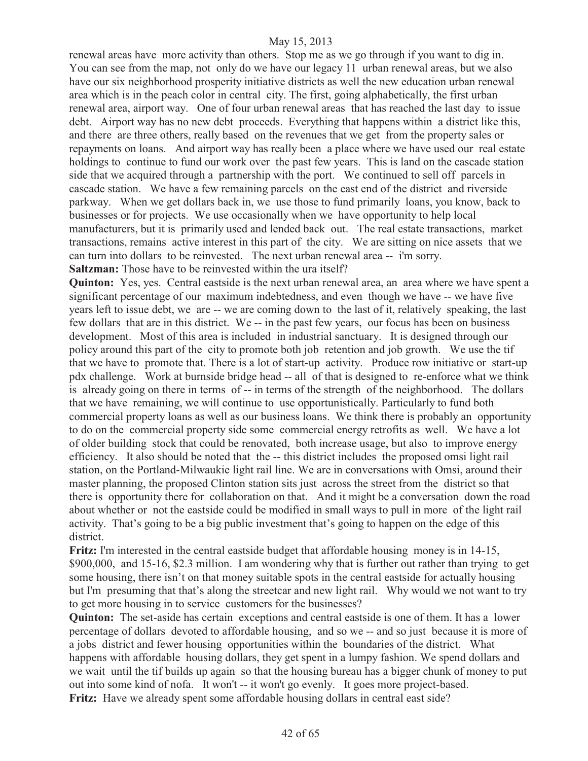renewal areas have more activity than others. Stop me as we go through if you want to dig in. You can see from the map, not only do we have our legacy 11 urban renewal areas, but we also have our six neighborhood prosperity initiative districts as well the new education urban renewal area which is in the peach color in central city. The first, going alphabetically, the first urban renewal area, airport way. One of four urban renewal areas that has reached the last day to issue debt. Airport way has no new debt proceeds. Everything that happens within a district like this, and there are three others, really based on the revenues that we get from the property sales or repayments on loans. And airport way has really been a place where we have used our real estate holdings to continue to fund our work over the past few years. This is land on the cascade station side that we acquired through a partnership with the port. We continued to sell off parcels in cascade station. We have a few remaining parcels on the east end of the district and riverside parkway. When we get dollars back in, we use those to fund primarily loans, you know, back to businesses or for projects. We use occasionally when we have opportunity to help local manufacturers, but it is primarily used and lended back out. The real estate transactions, market transactions, remains active interest in this part of the city. We are sitting on nice assets that we can turn into dollars to be reinvested. The next urban renewal area -- i'm sorry. **Saltzman:** Those have to be reinvested within the ura itself?

**Quinton:** Yes, yes. Central eastside is the next urban renewal area, an area where we have spent a significant percentage of our maximum indebtedness, and even though we have -- we have five years left to issue debt, we are -- we are coming down to the last of it, relatively speaking, the last few dollars that are in this district. We -- in the past few years, our focus has been on business development. Most of this area is included in industrial sanctuary. It is designed through our policy around this part of the city to promote both job retention and job growth. We use the tif that we have to promote that. There is a lot of start-up activity. Produce row initiative or start-up pdx challenge. Work at burnside bridge head -- all of that is designed to re-enforce what we think is already going on there in terms of -- in terms of the strength of the neighborhood. The dollars that we have remaining, we will continue to use opportunistically. Particularly to fund both commercial property loans as well as our business loans. We think there is probably an opportunity to do on the commercial property side some commercial energy retrofits as well. We have a lot of older building stock that could be renovated, both increase usage, but also to improve energy efficiency. It also should be noted that the -- this district includes the proposed omsi light rail station, on the Portland-Milwaukie light rail line. We are in conversations with Omsi, around their master planning, the proposed Clinton station sits just across the street from the district so that there is opportunity there for collaboration on that. And it might be a conversation down the road about whether or not the eastside could be modified in small ways to pull in more of the light rail activity. That's going to be a big public investment that's going to happen on the edge of this district.

**Fritz:** I'm interested in the central eastside budget that affordable housing money is in 14-15, \$900,000, and 15-16, \$2.3 million. I am wondering why that is further out rather than trying to get some housing, there isn't on that money suitable spots in the central eastside for actually housing but I'm presuming that that's along the streetcar and new light rail. Why would we not want to try to get more housing in to service customers for the businesses?

**Quinton:** The set-aside has certain exceptions and central eastside is one of them. It has a lower percentage of dollars devoted to affordable housing, and so we -- and so just because it is more of a jobs district and fewer housing opportunities within the boundaries of the district. What happens with affordable housing dollars, they get spent in a lumpy fashion. We spend dollars and we wait until the tif builds up again so that the housing bureau has a bigger chunk of money to put out into some kind of nofa. It won't -- it won't go evenly. It goes more project-based. **Fritz:** Have we already spent some affordable housing dollars in central east side?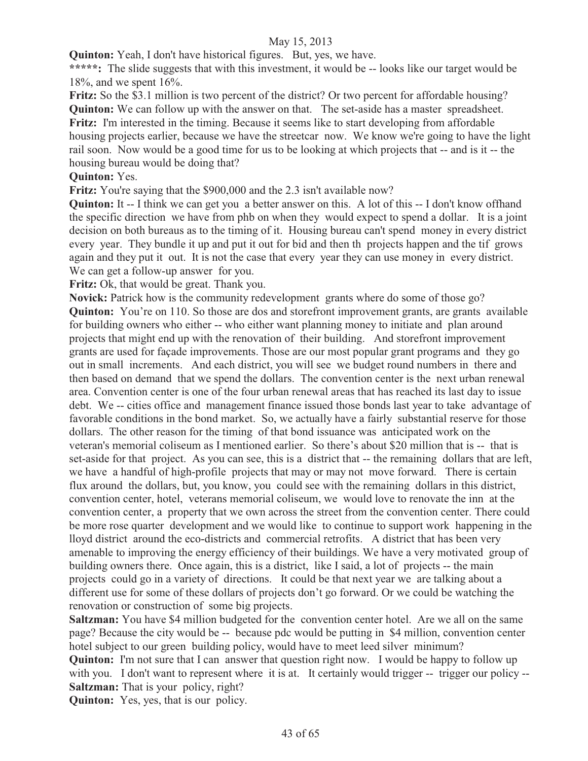**Quinton:** Yeah, I don't have historical figures. But, yes, we have.

\*\*\*\*\*: The slide suggests that with this investment, it would be -- looks like our target would be 18%, and we spent 16%.

**Fritz:** So the \$3.1 million is two percent of the district? Or two percent for affordable housing? **Quinton:** We can follow up with the answer on that. The set-aside has a master spreadsheet. **Fritz:** I'm interested in the timing. Because it seems like to start developing from affordable housing projects earlier, because we have the streetcar now. We know we're going to have the light rail soon. Now would be a good time for us to be looking at which projects that -- and is it -- the housing bureau would be doing that?

## **Quinton:** Yes.

Fritz: You're saying that the \$900,000 and the 2.3 isn't available now?

**Quinton:** It -- I think we can get you a better answer on this. A lot of this -- I don't know of fhand the specific direction we have from phb on when they would expect to spend a dollar. It is a joint decision on both bureaus as to the timing of it. Housing bureau can't spend money in every district every year. They bundle it up and put it out for bid and then th projects happen and the tif grows again and they put it out. It is not the case that every year they can use money in every district. We can get a follow-up answer for you.

Fritz: Ok, that would be great. Thank you.

Novick: Patrick how is the community redevelopment grants where do some of those go? **Quinton:** You're on 110. So those are dos and storefront improvement grants, are grants available for building owners who either -- who either want planning money to initiate and plan around projects that might end up with the renovation of their building. And storefront improvement grants are used for façade improvements. Those are our most popular grant programs and they go out in small increments. And each district, you will see we budget round numbers in there and then based on demand that we spend the dollars. The convention center is the next urban renewal area. Convention center is one of the four urban renewal areas that has reached its last day to issue debt. We -- cities office and management finance issued those bonds last year to take advantage of favorable conditions in the bond market. So, we actually have a fairly substantial reserve for those dollars. The other reason for the timing of that bond issuance was anticipated work on the veteran's memorial coliseum as I mentioned earlier. So there's about \$20 million that is -- that is set-aside for that project. As you can see, this is a district that -- the remaining dollars that are left, we have a handful of high-profile projects that may or may not move forward. There is certain flux around the dollars, but, you know, you could see with the remaining dollars in this district, convention center, hotel, veterans memorial coliseum, we would love to renovate the inn at the convention center, a property that we own across the street from the convention center. There could be more rose quarter development and we would like to continue to support work happening in the lloyd district around the eco-districts and commercial retrofits. A district that has been very amenable to improving the energy efficiency of their buildings. We have a very motivated group of building owners there. Once again, this is a district, like I said, a lot of projects -- the main projects could go in a variety of directions. It could be that next year we are talking about a different use for some of these dollars of projects don't go forward. Or we could be watching the renovation or construction of some big projects.

**Saltzman:** You have \$4 million budgeted for the convention center hotel. Are we all on the same page? Because the city would be -- because pdc would be putting in \$4 million, convention center hotel subject to our green building policy, would have to meet leed silver minimum? **Quinton:** I'm not sure that I can answer that question right now. I would be happy to follow up with you. I don't want to represent where it is at. It certainly would trigger -- trigger our policy --**Saltzman:** That is your policy, right?

**Quinton:** Yes, yes, that is our policy.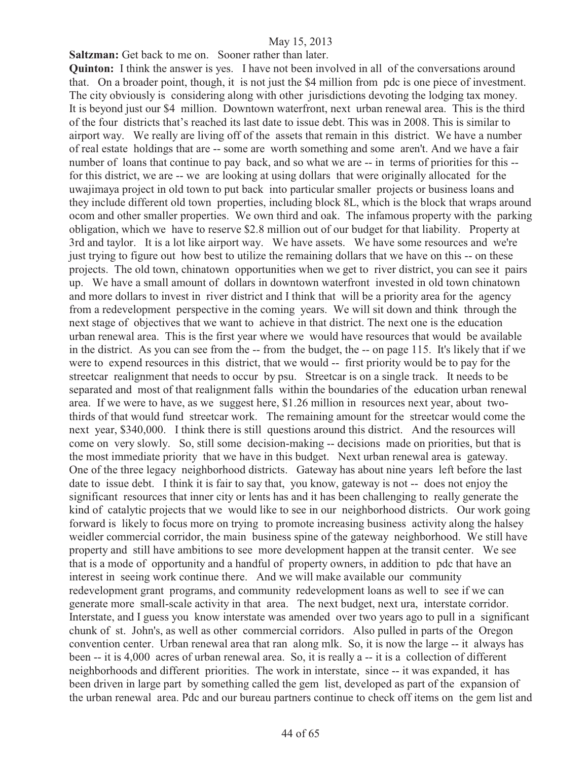**Saltzman:** Get back to me on. Sooner rather than later.

**Quinton:** I think the answer is yes. I have not been involved in all of the conversations around that. On a broader point, though, it is not just the \$4 million from pdc is one piece of investment. The city obviously is considering along with other jurisdictions devoting the lodging tax money. It is beyond just our \$4 million. Downtown waterfront, next urban renewal area. This is the third of the four districts that's reached its last date to issue debt. This was in 2008. This is similar to airport way. We really are living off of the assets that remain in this district. We have a number of real estate holdings that are -- some are worth something and some aren't. And we have a fair number of loans that continue to pay back, and so what we are -- in terms of priorities for this -for this district, we are -- we are looking at using dollars that were originally allocated for the uwajimaya project in old town to put back into particular smaller projects or business loans and they include different old town properties, including block 8L, which is the block that wraps around ocom and other smaller properties. We own third and oak. The infamous property with the parking obligation, which we have to reserve \$2.8 million out of our budget for that liability. Property at 3rd and taylor. It is a lot like airport way. We have assets. We have some resources and we're just trying to figure out how best to utilize the remaining dollars that we have on this -- on these projects. The old town, chinatown opportunities when we get to river district, you can see it pairs up. We have a small amount of dollars in downtown waterfront invested in old town chinatown and more dollars to invest in river district and I think that will be a priority area for the agency from a redevelopment perspective in the coming years. We will sit down and think through the next stage of objectives that we want to achieve in that district. The next one is the education urban renewal area. This is the first year where we would have resources that would be available in the district. As you can see from the -- from the budget, the -- on page 115. It's likely that if we were to expend resources in this district, that we would -- first priority would be to pay for the streetcar realignment that needs to occur by psu. Streetcar is on a single track. It needs to be separated and most of that realignment falls within the boundaries of the education urban renewal area. If we were to have, as we suggest here, \$1.26 million in resources next year, about twothirds of that would fund streetcar work. The remaining amount for the streetcar would come the next year, \$340,000. I think there is still questions around this district. And the resources will come on very slowly. So, still some decision-making -- decisions made on priorities, but that is the most immediate priority that we have in this budget. Next urban renewal area is gateway. One of the three legacy neighborhood districts. Gateway has about nine years left before the last date to issue debt. I think it is fair to say that, you know, gateway is not -- does not enjoy the significant resources that inner city or lents has and it has been challenging to really generate the kind of catalytic projects that we would like to see in our neighborhood districts. Our work going forward is likely to focus more on trying to promote increasing business activity along the halsey weidler commercial corridor, the main business spine of the gateway neighborhood. We still have property and still have ambitions to see more development happen at the transit center. We see that is a mode of opportunity and a handful of property owners, in addition to pdc that have an interest in seeing work continue there. And we will make available our community redevelopment grant programs, and community redevelopment loans as well to see if we can generate more small-scale activity in that area. The next budget, next ura, interstate corridor. Interstate, and I guess you know interstate was amended over two years ago to pull in a significant chunk of st. John's, as well as other commercial corridors. Also pulled in parts of the Oregon convention center. Urban renewal area that ran along mlk. So, it is now the large -- it always has been -- it is 4,000 acres of urban renewal area. So, it is really a -- it is a collection of different neighborhoods and different priorities. The work in interstate, since -- it was expanded, it has been driven in large part by something called the gem list, developed as part of the expansion of the urban renewal area. Pdc and our bureau partners continue to check off items on the gem list and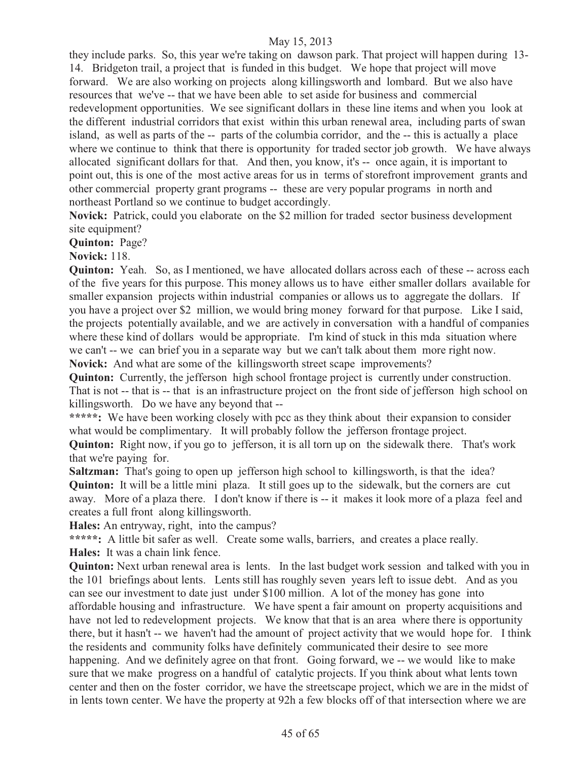they include parks. So, this year we're taking on dawson park. That project will happen during 13- 14. Bridgeton trail, a project that is funded in this budget. We hope that project will move forward. We are also working on projects along killingsworth and lombard. But we also have resources that we've -- that we have been able to set aside for business and commercial redevelopment opportunities. We see significant dollars in these line items and when you look at the different industrial corridors that exist within this urban renewal area, including parts of swan island, as well as parts of the -- parts of the columbia corridor, and the -- this is actually a place where we continue to think that there is opportunity for traded sector job growth. We have always allocated significant dollars for that. And then, you know, it's -- once again, it is important to point out, this is one of the most active areas for us in terms of storefront improvement grants and other commercial property grant programs -- these are very popular programs in north and northeast Portland so we continue to budget accordingly.

**Novick:** Patrick, could you elaborate on the \$2 million for traded sector business development site equipment?

**Quinton:** Page?

**Novick:** 118.

**Quinton:** Yeah. So, as I mentioned, we have allocated dollars across each of these -- across each of the five years for this purpose. This money allows us to have either smaller dollars available for smaller expansion projects within industrial companies or allows us to aggregate the dollars. If you have a project over \$2 million, we would bring money forward for that purpose. Like I said, the projects potentially available, and we are actively in conversation with a handful of companies where these kind of dollars would be appropriate. I'm kind of stuck in this mda situation where we can't -- we can brief you in a separate way but we can't talk about them more right now. **Novick:** And what are some of the killingsworth street scape improvements?

**Quinton:** Currently, the jefferson high school frontage project is currently under construction. That is not -- that is -- that is an infrastructure project on the front side of jefferson high school on killingsworth. Do we have any beyond that --

\*\*\*\*\*: We have been working closely with pcc as they think about their expansion to consider what would be complimentary. It will probably follow the jefferson frontage project.

**Quinton:** Right now, if you go to jefferson, it is all torn up on the sidewalk there. That's work that we're paying for.

**Saltzman:** That's going to open up jefferson high school to killingsworth, is that the idea? **Quinton:** It will be a little mini plaza. It still goes up to the sidewalk, but the corners are cut away. More of a plaza there. I don't know if there is -- it makes it look more of a plaza feel and creates a full front along killingsworth.

**Hales:** An entryway, right, into the campus?

\*\*\*\*\*: A little bit safer as well. Create some walls, barriers, and creates a place really. **Hales:** It was a chain link fence.

**Quinton:** Next urban renewal area is lents. In the last budget work session and talked with you in the 101 briefings about lents. Lents still has roughly seven years left to issue debt. And as you can see our investment to date just under \$100 million. A lot of the money has gone into affordable housing and infrastructure. We have spent a fair amount on property acquisitions and have not led to redevelopment projects. We know that that is an area where there is opportunity there, but it hasn't -- we haven't had the amount of project activity that we would hope for. I think the residents and community folks have definitely communicated their desire to see more happening. And we definitely agree on that front. Going forward, we -- we would like to make sure that we make progress on a handful of catalytic projects. If you think about what lents town center and then on the foster corridor, we have the streetscape project, which we are in the midst of in lents town center. We have the property at 92h a few blocks off of that intersection where we are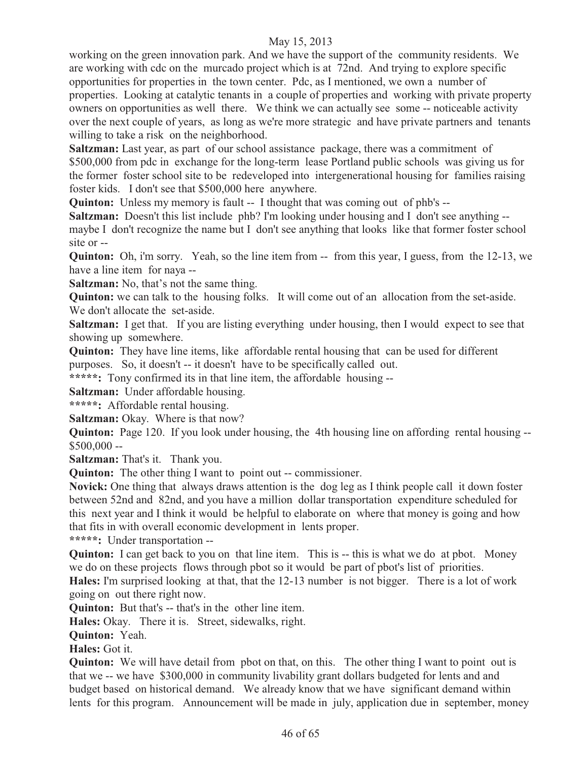working on the green innovation park. And we have the support of the community residents. We are working with cdc on the murcado project which is at 72nd. And trying to explore specific opportunities for properties in the town center. Pdc, as I mentioned, we own a number of properties. Looking at catalytic tenants in a couple of properties and working with private property owners on opportunities as well there. We think we can actually see some -- noticeable activity over the next couple of years, as long as we're more strategic and have private partners and tenants willing to take a risk on the neighborhood.

**Saltzman:** Last year, as part of our school assistance package, there was a commitment of \$500,000 from pdc in exchange for the long-term lease Portland public schools was giving us for the former foster school site to be redeveloped into intergenerational housing for families raising foster kids. I don't see that \$500,000 here anywhere.

**Quinton:** Unless my memory is fault -- I thought that was coming out of phb's --

**Saltzman:** Doesn't this list include phb? I'm looking under housing and I don't see anything - maybe I don't recognize the name but I don't see anything that looks like that former foster school site or --

**Quinton:** Oh, i'm sorry. Yeah, so the line item from -- from this year, I guess, from the 12-13, we have a line item for naya --

**Saltzman:** No, that's not the same thing.

**Quinton:** we can talk to the housing folks. It will come out of an allocation from the set-aside. We don't allocate the set-aside.

**Saltzman:** I get that. If you are listing everything under housing, then I would expect to see that showing up somewhere.

**Quinton:** They have line items, like affordable rental housing that can be used for different purposes. So, it doesn't -- it doesn't have to be specifically called out.

**\*\*\*\*\*:** Tony confirmed its in that line item, the affordable housing --

**Saltzman:** Under affordable housing.

**\*\*\*\*\*:** Affordable rental housing.

**Saltzman:** Okay. Where is that now?

**Quinton:** Page 120. If you look under housing, the 4th housing line on affording rental housing -- $$500,000 -$ 

**Saltzman:** That's it. Thank you.

**Quinton:** The other thing I want to point out -- commissioner.

**Novick:** One thing that always draws attention is the dog leg as I think people call it down foster between 52nd and 82nd, and you have a million dollar transportation expenditure scheduled for this next year and I think it would be helpful to elaborate on where that money is going and how that fits in with overall economic development in lents proper.

**\*\*\*\*\*:** Under transportation --

**Quinton:** I can get back to you on that line item. This is -- this is what we do at pbot. Money we do on these projects flows through pbot so it would be part of pbot's list of priorities.

**Hales:** I'm surprised looking at that, that the 12-13 number is not bigger. There is a lot of work going on out there right now.

**Quinton:** But that's -- that's in the other line item.

**Hales:** Okay. There it is. Street, sidewalks, right.

**Quinton:** Yeah.

**Hales:** Got it.

**Quinton:** We will have detail from pbot on that, on this. The other thing I want to point out is that we -- we have \$300,000 in community livability grant dollars budgeted for lents and and budget based on historical demand. We already know that we have significant demand within lents for this program. Announcement will be made in july, application due in september, money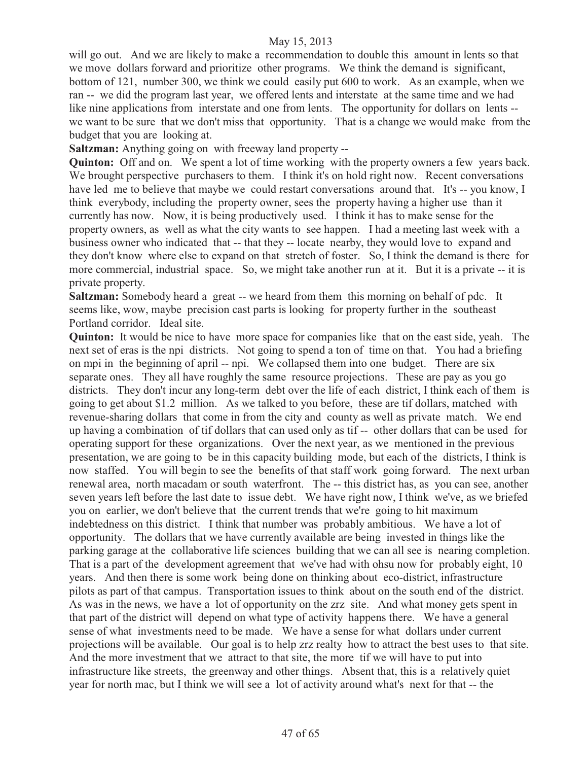will go out. And we are likely to make a recommendation to double this amount in lents so that we move dollars forward and prioritize other programs. We think the demand is significant, bottom of 121, number 300, we think we could easily put 600 to work. As an example, when we ran -- we did the program last year, we offered lents and interstate at the same time and we had like nine applications from interstate and one from lents. The opportunity for dollars on lents - we want to be sure that we don't miss that opportunity. That is a change we would make from the budget that you are looking at.

**Saltzman:** Anything going on with freeway land property --

**Quinton:** Off and on. We spent a lot of time working with the property owners a few years back. We brought perspective purchasers to them. I think it's on hold right now. Recent conversations have led me to believe that maybe we could restart conversations around that. It's -- you know, I think everybody, including the property owner, sees the property having a higher use than it currently has now. Now, it is being productively used. I think it has to make sense for the property owners, as well as what the city wants to see happen. I had a meeting last week with a business owner who indicated that -- that they -- locate nearby, they would love to expand and they don't know where else to expand on that stretch of foster. So, I think the demand is there for more commercial, industrial space. So, we might take another run at it. But it is a private -- it is private property.

**Saltzman:** Somebody heard a great -- we heard from them this morning on behalf of pdc. It seems like, wow, maybe precision cast parts is looking for property further in the southeast Portland corridor. Ideal site.

**Quinton:** It would be nice to have more space for companies like that on the east side, yeah. The next set of eras is the npi districts. Not going to spend a ton of time on that. You had a briefing on mpi in the beginning of april -- npi. We collapsed them into one budget. There are six separate ones. They all have roughly the same resource projections. These are pay as you go districts. They don't incur any long-term debt over the life of each district, I think each of them is going to get about \$1.2 million. As we talked to you before, these are tif dollars, matched with revenue-sharing dollars that come in from the city and county as well as private match. We end up having a combination of tif dollars that can used only as tif -- other dollars that can be used for operating support for these organizations. Over the next year, as we mentioned in the previous presentation, we are going to be in this capacity building mode, but each of the districts, I think is now staffed. You will begin to see the benefits of that staff work going forward. The next urban renewal area, north macadam or south waterfront. The -- this district has, as you can see, another seven years left before the last date to issue debt. We have right now, I think we've, as we briefed you on earlier, we don't believe that the current trends that we're going to hit maximum indebtedness on this district. I think that number was probably ambitious. We have a lot of opportunity. The dollars that we have currently available are being invested in things like the parking garage at the collaborative life sciences building that we can all see is nearing completion. That is a part of the development agreement that we've had with ohsu now for probably eight, 10 years. And then there is some work being done on thinking about eco-district, infrastructure pilots as part of that campus. Transportation issues to think about on the south end of the district. As was in the news, we have a lot of opportunity on the zrz site. And what money gets spent in that part of the district will depend on what type of activity happens there. We have a general sense of what investments need to be made. We have a sense for what dollars under current projections will be available. Our goal is to help zrz realty how to attract the best uses to that site. And the more investment that we attract to that site, the more tif we will have to put into infrastructure like streets, the greenway and other things. Absent that, this is a relatively quiet year for north mac, but I think we will see a lot of activity around what's next for that -- the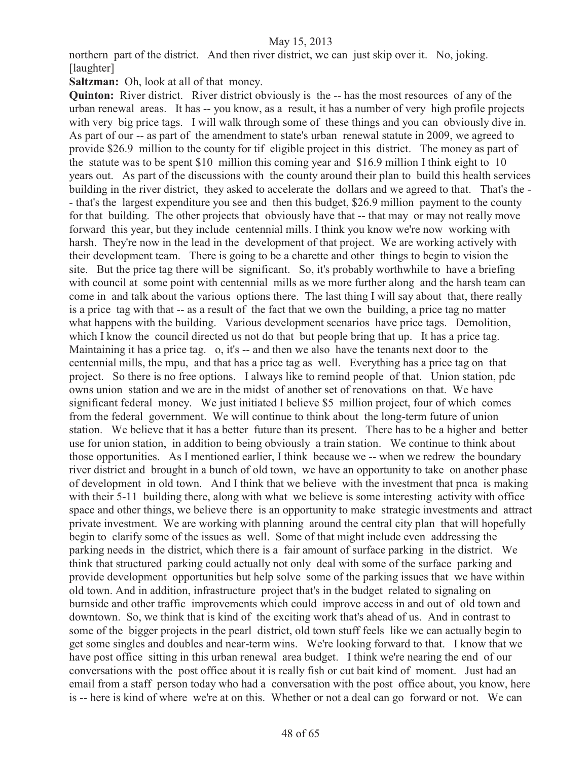northern part of the district. And then river district, we can just skip over it. No, joking. [laughter]

**Saltzman:** Oh, look at all of that money.

**Quinton:** River district. River district obviously is the -- has the most resources of any of the urban renewal areas. It has -- you know, as a result, it has a number of very high profile projects with very big price tags. I will walk through some of these things and you can obviously dive in. As part of our -- as part of the amendment to state's urban renewal statute in 2009, we agreed to provide \$26.9 million to the county for tif eligible project in this district. The money as part of the statute was to be spent \$10 million this coming year and \$16.9 million I think eight to 10 years out. As part of the discussions with the county around their plan to build this health services building in the river district, they asked to accelerate the dollars and we agreed to that. That's the - - that's the largest expenditure you see and then this budget, \$26.9 million payment to the county for that building. The other projects that obviously have that -- that may or may not really move forward this year, but they include centennial mills. I think you know we're now working with harsh. They're now in the lead in the development of that project. We are working actively with their development team. There is going to be a charette and other things to begin to vision the site. But the price tag there will be significant. So, it's probably worthwhile to have a briefing with council at some point with centennial mills as we more further along and the harsh team can come in and talk about the various options there. The last thing I will say about that, there really is a price tag with that -- as a result of the fact that we own the building, a price tag no matter what happens with the building. Various development scenarios have price tags. Demolition, which I know the council directed us not do that but people bring that up. It has a price tag. Maintaining it has a price tag. o, it's -- and then we also have the tenants next door to the centennial mills, the mpu, and that has a price tag as well. Everything has a price tag on that project. So there is no free options. I always like to remind people of that. Union station, pdc owns union station and we are in the midst of another set of renovations on that. We have significant federal money. We just initiated I believe \$5 million project, four of which comes from the federal government. We will continue to think about the long-term future of union station. We believe that it has a better future than its present. There has to be a higher and better use for union station, in addition to being obviously a train station. We continue to think about those opportunities. As I mentioned earlier, I think because we -- when we redrew the boundary river district and brought in a bunch of old town, we have an opportunity to take on another phase of development in old town. And I think that we believe with the investment that pnca is making with their 5-11 building there, along with what we believe is some interesting activity with office space and other things, we believe there is an opportunity to make strategic investments and attract private investment. We are working with planning around the central city plan that will hopefully begin to clarify some of the issues as well. Some of that might include even addressing the parking needs in the district, which there is a fair amount of surface parking in the district. We think that structured parking could actually not only deal with some of the surface parking and provide development opportunities but help solve some of the parking issues that we have within old town. And in addition, infrastructure project that's in the budget related to signaling on burnside and other traffic improvements which could improve access in and out of old town and downtown. So, we think that is kind of the exciting work that's ahead of us. And in contrast to some of the bigger projects in the pearl district, old town stuff feels like we can actually begin to get some singles and doubles and near-term wins. We're looking forward to that. I know that we have post office sitting in this urban renewal area budget. I think we're nearing the end of our conversations with the post office about it is really fish or cut bait kind of moment. Just had an email from a staff person today who had a conversation with the post office about, you know, here is -- here is kind of where we're at on this. Whether or not a deal can go forward or not. We can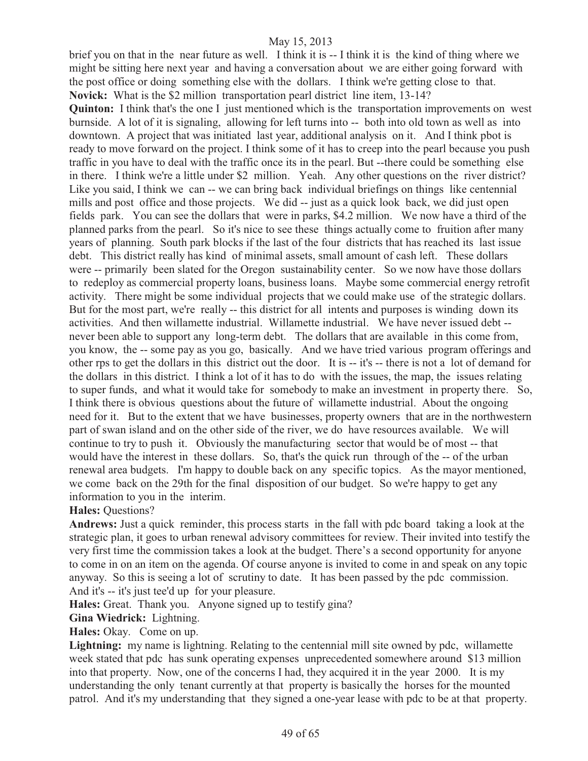brief you on that in the near future as well. I think it is -- I think it is the kind of thing where we might be sitting here next year and having a conversation about we are either going forward with the post office or doing something else with the dollars. I think we're getting close to that. **Novick:** What is the \$2 million transportation pearl district line item, 13-14?

**Quinton:** I think that's the one I just mentioned which is the transportation improvements on west burnside. A lot of it is signaling, allowing for left turns into -- both into old town as well as into downtown. A project that was initiated last year, additional analysis on it. And I think pbot is ready to move forward on the project. I think some of it has to creep into the pearl because you push traffic in you have to deal with the traffic once its in the pearl. But --there could be something else in there. I think we're a little under \$2 million. Yeah. Any other questions on the river district? Like you said, I think we can -- we can bring back individual briefings on things like centennial mills and post office and those projects. We did -- just as a quick look back, we did just open fields park. You can see the dollars that were in parks, \$4.2 million. We now have a third of the planned parks from the pearl. So it's nice to see these things actually come to fruition after many years of planning. South park blocks if the last of the four districts that has reached its last issue debt. This district really has kind of minimal assets, small amount of cash left. These dollars were -- primarily been slated for the Oregon sustainability center. So we now have those dollars to redeploy as commercial property loans, business loans. Maybe some commercial energy retrofit activity. There might be some individual projects that we could make use of the strategic dollars. But for the most part, we're really -- this district for all intents and purposes is winding down its activities. And then willamette industrial. Willamette industrial. We have never issued debt - never been able to support any long-term debt. The dollars that are available in this come from, you know, the -- some pay as you go, basically. And we have tried various program offerings and other rps to get the dollars in this district out the door. It is -- it's -- there is not a lot of demand for the dollars in this district. I think a lot of it has to do with the issues, the map, the issues relating to super funds, and what it would take for somebody to make an investment in property there. So, I think there is obvious questions about the future of willamette industrial. About the ongoing need for it. But to the extent that we have businesses, property owners that are in the northwestern part of swan island and on the other side of the river, we do have resources available. We will continue to try to push it. Obviously the manufacturing sector that would be of most -- that would have the interest in these dollars. So, that's the quick run through of the -- of the urban renewal area budgets. I'm happy to double back on any specific topics. As the mayor mentioned, we come back on the 29th for the final disposition of our budget. So we're happy to get any information to you in the interim.

**Hales:** Questions?

**Andrews:** Just a quick reminder, this process starts in the fall with pdc board taking a look at the strategic plan, it goes to urban renewal advisory committees for review. Their invited into testify the very first time the commission takes a look at the budget. There's a second opportunity for anyone to come in on an item on the agenda. Of course anyone is invited to come in and speak on any topic anyway. So this is seeing a lot of scrutiny to date. It has been passed by the pdc commission. And it's -- it's just tee'd up for your pleasure.

**Hales:** Great. Thank you. Anyone signed up to testify gina?

**Gina Wiedrick:** Lightning.

**Hales:** Okay. Come on up.

Lightning: my name is lightning. Relating to the centennial mill site owned by pdc, willamette week stated that pdc has sunk operating expenses unprecedented somewhere around \$13 million into that property. Now, one of the concerns I had, they acquired it in the year 2000. It is my understanding the only tenant currently at that property is basically the horses for the mounted patrol. And it's my understanding that they signed a one-year lease with pdc to be at that property.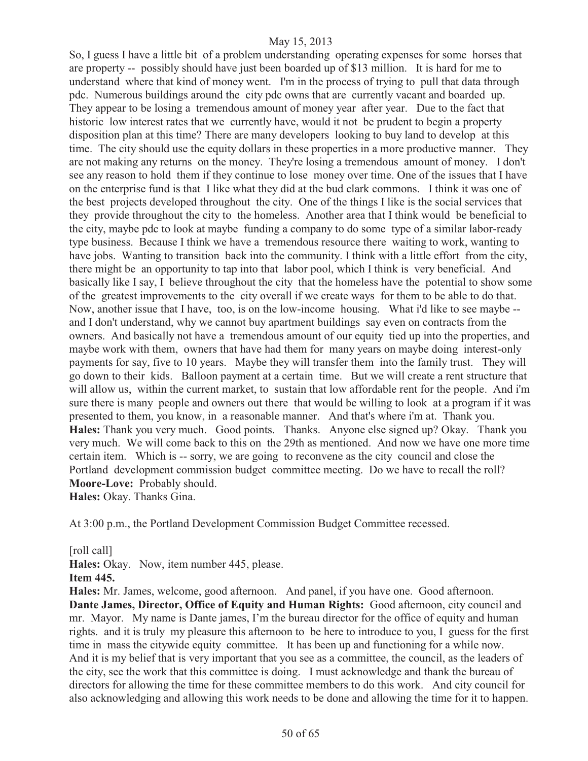So, I guess I have a little bit of a problem understanding operating expenses for some horses that are property -- possibly should have just been boarded up of \$13 million. It is hard for me to understand where that kind of money went. I'm in the process of trying to pull that data through pdc. Numerous buildings around the city pdc owns that are currently vacant and boarded up. They appear to be losing a tremendous amount of money year after year. Due to the fact that historic low interest rates that we currently have, would it not be prudent to begin a property disposition plan at this time? There are many developers looking to buy land to develop at this time. The city should use the equity dollars in these properties in a more productive manner. They are not making any returns on the money. They're losing a tremendous amount of money. I don't see any reason to hold them if they continue to lose money over time. One of the issues that I have on the enterprise fund is that I like what they did at the bud clark commons. I think it was one of the best projects developed throughout the city. One of the things I like is the social services that they provide throughout the city to the homeless. Another area that I think would be beneficial to the city, maybe pdc to look at maybe funding a company to do some type of a similar labor-ready type business. Because I think we have a tremendous resource there waiting to work, wanting to have jobs. Wanting to transition back into the community. I think with a little effort from the city, there might be an opportunity to tap into that labor pool, which I think is very beneficial. And basically like I say, I believe throughout the city that the homeless have the potential to show some of the greatest improvements to the city overall if we create ways for them to be able to do that. Now, another issue that I have, too, is on the low-income housing. What i'd like to see maybe - and I don't understand, why we cannot buy apartment buildings say even on contracts from the owners. And basically not have a tremendous amount of our equity tied up into the properties, and maybe work with them, owners that have had them for many years on maybe doing interest-only payments for say, five to 10 years. Maybe they will transfer them into the family trust. They will go down to their kids. Balloon payment at a certain time. But we will create a rent structure that will allow us, within the current market, to sustain that low affordable rent for the people. And i'm sure there is many people and owners out there that would be willing to look at a program if it was presented to them, you know, in a reasonable manner. And that's where i'm at. Thank you. **Hales:** Thank you very much. Good points. Thanks. Anyone else signed up? Okay. Thank you very much. We will come back to this on the 29th as mentioned. And now we have one more time certain item. Which is -- sorry, we are going to reconvene as the city council and close the Portland development commission budget committee meeting. Do we have to recall the roll? **Moore-Love:** Probably should.

**Hales:** Okay. Thanks Gina.

At 3:00 p.m., the Portland Development Commission Budget Committee recessed.

[roll call]

**Hales:** Okay. Now, item number 445, please.

#### **Item 445.**

**Hales:** Mr. James, welcome, good afternoon. And panel, if you have one. Good afternoon. **Dante James, Director, Office of Equity and Human Rights:** Good afternoon, city council and mr. Mayor. My name is Dante james, I'm the bureau director for the office of equity and human rights. and it is truly my pleasure this afternoon to be here to introduce to you, I guess for the first time in mass the citywide equity committee. It has been up and functioning for a while now. And it is my belief that is very important that you see as a committee, the council, as the leaders of the city, see the work that this committee is doing. I must acknowledge and thank the bureau of directors for allowing the time for these committee members to do this work. And city council for also acknowledging and allowing this work needs to be done and allowing the time for it to happen.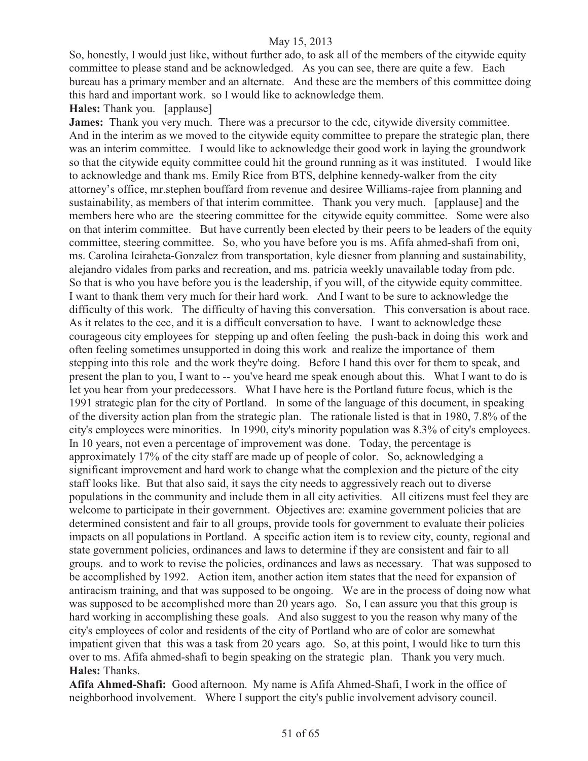So, honestly, I would just like, without further ado, to ask all of the members of the citywide equity committee to please stand and be acknowledged. As you can see, there are quite a few. Each bureau has a primary member and an alternate. And these are the members of this committee doing this hard and important work. so I would like to acknowledge them.

**Hales:** Thank you. [applause]

**James:** Thank you very much. There was a precursor to the cdc, citywide diversity committee. And in the interim as we moved to the citywide equity committee to prepare the strategic plan, there was an interim committee. I would like to acknowledge their good work in laying the groundwork so that the citywide equity committee could hit the ground running as it was instituted. I would like to acknowledge and thank ms. Emily Rice from BTS, delphine kennedy-walker from the city attorney's office, mr.stephen bouffard from revenue and desiree Williams-rajee from planning and sustainability, as members of that interim committee. Thank you very much. [applause] and the members here who are the steering committee for the citywide equity committee. Some were also on that interim committee. But have currently been elected by their peers to be leaders of the equity committee, steering committee. So, who you have before you is ms. Afifa ahmed-shafi from oni, ms. Carolina Iciraheta-Gonzalez from transportation, kyle diesner from planning and sustainability, alejandro vidales from parks and recreation, and ms. patricia weekly unavailable today from pdc. So that is who you have before you is the leadership, if you will, of the citywide equity committee. I want to thank them very much for their hard work. And I want to be sure to acknowledge the difficulty of this work. The difficulty of having this conversation. This conversation is about race. As it relates to the cec, and it is a difficult conversation to have. I want to acknowledge these courageous city employees for stepping up and often feeling the push-back in doing this work and often feeling sometimes unsupported in doing this work and realize the importance of them stepping into this role and the work they're doing. Before I hand this over for them to speak, and present the plan to you, I want to -- you've heard me speak enough about this. What I want to do is let you hear from your predecessors. What I have here is the Portland future focus, which is the 1991 strategic plan for the city of Portland. In some of the language of this document, in speaking of the diversity action plan from the strategic plan. The rationale listed is that in 1980, 7.8% of the city's employees were minorities. In 1990, city's minority population was 8.3% of city's employees. In 10 years, not even a percentage of improvement was done. Today, the percentage is approximately 17% of the city staff are made up of people of color. So, acknowledging a significant improvement and hard work to change what the complexion and the picture of the city staff looks like. But that also said, it says the city needs to aggressively reach out to diverse populations in the community and include them in all city activities. All citizens must feel they are welcome to participate in their government. Objectives are: examine government policies that are determined consistent and fair to all groups, provide tools for government to evaluate their policies impacts on all populations in Portland. A specific action item is to review city, county, regional and state government policies, ordinances and laws to determine if they are consistent and fair to all groups. and to work to revise the policies, ordinances and laws as necessary. That was supposed to be accomplished by 1992. Action item, another action item states that the need for expansion of antiracism training, and that was supposed to be ongoing. We are in the process of doing now what was supposed to be accomplished more than 20 years ago. So, I can assure you that this group is hard working in accomplishing these goals. And also suggest to you the reason why many of the city's employees of color and residents of the city of Portland who are of color are somewhat impatient given that this was a task from 20 years ago. So, at this point, I would like to turn this over to ms. Afifa ahmed-shafi to begin speaking on the strategic plan. Thank you very much. **Hales:** Thanks.

**Afifa Ahmed-Shafi:** Good afternoon. My name is Afifa Ahmed-Shafi, I work in the office of neighborhood involvement. Where I support the city's public involvement advisory council.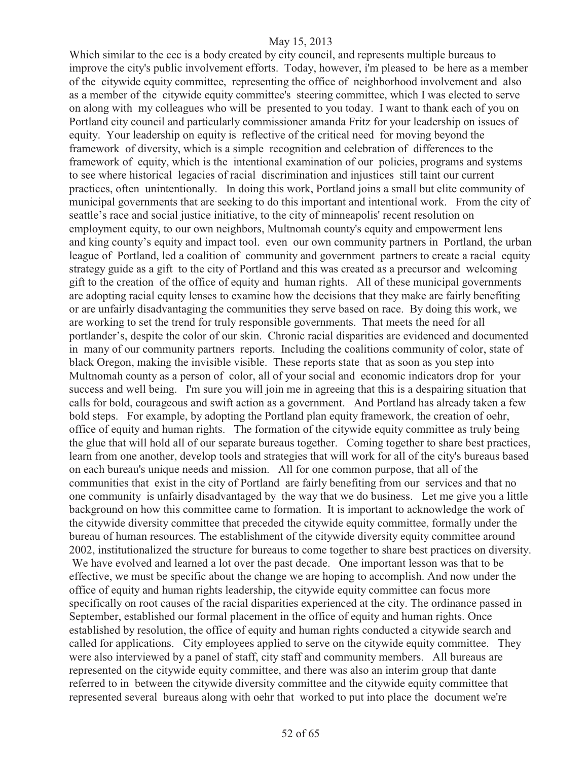Which similar to the cec is a body created by city council, and represents multiple bureaus to improve the city's public involvement efforts. Today, however, i'm pleased to be here as a member of the citywide equity committee, representing the office of neighborhood involvement and also as a member of the citywide equity committee's steering committee, which I was elected to serve on along with my colleagues who will be presented to you today. I want to thank each of you on Portland city council and particularly commissioner amanda Fritz for your leadership on issues of equity. Your leadership on equity is reflective of the critical need for moving beyond the framework of diversity, which is a simple recognition and celebration of differences to the framework of equity, which is the intentional examination of our policies, programs and systems to see where historical legacies of racial discrimination and injustices still taint our current practices, often unintentionally. In doing this work, Portland joins a small but elite community of municipal governments that are seeking to do this important and intentional work. From the city of seattle's race and social justice initiative, to the city of minneapolis' recent resolution on employment equity, to our own neighbors, Multnomah county's equity and empowerment lens and king county's equity and impact tool. even our own community partners in Portland, the urban league of Portland, led a coalition of community and government partners to create a racial equity strategy guide as a gift to the city of Portland and this was created as a precursor and welcoming gift to the creation of the office of equity and human rights. All of these municipal governments are adopting racial equity lenses to examine how the decisions that they make are fairly benefiting or are unfairly disadvantaging the communities they serve based on race. By doing this work, we are working to set the trend for truly responsible governments. That meets the need for all portlander's, despite the color of our skin. Chronic racial disparities are evidenced and documented in many of our community partners reports. Including the coalitions community of color, state of black Oregon, making the invisible visible. These reports state that as soon as you step into Multnomah county as a person of color, all of your social and economic indicators drop for your success and well being. I'm sure you will join me in agreeing that this is a despairing situation that calls for bold, courageous and swift action as a government. And Portland has already taken a few bold steps. For example, by adopting the Portland plan equity framework, the creation of oehr, office of equity and human rights. The formation of the citywide equity committee as truly being the glue that will hold all of our separate bureaus together. Coming together to share best practices, learn from one another, develop tools and strategies that will work for all of the city's bureaus based on each bureau's unique needs and mission. All for one common purpose, that all of the communities that exist in the city of Portland are fairly benefiting from our services and that no one community is unfairly disadvantaged by the way that we do business. Let me give you a little background on how this committee came to formation. It is important to acknowledge the work of the citywide diversity committee that preceded the citywide equity committee, formally under the bureau of human resources. The establishment of the citywide diversity equity committee around 2002, institutionalized the structure for bureaus to come together to share best practices on diversity. We have evolved and learned a lot over the past decade. One important lesson was that to be effective, we must be specific about the change we are hoping to accomplish. And now under the office of equity and human rights leadership, the citywide equity committee can focus more specifically on root causes of the racial disparities experienced at the city. The ordinance passed in September, established our formal placement in the office of equity and human rights. Once established by resolution, the office of equity and human rights conducted a citywide search and called for applications. City employees applied to serve on the citywide equity committee. They were also interviewed by a panel of staff, city staff and community members. All bureaus are represented on the citywide equity committee, and there was also an interim group that dante referred to in between the citywide diversity committee and the citywide equity committee that represented several bureaus along with oehr that worked to put into place the document we're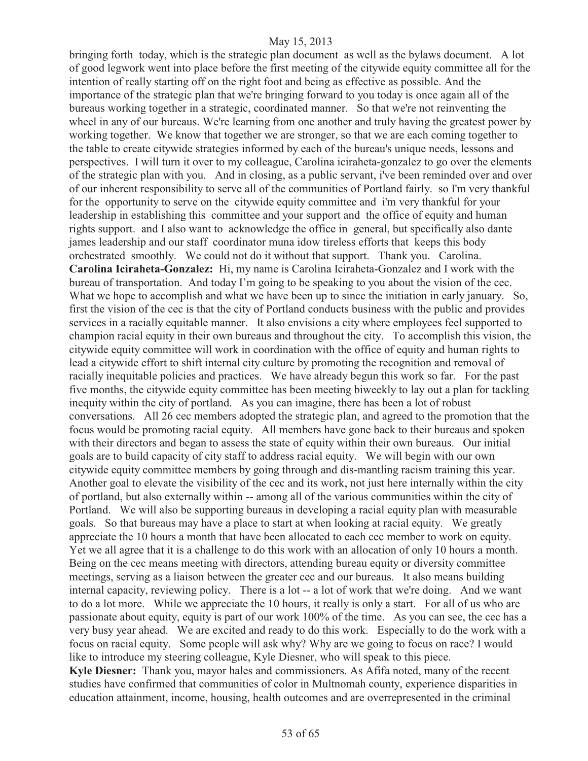bringing forth today, which is the strategic plan document as well as the bylaws document. A lot of good legwork went into place before the first meeting of the citywide equity committee all for the intention of really starting off on the right foot and being as effective as possible. And the importance of the strategic plan that we're bringing forward to you today is once again all of the bureaus working together in a strategic, coordinated manner. So that we're not reinventing the wheel in any of our bureaus. We're learning from one another and truly having the greatest power by working together. We know that together we are stronger, so that we are each coming together to the table to create citywide strategies informed by each of the bureau's unique needs, lessons and perspectives. I will turn it over to my colleague, Carolina iciraheta-gonzalez to go over the elements of the strategic plan with you. And in closing, as a public servant, i've been reminded over and over of our inherent responsibility to serve all of the communities of Portland fairly. so I'm very thankful for the opportunity to serve on the citywide equity committee and i'm very thankful for your leadership in establishing this committee and your support and the office of equity and human rights support. and I also want to acknowledge the office in general, but specifically also dante james leadership and our staff coordinator muna idow tireless efforts that keeps this body orchestrated smoothly. We could not do it without that support. Thank you. Carolina. **Carolina Iciraheta-Gonzalez:** Hi, my name is Carolina Iciraheta-Gonzalez and I work with the bureau of transportation. And today I'm going to be speaking to you about the vision of the cec. What we hope to accomplish and what we have been up to since the initiation in early january. So, first the vision of the cec is that the city of Portland conducts business with the public and provides services in a racially equitable manner. It also envisions a city where employees feel supported to champion racial equity in their own bureaus and throughout the city. To accomplish this vision, the citywide equity committee will work in coordination with the office of equity and human rights to lead a citywide effort to shift internal city culture by promoting the recognition and removal of racially inequitable policies and practices. We have already begun this work so far. For the past five months, the citywide equity committee has been meeting biweekly to lay out a plan for tackling inequity within the city of portland. As you can imagine, there has been a lot of robust conversations. All 26 cec members adopted the strategic plan, and agreed to the promotion that the focus would be promoting racial equity. All members have gone back to their bureaus and spoken with their directors and began to assess the state of equity within their own bureaus. Our initial goals are to build capacity of city staff to address racial equity. We will begin with our own citywide equity committee members by going through and dis-mantling racism training this year. Another goal to elevate the visibility of the cec and its work, not just here internally within the city of portland, but also externally within -- among all of the various communities within the city of Portland. We will also be supporting bureaus in developing a racial equity plan with measurable goals. So that bureaus may have a place to start at when looking at racial equity. We greatly appreciate the 10 hours a month that have been allocated to each cec member to work on equity. Yet we all agree that it is a challenge to do this work with an allocation of only 10 hours a month. Being on the cec means meeting with directors, attending bureau equity or diversity committee meetings, serving as a liaison between the greater cec and our bureaus. It also means building internal capacity, reviewing policy. There is a lot -- a lot of work that we're doing. And we want to do a lot more. While we appreciate the 10 hours, it really is only a start. For all of us who are passionate about equity, equity is part of our work 100% of the time. As you can see, the cec has a very busy year ahead. We are excited and ready to do this work. Especially to do the work with a focus on racial equity. Some people will ask why? Why are we going to focus on race? I would like to introduce my steering colleague, Kyle Diesner, who will speak to this piece.

**Kyle Diesner:** Thank you, mayor hales and commissioners. As Afifa noted, many of the recent studies have confirmed that communities of color in Multnomah county, experience disparities in education attainment, income, housing, health outcomes and are overrepresented in the criminal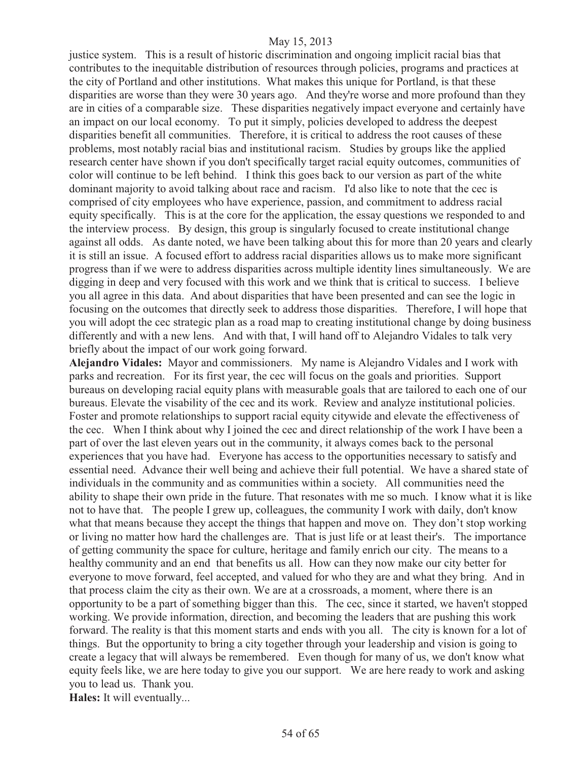justice system. This is a result of historic discrimination and ongoing implicit racial bias that contributes to the inequitable distribution of resources through policies, programs and practices at the city of Portland and other institutions. What makes this unique for Portland, is that these disparities are worse than they were 30 years ago. And they're worse and more profound than they are in cities of a comparable size. These disparities negatively impact everyone and certainly have an impact on our local economy. To put it simply, policies developed to address the deepest disparities benefit all communities. Therefore, it is critical to address the root causes of these problems, most notably racial bias and institutional racism. Studies by groups like the applied research center have shown if you don't specifically target racial equity outcomes, communities of color will continue to be left behind. I think this goes back to our version as part of the white dominant majority to avoid talking about race and racism. I'd also like to note that the cec is comprised of city employees who have experience, passion, and commitment to address racial equity specifically. This is at the core for the application, the essay questions we responded to and the interview process. By design, this group is singularly focused to create institutional change against all odds. As dante noted, we have been talking about this for more than 20 years and clearly it is still an issue. A focused effort to address racial disparities allows us to make more significant progress than if we were to address disparities across multiple identity lines simultaneously. We are digging in deep and very focused with this work and we think that is critical to success. I believe you all agree in this data. And about disparities that have been presented and can see the logic in focusing on the outcomes that directly seek to address those disparities. Therefore, I will hope that you will adopt the cec strategic plan as a road map to creating institutional change by doing business differently and with a new lens. And with that, I will hand off to Alejandro Vidales to talk very briefly about the impact of our work going forward.

**Alejandro Vidales:** Mayor and commissioners. My name is Alejandro Vidales and I work with parks and recreation. For its first year, the cec will focus on the goals and priorities. Support bureaus on developing racial equity plans with measurable goals that are tailored to each one of our bureaus. Elevate the visability of the cec and its work. Review and analyze institutional policies. Foster and promote relationships to support racial equity citywide and elevate the effectiveness of the cec. When I think about why I joined the cec and direct relationship of the work I have been a part of over the last eleven years out in the community, it always comes back to the personal experiences that you have had. Everyone has access to the opportunities necessary to satisfy and essential need. Advance their well being and achieve their full potential. We have a shared state of individuals in the community and as communities within a society. All communities need the ability to shape their own pride in the future. That resonates with me so much. I know what it is like not to have that. The people I grew up, colleagues, the community I work with daily, don't know what that means because they accept the things that happen and move on. They don't stop working or living no matter how hard the challenges are. That is just life or at least their's. The importance of getting community the space for culture, heritage and family enrich our city. The means to a healthy community and an end that benefits us all. How can they now make our city better for everyone to move forward, feel accepted, and valued for who they are and what they bring. And in that process claim the city as their own. We are at a crossroads, a moment, where there is an opportunity to be a part of something bigger than this. The cec, since it started, we haven't stopped working. We provide information, direction, and becoming the leaders that are pushing this work forward. The reality is that this moment starts and ends with you all. The city is known for a lot of things. But the opportunity to bring a city together through your leadership and vision is going to create a legacy that will always be remembered. Even though for many of us, we don't know what equity feels like, we are here today to give you our support. We are here ready to work and asking you to lead us. Thank you.

**Hales:** It will eventually...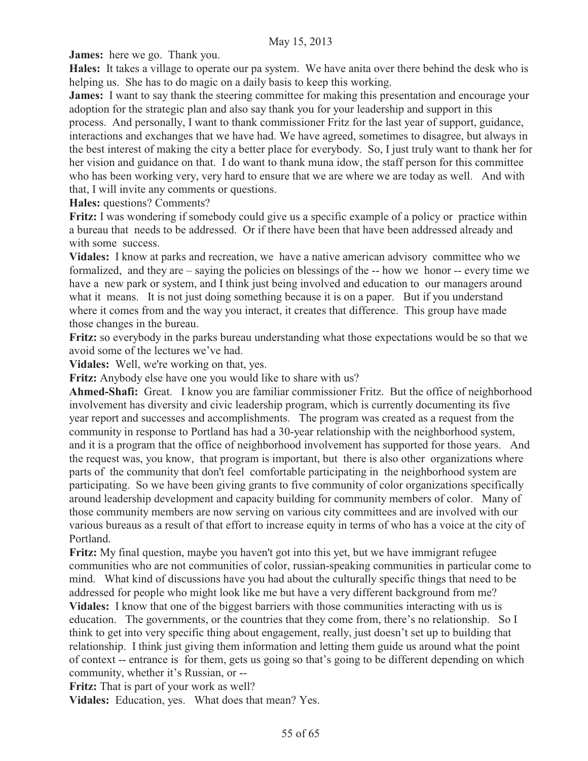**James:** here we go. Thank you.

**Hales:** It takes a village to operate our pa system. We have anita over there behind the desk who is helping us. She has to do magic on a daily basis to keep this working.

**James:** I want to say thank the steering committee for making this presentation and encourage your adoption for the strategic plan and also say thank you for your leadership and support in this process. And personally, I want to thank commissioner Fritz for the last year of support, guidance, interactions and exchanges that we have had. We have agreed, sometimes to disagree, but always in the best interest of making the city a better place for everybody. So, I just truly want to thank her for

her vision and guidance on that. I do want to thank muna idow, the staff person for this committee who has been working very, very hard to ensure that we are where we are today as well. And with that, I will invite any comments or questions.

**Hales:** questions? Comments?

**Fritz:** I was wondering if somebody could give us a specific example of a policy or practice within a bureau that needs to be addressed. Or if there have been that have been addressed already and with some success.

**Vidales:** I know at parks and recreation, we have a native american advisory committee who we formalized, and they are – saying the policies on blessings of the -- how we honor -- every time we have a new park or system, and I think just being involved and education to our managers around what it means. It is not just doing something because it is on a paper. But if you understand where it comes from and the way you interact, it creates that difference. This group have made those changes in the bureau.

**Fritz:** so everybody in the parks bureau understanding what those expectations would be so that we avoid some of the lectures we've had.

**Vidales:** Well, we're working on that, yes.

**Fritz:** Anybody else have one you would like to share with us?

**Ahmed-Shafi:** Great. I know you are familiar commissioner Fritz. But the office of neighborhood involvement has diversity and civic leadership program, which is currently documenting its five year report and successes and accomplishments. The program was created as a request from the community in response to Portland has had a 30-year relationship with the neighborhood system, and it is a program that the office of neighborhood involvement has supported for those years. And the request was, you know, that program is important, but there is also other organizations where parts of the community that don't feel comfortable participating in the neighborhood system are participating. So we have been giving grants to five community of color organizations specifically around leadership development and capacity building for community members of color. Many of those community members are now serving on various city committees and are involved with our various bureaus as a result of that effort to increase equity in terms of who has a voice at the city of Portland.

**Fritz:** My final question, maybe you haven't got into this yet, but we have immigrant refugee communities who are not communities of color, russian-speaking communities in particular come to mind. What kind of discussions have you had about the culturally specific things that need to be addressed for people who might look like me but have a very different background from me?

**Vidales:** I know that one of the biggest barriers with those communities interacting with us is education. The governments, or the countries that they come from, there's no relationship. So I think to get into very specific thing about engagement, really, just doesn't set up to building that relationship. I think just giving them information and letting them guide us around what the point of context -- entrance is for them, gets us going so that's going to be different depending on which community, whether it's Russian, or --

**Fritz:** That is part of your work as well?

**Vidales:** Education, yes. What does that mean? Yes.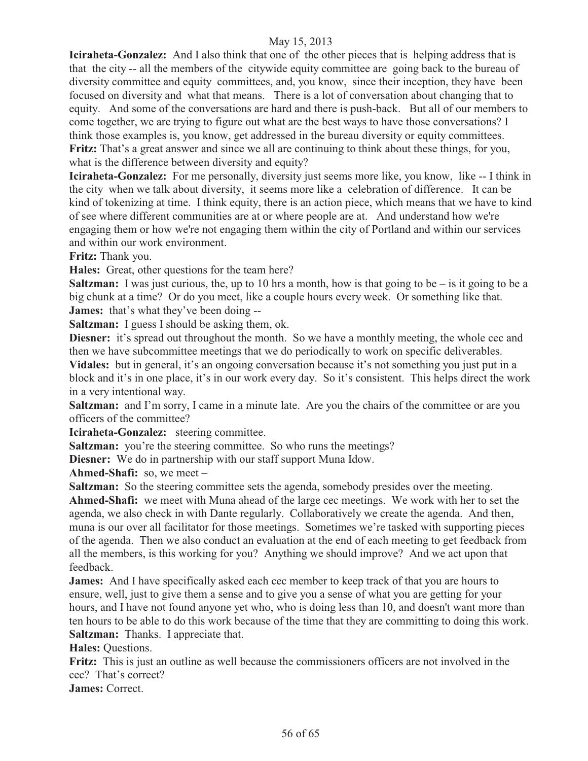**Iciraheta-Gonzalez:** And I also think that one of the other pieces that is helping address that is that the city -- all the members of the citywide equity committee are going back to the bureau of diversity committee and equity committees, and, you know, since their inception, they have been focused on diversity and what that means. There is a lot of conversation about changing that to equity. And some of the conversations are hard and there is push-back. But all of our members to come together, we are trying to figure out what are the best ways to have those conversations? I think those examples is, you know, get addressed in the bureau diversity or equity committees. **Fritz:** That's a great answer and since we all are continuing to think about these things, for you, what is the difference between diversity and equity?

**Iciraheta-Gonzalez:** For me personally, diversity just seems more like, you know, like -- I think in the city when we talk about diversity, it seems more like a celebration of difference. It can be kind of tokenizing at time. I think equity, there is an action piece, which means that we have to kind of see where different communities are at or where people are at. And understand how we're engaging them or how we're not engaging them within the city of Portland and within our services and within our work environment.

**Fritz:** Thank you.

**Hales:** Great, other questions for the team here?

**Saltzman:** I was just curious, the, up to 10 hrs a month, how is that going to be  $-$  is it going to be a big chunk at a time? Or do you meet, like a couple hours every week. Or something like that. **James:** that's what they've been doing --

**Saltzman:** I guess I should be asking them, ok.

**Diesner:** it's spread out throughout the month. So we have a monthly meeting, the whole cec and then we have subcommittee meetings that we do periodically to work on specific deliverables. **Vidales:** but in general, it's an ongoing conversation because it's not something you just put in a

block and it's in one place, it's in our work every day. So it's consistent. This helps direct the work in a very intentional way.

**Saltzman:** and I'm sorry, I came in a minute late. Are you the chairs of the committee or are you officers of the committee?

**Iciraheta-Gonzalez:** steering committee.

**Saltzman:** you're the steering committee. So who runs the meetings?

**Diesner:** We do in partnership with our staff support Muna Idow.

**Ahmed-Shafi:** so, we meet –

**Saltzman:** So the steering committee sets the agenda, somebody presides over the meeting.

**Ahmed-Shafi:** we meet with Muna ahead of the large cec meetings. We work with her to set the agenda, we also check in with Dante regularly. Collaboratively we create the agenda. And then, muna is our over all facilitator for those meetings. Sometimes we're tasked with supporting pieces of the agenda. Then we also conduct an evaluation at the end of each meeting to get feedback from all the members, is this working for you? Anything we should improve? And we act upon that feedback.

**James:** And I have specifically asked each cec member to keep track of that you are hours to ensure, well, just to give them a sense and to give you a sense of what you are getting for your hours, and I have not found anyone yet who, who is doing less than 10, and doesn't want more than ten hours to be able to do this work because of the time that they are committing to doing this work. **Saltzman:** Thanks. I appreciate that.

**Hales:** Questions.

**Fritz:** This is just an outline as well because the commissioners officers are not involved in the cec?That's correct?

**James:** Correct.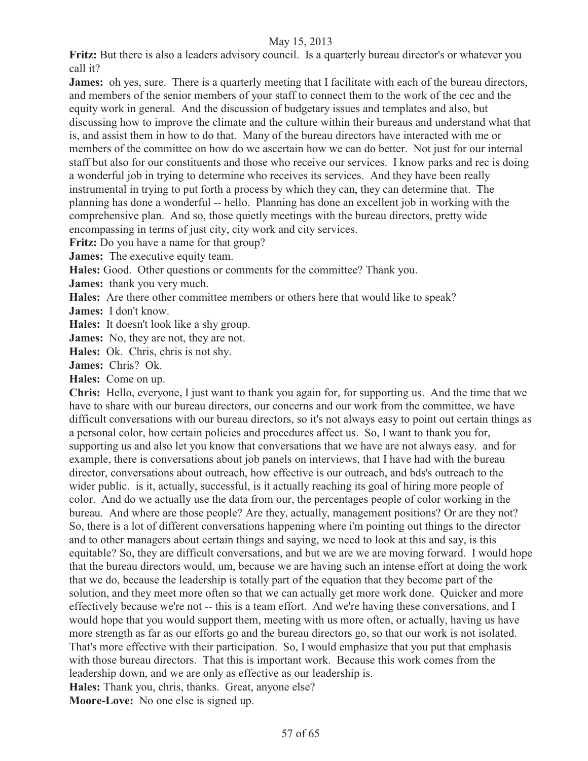**Fritz:** But there is also a leaders advisory council. Is a quarterly bureau director's or whatever you call it?

**James:** oh yes, sure. There is a quarterly meeting that I facilitate with each of the bureau directors, and members of the senior members of your staff to connect them to the work of the cec and the equity work in general. And the discussion of budgetary issues and templates and also, but discussing how to improve the climate and the culture within their bureaus and understand what that is, and assist them in how to do that. Many of the bureau directors have interacted with me or members of the committee on how do we ascertain how we can do better. Not just for our internal staff but also for our constituents and those who receive our services. I know parks and rec is doing a wonderful job in trying to determine who receives its services. And they have been really instrumental in trying to put forth a process by which they can, they can determine that. The planning has done a wonderful -- hello. Planning has done an excellent job in working with the comprehensive plan. And so, those quietly meetings with the bureau directors, pretty wide encompassing in terms of just city, city work and city services.

**Fritz:** Do you have a name for that group?

**James:** The executive equity team.

**Hales:** Good. Other questions or comments for the committee? Thank you.

**James:** thank you very much.

**Hales:** Are there other committee members or others here that would like to speak?

**James:** I don't know.

**Hales:** It doesn't look like a shy group.

**James:** No, they are not, they are not.

**Hales:** Ok. Chris, chris is not shy.

**James:** Chris?Ok.

**Hales:** Come on up.

**Chris:** Hello, everyone, I just want to thank you again for, for supporting us. And the time that we have to share with our bureau directors, our concerns and our work from the committee, we have difficult conversations with our bureau directors, so it's not always easy to point out certain things as a personal color, how certain policies and procedures affect us. So, I want to thank you for, supporting us and also let you know that conversations that we have are not always easy. and for example, there is conversations about job panels on interviews, that I have had with the bureau director, conversations about outreach, how effective is our outreach, and bds's outreach to the wider public. is it, actually, successful, is it actually reaching its goal of hiring more people of color. And do we actually use the data from our, the percentages people of color working in the bureau. And where are those people? Are they, actually, management positions? Or are they not? So, there is a lot of different conversations happening where i'm pointing out things to the director and to other managers about certain things and saying, we need to look at this and say, is this equitable? So, they are difficult conversations, and but we are we are moving forward. I would hope that the bureau directors would, um, because we are having such an intense effort at doing the work that we do, because the leadership is totally part of the equation that they become part of the solution, and they meet more often so that we can actually get more work done. Quicker and more effectively because we're not -- this is a team effort. And we're having these conversations, and I would hope that you would support them, meeting with us more often, or actually, having us have more strength as far as our efforts go and the bureau directors go, so that our work is not isolated. That's more effective with their participation. So, I would emphasize that you put that emphasis with those bureau directors. That this is important work. Because this work comes from the leadership down, and we are only as effective as our leadership is. **Hales:** Thank you, chris, thanks. Great, anyone else?

**Moore-Love:** No one else is signed up.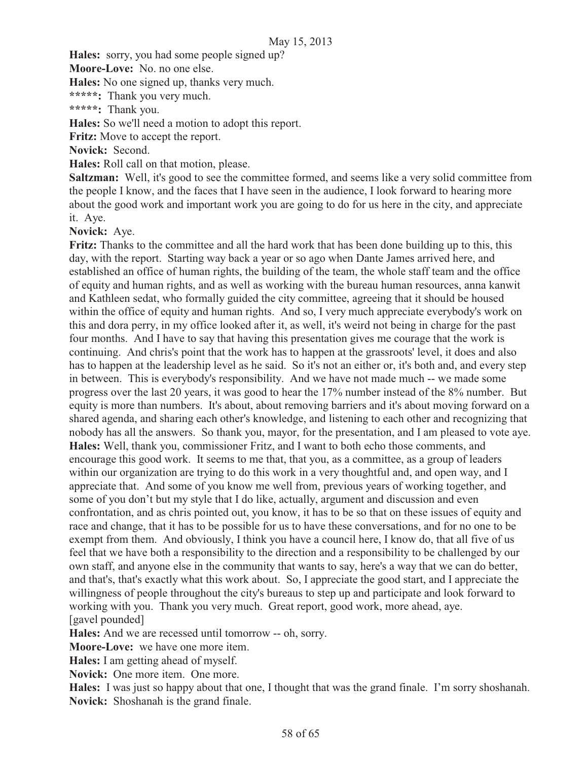**Hales:** sorry, you had some people signed up?

**Moore-Love:** No. no one else.

**Hales:** No one signed up, thanks very much.

**\*\*\*\*\*:** Thank you very much.

**\*\*\*\*\*:** Thank you.

**Hales:** So we'll need a motion to adopt this report.

**Fritz:** Move to accept the report.

**Novick:** Second.

**Hales:** Roll call on that motion, please.

**Saltzman:** Well, it's good to see the committee formed, and seems like a very solid committee from the people I know, and the faces that I have seen in the audience, I look forward to hearing more about the good work and important work you are going to do for us here in the city, and appreciate it. Aye.

**Novick:** Aye.

**Fritz:** Thanks to the committee and all the hard work that has been done building up to this, this day, with the report. Starting way back a year or so ago when Dante James arrived here, and established an office of human rights, the building of the team, the whole staff team and the office of equity and human rights, and as well as working with the bureau human resources, anna kanwit and Kathleen sedat, who formally guided the city committee, agreeing that it should be housed within the office of equity and human rights. And so, I very much appreciate everybody's work on this and dora perry, in my office looked after it, as well, it's weird not being in charge for the past four months. And I have to say that having this presentation gives me courage that the work is continuing. And chris's point that the work has to happen at the grassroots' level, it does and also has to happen at the leadership level as he said. So it's not an either or, it's both and, and every step in between. This is everybody's responsibility. And we have not made much -- we made some progress over the last 20 years, it was good to hear the 17% number instead of the 8% number. But equity is more than numbers. It's about, about removing barriers and it's about moving forward on a shared agenda, and sharing each other's knowledge, and listening to each other and recognizing that nobody has all the answers. So thank you, mayor, for the presentation, and I am pleased to vote aye. **Hales:** Well, thank you, commissioner Fritz, and I want to both echo those comments, and encourage this good work. It seems to me that, that you, as a committee, as a group of leaders within our organization are trying to do this work in a very thoughtful and, and open way, and I appreciate that. And some of you know me well from, previous years of working together, and some of you don't but my style that I do like, actually, argument and discussion and even confrontation, and as chris pointed out, you know, it has to be so that on these issues of equity and race and change, that it has to be possible for us to have these conversations, and for no one to be exempt from them. And obviously, I think you have a council here, I know do, that all five of us feel that we have both a responsibility to the direction and a responsibility to be challenged by our own staff, and anyone else in the community that wants to say, here's a way that we can do better, and that's, that's exactly what this work about. So, I appreciate the good start, and I appreciate the willingness of people throughout the city's bureaus to step up and participate and look forward to working with you. Thank you very much. Great report, good work, more ahead, aye. [gavel pounded]

**Hales:** And we are recessed until tomorrow -- oh, sorry.

**Moore-Love:** we have one more item.

**Hales:** I am getting ahead of myself.

**Novick:** One more item. One more.

**Hales:** I was just so happy about that one, I thought that was the grand finale. I'm sorry shoshanah. **Novick:** Shoshanah is the grand finale.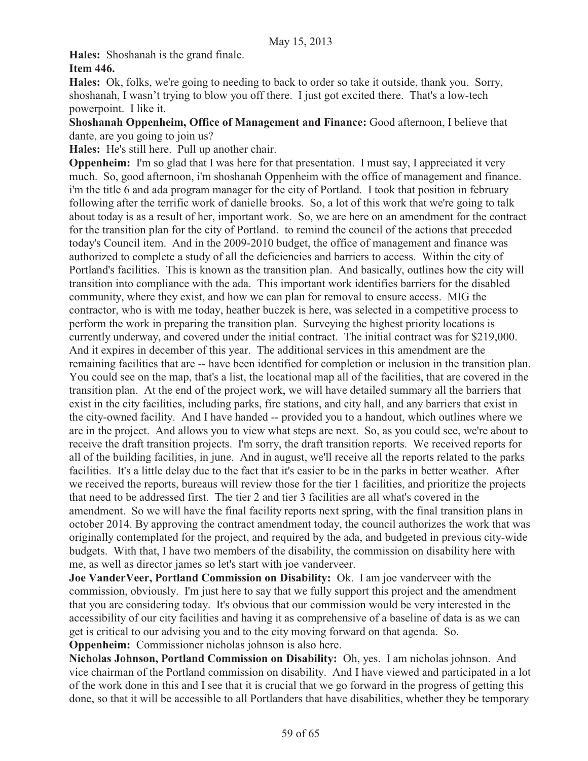**Hales:** Shoshanah is the grand finale.

# **Item 446.**

**Hales:** Ok, folks, we're going to needing to back to order so take it outside, thank you. Sorry, shoshanah, I wasn't trying to blow you off there. I just got excited there. That's a low-tech powerpoint. I like it.

**Shoshanah Oppenheim, Office of Management and Finance:** Good afternoon, I believe that dante, are you going to join us?

**Hales:** He's still here. Pull up another chair.

**Oppenheim:** I'm so glad that I was here for that presentation. I must say, I appreciated it very much. So, good afternoon, i'm shoshanah Oppenheim with the office of management and finance. i'm the title 6 and ada program manager for the city of Portland. I took that position in february following after the terrific work of danielle brooks. So, a lot of this work that we're going to talk about today is as a result of her, important work. So, we are here on an amendment for the contract for the transition plan for the city of Portland. to remind the council of the actions that preceded today's Council item. And in the 2009-2010 budget, the office of management and finance was authorized to complete a study of all the deficiencies and barriers to access. Within the city of Portland's facilities. This is known as the transition plan. And basically, outlines how the city will transition into compliance with the ada. This important work identifies barriers for the disabled community, where they exist, and how we can plan for removal to ensure access. MIG the contractor, who is with me today, heather buczek is here, was selected in a competitive process to perform the work in preparing the transition plan. Surveying the highest priority locations is currently underway, and covered under the initial contract. The initial contract was for \$219,000. And it expires in december of this year. The additional services in this amendment are the remaining facilities that are -- have been identified for completion or inclusion in the transition plan. You could see on the map, that's a list, the locational map all of the facilities, that are covered in the transition plan. At the end of the project work, we will have detailed summary all the barriers that exist in the city facilities, including parks, fire stations, and city hall, and any barriers that exist in the city-owned facility. And I have handed -- provided you to a handout, which outlines where we are in the project. And allows you to view what steps are next. So, as you could see, we're about to receive the draft transition projects. I'm sorry, the draft transition reports. We received reports for all of the building facilities, in june. And in august, we'll receive all the reports related to the parks facilities. It's a little delay due to the fact that it's easier to be in the parks in better weather. After we received the reports, bureaus will review those for the tier 1 facilities, and prioritize the projects that need to be addressed first. The tier 2 and tier 3 facilities are all what's covered in the amendment. So we will have the final facility reports next spring, with the final transition plans in october 2014. By approving the contract amendment today, the council authorizes the work that was originally contemplated for the project, and required by the ada, and budgeted in previous city-wide budgets. With that, I have two members of the disability, the commission on disability here with me, as well as director james so let's start with joe vanderveer.

**Joe VanderVeer, Portland Commission on Disability:** Ok. I am joe vanderveer with the commission, obviously. I'm just here to say that we fully support this project and the amendment that you are considering today. It's obvious that our commission would be very interested in the accessibility of our city facilities and having it as comprehensive of a baseline of data is as we can get is critical to our advising you and to the city moving forward on that agenda. So. **Oppenheim:** Commissioner nicholas johnson is also here.

**Nicholas Johnson, Portland Commission on Disability:** Oh, yes. I am nicholas johnson. And vice chairman of the Portland commission on disability. And I have viewed and participated in a lot of the work done in this and I see that it is crucial that we go forward in the progress of getting this done, so that it will be accessible to all Portlanders that have disabilities, whether they be temporary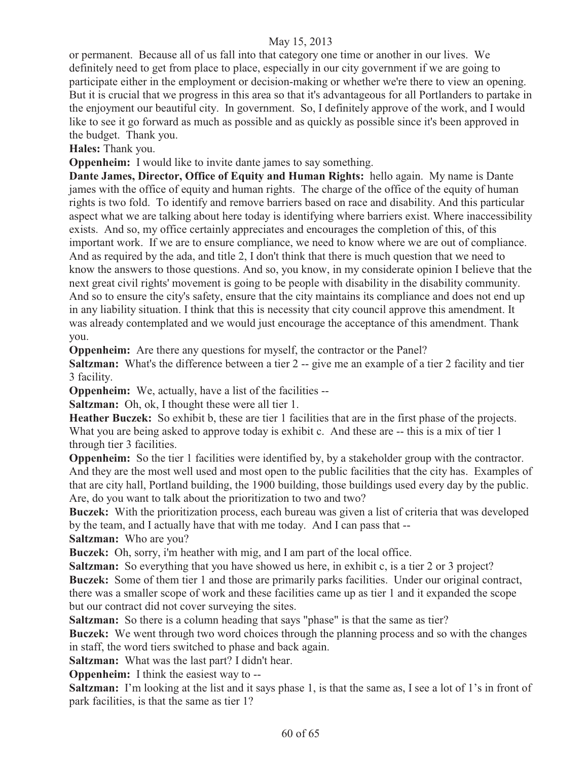or permanent. Because all of us fall into that category one time or another in our lives. We definitely need to get from place to place, especially in our city government if we are going to participate either in the employment or decision-making or whether we're there to view an opening. But it is crucial that we progress in this area so that it's advantageous for all Portlanders to partake in the enjoyment our beautiful city. In government. So, I definitely approve of the work, and I would like to see it go forward as much as possible and as quickly as possible since it's been approved in the budget. Thank you.

**Hales:** Thank you.

**Oppenheim:** I would like to invite dante james to say something.

**Dante James, Director, Office of Equity and Human Rights:** hello again. My name is Dante james with the office of equity and human rights. The charge of the office of the equity of human rights is two fold. To identify and remove barriers based on race and disability. And this particular aspect what we are talking about here today is identifying where barriers exist. Where inaccessibility exists. And so, my office certainly appreciates and encourages the completion of this, of this important work. If we are to ensure compliance, we need to know where we are out of compliance. And as required by the ada, and title 2, I don't think that there is much question that we need to know the answers to those questions. And so, you know, in my considerate opinion I believe that the next great civil rights' movement is going to be people with disability in the disability community. And so to ensure the city's safety, ensure that the city maintains its compliance and does not end up in any liability situation. I think that this is necessity that city council approve this amendment. It was already contemplated and we would just encourage the acceptance of this amendment. Thank you.

**Oppenheim:** Are there any questions for myself, the contractor or the Panel?

**Saltzman:** What's the difference between a tier 2 -- give me an example of a tier 2 facility and tier 3 facility.

**Oppenheim:** We, actually, have a list of the facilities --

**Saltzman:** Oh, ok, I thought these were all tier 1.

**Heather Buczek:** So exhibit b, these are tier 1 facilities that are in the first phase of the projects. What you are being asked to approve today is exhibit c. And these are -- this is a mix of tier 1 through tier 3 facilities.

**Oppenheim:** So the tier 1 facilities were identified by, by a stakeholder group with the contractor. And they are the most well used and most open to the public facilities that the city has. Examples of that are city hall, Portland building, the 1900 building, those buildings used every day by the public. Are, do you want to talk about the prioritization to two and two?

**Buczek:** With the prioritization process, each bureau was given a list of criteria that was developed by the team, and I actually have that with me today. And I can pass that --

**Saltzman:** Who are you?

**Buczek:** Oh, sorry, i'm heather with mig, and I am part of the local office.

**Saltzman:** So everything that you have showed us here, in exhibit c, is a tier 2 or 3 project? **Buczek:** Some of them tier 1 and those are primarily parks facilities. Under our original contract, there was a smaller scope of work and these facilities came up as tier 1 and it expanded the scope but our contract did not cover surveying the sites.

**Saltzman:** So there is a column heading that says "phase" is that the same as tier?

**Buczek:** We went through two word choices through the planning process and so with the changes in staff, the word tiers switched to phase and back again.

**Saltzman:** What was the last part? I didn't hear.

**Oppenheim:** I think the easiest way to --

**Saltzman:** I'm looking at the list and it says phase 1, is that the same as, I see a lot of 1's in front of park facilities, is that the same as tier 1?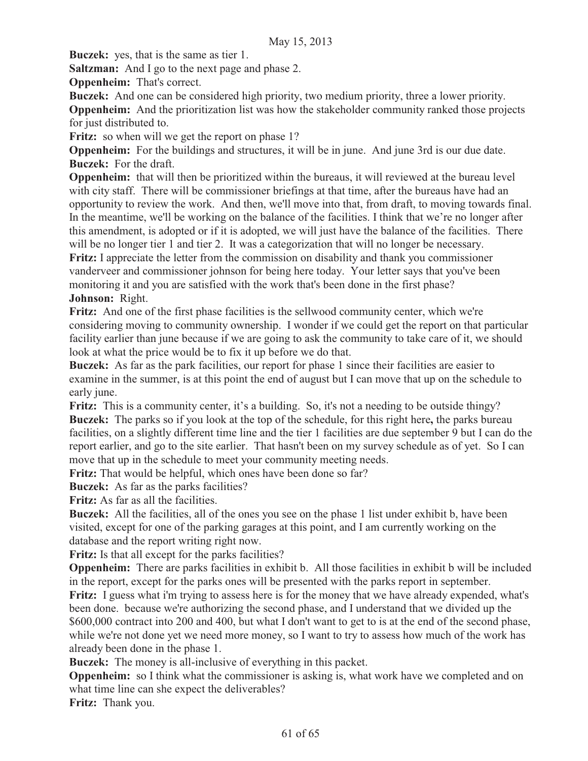**Buczek:** yes, that is the same as tier 1.

**Saltzman:** And I go to the next page and phase 2.

**Oppenheim:** That's correct.

**Buczek:** And one can be considered high priority, two medium priority, three a lower priority.

**Oppenheim:** And the prioritization list was how the stakeholder community ranked those projects for just distributed to.

**Fritz:** so when will we get the report on phase 1?

**Oppenheim:** For the buildings and structures, it will be in june. And june 3rd is our due date. **Buczek:** For the draft.

**Oppenheim:** that will then be prioritized within the bureaus, it will reviewed at the bureau level with city staff. There will be commissioner briefings at that time, after the bureaus have had an opportunity to review the work. And then, we'll move into that, from draft, to moving towards final. In the meantime, we'll be working on the balance of the facilities. I think that we're no longer after this amendment, is adopted or if it is adopted, we will just have the balance of the facilities. There will be no longer tier 1 and tier 2. It was a categorization that will no longer be necessary.

**Fritz:** I appreciate the letter from the commission on disability and thank you commissioner vanderveer and commissioner johnson for being here today. Your letter says that you've been monitoring it and you are satisfied with the work that's been done in the first phase? **Johnson:** Right.

Fritz: And one of the first phase facilities is the sellwood community center, which we're considering moving to community ownership. I wonder if we could get the report on that particular facility earlier than june because if we are going to ask the community to take care of it, we should look at what the price would be to fix it up before we do that.

**Buczek:** As far as the park facilities, our report for phase 1 since their facilities are easier to examine in the summer, is at this point the end of august but I can move that up on the schedule to early june.

**Fritz:** This is a community center, it's a building. So, it's not a needing to be outside thingy? **Buczek:** The parks so if you look at the top of the schedule, for this right here**,** the parks bureau facilities, on a slightly different time line and the tier 1 facilities are due september 9 but I can do the report earlier, and go to the site earlier. That hasn't been on my survey schedule as of yet. So I can move that up in the schedule to meet your community meeting needs.

**Fritz:** That would be helpful, which ones have been done so far?

**Buczek:** As far as the parks facilities?

**Fritz:** As far as all the facilities.

**Buczek:** All the facilities, all of the ones you see on the phase 1 list under exhibit b, have been visited, except for one of the parking garages at this point, and I am currently working on the database and the report writing right now.

**Fritz:** Is that all except for the parks facilities?

**Oppenheim:** There are parks facilities in exhibit b. All those facilities in exhibit b will be included in the report, except for the parks ones will be presented with the parks report in september. **Fritz:** I guess what i'm trying to assess here is for the money that we have already expended, what's been done. because we're authorizing the second phase, and I understand that we divided up the \$600,000 contract into 200 and 400, but what I don't want to get to is at the end of the second phase, while we're not done yet we need more money, so I want to try to assess how much of the work has already been done in the phase 1.

**Buczek:** The money is all-inclusive of everything in this packet.

**Oppenheim:** so I think what the commissioner is asking is, what work have we completed and on what time line can she expect the deliverables?

**Fritz:** Thank you.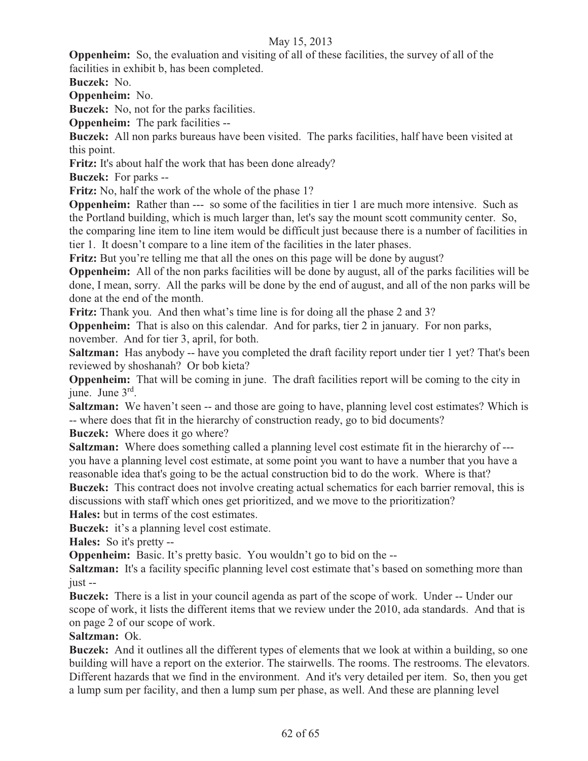**Oppenheim:** So, the evaluation and visiting of all of these facilities, the survey of all of the facilities in exhibit b, has been completed.

**Buczek:** No.

**Oppenheim:** No.

**Buczek:** No, not for the parks facilities.

**Oppenheim:** The park facilities --

**Buczek:** All non parks bureaus have been visited. The parks facilities, half have been visited at this point.

**Fritz:** It's about half the work that has been done already?

**Buczek:** For parks --

**Fritz:** No, half the work of the whole of the phase 1?

**Oppenheim:** Rather than --- so some of the facilities in tier 1 are much more intensive. Such as the Portland building, which is much larger than, let's say the mount scott community center. So, the comparing line item to line item would be difficult just because there is a number of facilities in tier 1. It doesn't compare to a line item of the facilities in the later phases.

**Fritz:** But you're telling me that all the ones on this page will be done by august?

**Oppenheim:** All of the non parks facilities will be done by august, all of the parks facilities will be done, I mean, sorry. All the parks will be done by the end of august, and all of the non parks will be done at the end of the month.

**Fritz:** Thank you. And then what's time line is for doing all the phase 2 and 3?

**Oppenheim:** That is also on this calendar. And for parks, tier 2 in january. For non parks, november. And for tier 3, april, for both.

**Saltzman:** Has anybody -- have you completed the draft facility report under tier 1 yet? That's been reviewed by shoshanah?Or bob kieta?

**Oppenheim:** That will be coming in june. The draft facilities report will be coming to the city in iune. June  $3<sup>rd</sup>$ .

**Saltzman:** We haven't seen -- and those are going to have, planning level cost estimates? Which is -- where does that fit in the hierarchy of construction ready, go to bid documents?

**Buczek:** Where does it go where?

**Saltzman:** Where does something called a planning level cost estimate fit in the hierarchy of -- you have a planning level cost estimate, at some point you want to have a number that you have a reasonable idea that's going to be the actual construction bid to do the work. Where is that?

**Buczek:** This contract does not involve creating actual schematics for each barrier removal, this is discussions with staff which ones get prioritized, and we move to the prioritization?

**Hales:** but in terms of the cost estimates.

**Buczek:** it's a planning level cost estimate.

**Hales:** So it's pretty --

**Oppenheim:** Basic. It's pretty basic. You wouldn't go to bid on the --

**Saltzman:** It's a facility specific planning level cost estimate that's based on something more than just --

**Buczek:** There is a list in your council agenda as part of the scope of work. Under -- Under our scope of work, it lists the different items that we review under the 2010, ada standards. And that is on page 2 of our scope of work.

# **Saltzman:** Ok.

**Buczek:** And it outlines all the different types of elements that we look at within a building, so one building will have a report on the exterior. The stairwells. The rooms. The restrooms. The elevators. Different hazards that we find in the environment. And it's very detailed per item. So, then you get a lump sum per facility, and then a lump sum per phase, as well. And these are planning level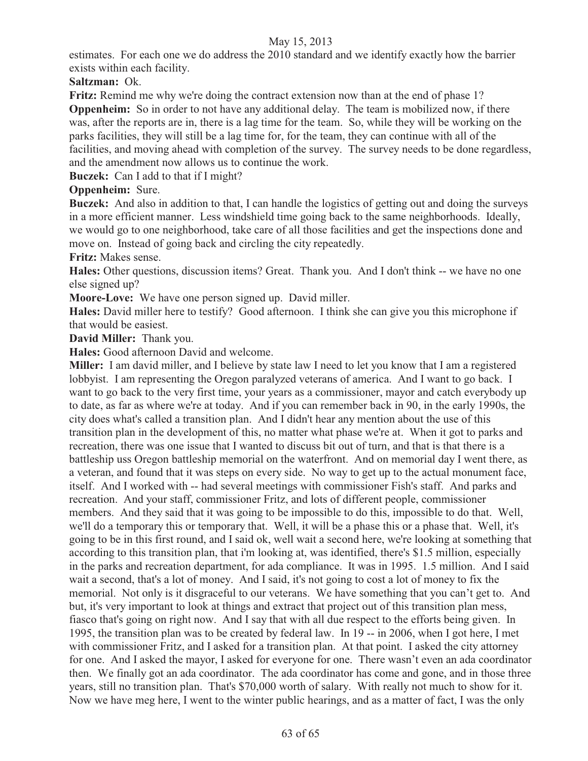estimates. For each one we do address the 2010 standard and we identify exactly how the barrier exists within each facility.

**Saltzman:** Ok.

**Fritz:** Remind me why we're doing the contract extension now than at the end of phase 1?

**Oppenheim:** So in order to not have any additional delay. The team is mobilized now, if there was, after the reports are in, there is a lag time for the team. So, while they will be working on the parks facilities, they will still be a lag time for, for the team, they can continue with all of the facilities, and moving ahead with completion of the survey. The survey needs to be done regardless, and the amendment now allows us to continue the work.

**Buczek:** Can I add to that if I might?

**Oppenheim:** Sure.

**Buczek:** And also in addition to that, I can handle the logistics of getting out and doing the surveys in a more efficient manner. Less windshield time going back to the same neighborhoods. Ideally, we would go to one neighborhood, take care of all those facilities and get the inspections done and move on. Instead of going back and circling the city repeatedly.

**Fritz:** Makes sense.

**Hales:** Other questions, discussion items? Great. Thank you. And I don't think -- we have no one else signed up?

**Moore-Love:** We have one person signed up. David miller.

**Hales:** David miller here to testify?Good afternoon. I think she can give you this microphone if that would be easiest.

**David Miller:** Thank you.

**Hales:** Good afternoon David and welcome.

**Miller:** I am david miller, and I believe by state law I need to let you know that I am a registered lobbyist. I am representing the Oregon paralyzed veterans of america. And I want to go back. I want to go back to the very first time, your years as a commissioner, mayor and catch everybody up to date, as far as where we're at today. And if you can remember back in 90, in the early 1990s, the city does what's called a transition plan. And I didn't hear any mention about the use of this transition plan in the development of this, no matter what phase we're at. When it got to parks and recreation, there was one issue that I wanted to discuss bit out of turn, and that is that there is a battleship uss Oregon battleship memorial on the waterfront. And on memorial day I went there, as a veteran, and found that it was steps on every side. No way to get up to the actual monument face, itself. And I worked with -- had several meetings with commissioner Fish's staff. And parks and recreation. And your staff, commissioner Fritz, and lots of different people, commissioner members. And they said that it was going to be impossible to do this, impossible to do that. Well, we'll do a temporary this or temporary that. Well, it will be a phase this or a phase that. Well, it's going to be in this first round, and I said ok, well wait a second here, we're looking at something that according to this transition plan, that i'm looking at, was identified, there's \$1.5 million, especially in the parks and recreation department, for ada compliance. It was in 1995. 1.5 million. And I said wait a second, that's a lot of money. And I said, it's not going to cost a lot of money to fix the memorial. Not only is it disgraceful to our veterans. We have something that you can't get to. And but, it's very important to look at things and extract that project out of this transition plan mess, fiasco that's going on right now. And I say that with all due respect to the efforts being given. In 1995, the transition plan was to be created by federal law. In 19 -- in 2006, when I got here, I met with commissioner Fritz, and I asked for a transition plan. At that point. I asked the city attorney for one. And I asked the mayor, I asked for everyone for one. There wasn't even an ada coordinator then. We finally got an ada coordinator. The ada coordinator has come and gone, and in those three years, still no transition plan. That's \$70,000 worth of salary. With really not much to show for it. Now we have meg here, I went to the winter public hearings, and as a matter of fact, I was the only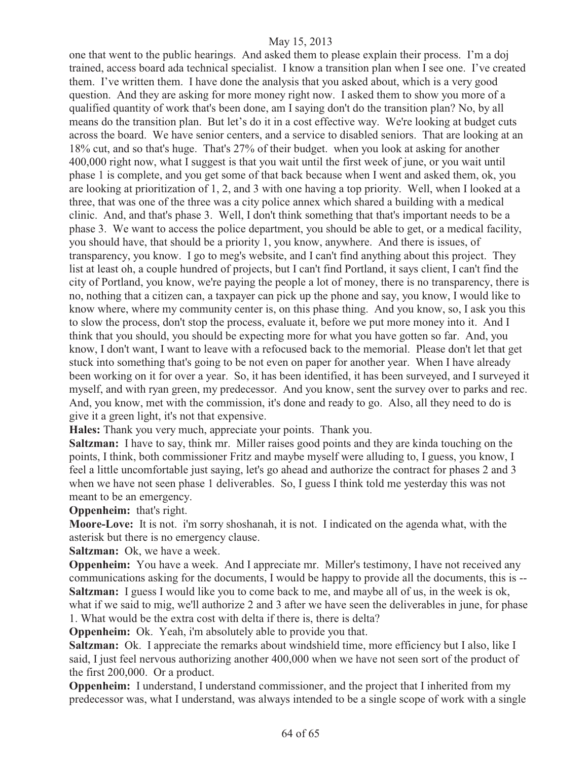one that went to the public hearings. And asked them to please explain their process. I'm a doj trained, access board ada technical specialist. I know a transition plan when I see one. I've created them. I've written them. I have done the analysis that you asked about, which is a very good question. And they are asking for more money right now. I asked them to show you more of a qualified quantity of work that's been done, am I saying don't do the transition plan? No, by all means do the transition plan. But let's do it in a cost effective way. We're looking at budget cuts across the board. We have senior centers, and a service to disabled seniors. That are looking at an 18% cut, and so that's huge. That's 27% of their budget. when you look at asking for another 400,000 right now, what I suggest is that you wait until the first week of june, or you wait until phase 1 is complete, and you get some of that back because when I went and asked them, ok, you are looking at prioritization of 1, 2, and 3 with one having a top priority. Well, when I looked at a three, that was one of the three was a city police annex which shared a building with a medical clinic. And, and that's phase 3. Well, I don't think something that that's important needs to be a phase 3. We want to access the police department, you should be able to get, or a medical facility, you should have, that should be a priority 1, you know, anywhere. And there is issues, of transparency, you know. I go to meg's website, and I can't find anything about this project. They list at least oh, a couple hundred of projects, but I can't find Portland, it says client, I can't find the city of Portland, you know, we're paying the people a lot of money, there is no transparency, there is no, nothing that a citizen can, a taxpayer can pick up the phone and say, you know, I would like to know where, where my community center is, on this phase thing. And you know, so, I ask you this to slow the process, don't stop the process, evaluate it, before we put more money into it. And I think that you should, you should be expecting more for what you have gotten so far. And, you know, I don't want, I want to leave with a refocused back to the memorial. Please don't let that get stuck into something that's going to be not even on paper for another year. When I have already been working on it for over a year. So, it has been identified, it has been surveyed, and I surveyed it myself, and with ryan green, my predecessor. And you know, sent the survey over to parks and rec. And, you know, met with the commission, it's done and ready to go. Also, all they need to do is give it a green light, it's not that expensive.

**Hales:** Thank you very much, appreciate your points. Thank you.

**Saltzman:** I have to say, think mr. Miller raises good points and they are kinda touching on the points, I think, both commissioner Fritz and maybe myself were alluding to, I guess, you know, I feel a little uncomfortable just saying, let's go ahead and authorize the contract for phases 2 and 3 when we have not seen phase 1 deliverables. So, I guess I think told me yesterday this was not meant to be an emergency.

**Oppenheim:** that's right.

**Moore-Love:** It is not. i'm sorry shoshanah, it is not. I indicated on the agenda what, with the asterisk but there is no emergency clause.

**Saltzman:** Ok, we have a week.

**Oppenheim:** You have a week. And I appreciate mr. Miller's testimony, I have not received any communications asking for the documents, I would be happy to provide all the documents, this is -- **Saltzman:** I guess I would like you to come back to me, and maybe all of us, in the week is ok, what if we said to mig, we'll authorize 2 and 3 after we have seen the deliverables in june, for phase 1. What would be the extra cost with delta if there is, there is delta?

**Oppenheim:** Ok. Yeah, i'm absolutely able to provide you that.

**Saltzman:** Ok. I appreciate the remarks about windshield time, more efficiency but I also, like I said, I just feel nervous authorizing another 400,000 when we have not seen sort of the product of the first 200,000. Or a product.

**Oppenheim:** I understand, I understand commissioner, and the project that I inherited from my predecessor was, what I understand, was always intended to be a single scope of work with a single